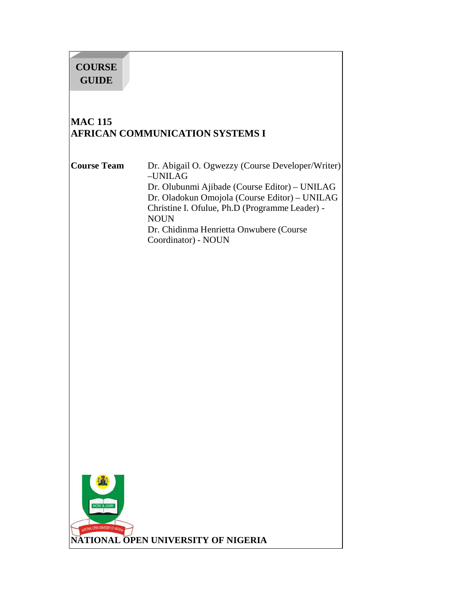# **COURSE GUIDE**

## **MAC 115 AFRICAN COMMUNICATION SYSTEMS I**

**Course Team** Dr. Abigail O. Ogwezzy (Course Developer/Writer) –UNILAG Dr. Olubunmi Ajibade (Course Editor) – UNILAG Dr. Oladokun Omojola (Course Editor) – UNILAG Christine I. Ofulue, Ph.D (Programme Leader) - NOUN Dr. Chidinma Henrietta Onwubere (Course Coordinator) - NOUN

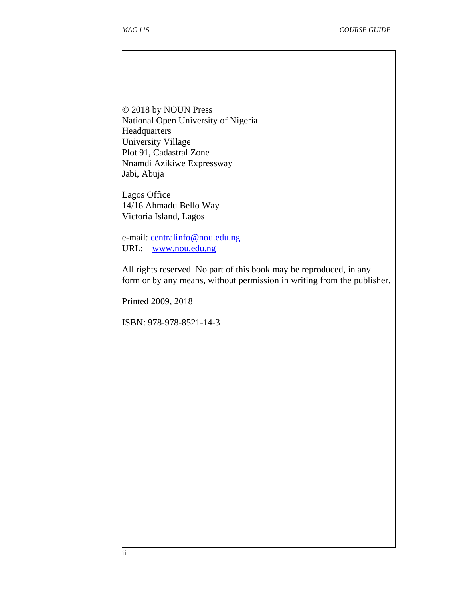$\overline{\phantom{a}}$ 

© 2018 by NOUN Press National Open University of Nigeria **Headquarters** University Village Plot 91, Cadastral Zone Nnamdi Azikiwe Expressway Jabi, Abuja

Lagos Office 14/16 Ahmadu Bello Way Victoria Island, Lagos

e-mail: centralinfo@nou.edu.ng URL: www.nou.edu.ng

All rights reserved. No part of this book may be reproduced, in any form or by any means, without permission in writing from the publisher.

Printed 2009, 2018

ISBN: 978-978-8521-14-3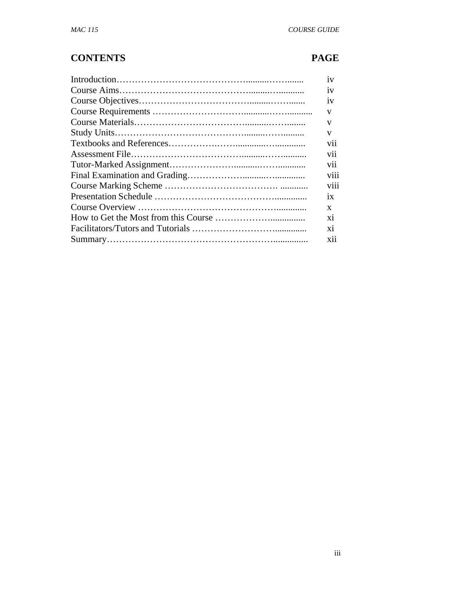## **CONTENTS PAGE**

| 1V   |
|------|
| 1V   |
| 1V   |
| v    |
| V    |
| V    |
| V11  |
| V11  |
| V11  |
| V111 |
| V111 |
| 1X   |
| X    |
| X1   |
| X1   |
| X11  |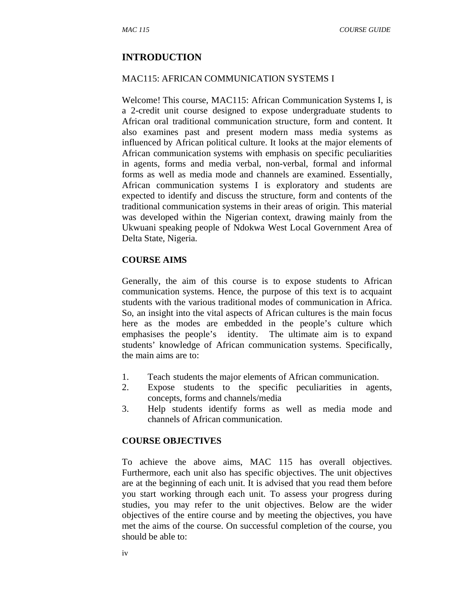#### **INTRODUCTION**

#### MAC115: AFRICAN COMMUNICATION SYSTEMS I

Welcome! This course, MAC115: African Communication Systems I, is a 2-credit unit course designed to expose undergraduate students to African oral traditional communication structure, form and content. It also examines past and present modern mass media systems as influenced by African political culture. It looks at the major elements of African communication systems with emphasis on specific peculiarities in agents, forms and media verbal, non-verbal, formal and informal forms as well as media mode and channels are examined. Essentially, African communication systems I is exploratory and students are expected to identify and discuss the structure, form and contents of the traditional communication systems in their areas of origin. This material was developed within the Nigerian context, drawing mainly from the Ukwuani speaking people of Ndokwa West Local Government Area of Delta State, Nigeria.

#### **COURSE AIMS**

Generally, the aim of this course is to expose students to African communication systems. Hence, the purpose of this text is to acquaint students with the various traditional modes of communication in Africa. So, an insight into the vital aspects of African cultures is the main focus here as the modes are embedded in the people's culture which emphasises the people's identity. The ultimate aim is to expand students' knowledge of African communication systems. Specifically, the main aims are to:

- 1. Teach students the major elements of African communication.
- 2. Expose students to the specific peculiarities in agents, concepts, forms and channels/media
- 3. Help students identify forms as well as media mode and channels of African communication.

#### **COURSE OBJECTIVES**

To achieve the above aims, MAC 115 has overall objectives. Furthermore, each unit also has specific objectives. The unit objectives are at the beginning of each unit. It is advised that you read them before you start working through each unit. To assess your progress during studies, you may refer to the unit objectives. Below are the wider objectives of the entire course and by meeting the objectives, you have met the aims of the course. On successful completion of the course, you should be able to: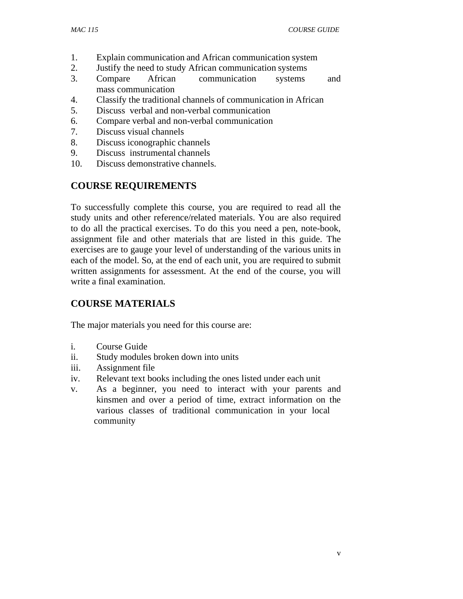- 1. Explain communication and African communication system
- 2. Justify the need to study African communication systems
- 3. Compare African communication systems and mass communication
- 4. Classify the traditional channels of communication in African
- 5. Discuss verbal and non-verbal communication
- 6. Compare verbal and non-verbal communication
- 7. Discuss visual channels
- 8. Discuss iconographic channels
- 9. Discuss instrumental channels
- 10. Discuss demonstrative channels.

## **COURSE REQUIREMENTS**

To successfully complete this course, you are required to read all the study units and other reference/related materials. You are also required to do all the practical exercises. To do this you need a pen, note-book, assignment file and other materials that are listed in this guide. The exercises are to gauge your level of understanding of the various units in each of the model. So, at the end of each unit, you are required to submit written assignments for assessment. At the end of the course, you will write a final examination.

#### **COURSE MATERIALS**

The major materials you need for this course are:

- i. Course Guide
- ii. Study modules broken down into units
- iii. Assignment file
- iv. Relevant text books including the ones listed under each unit
- v. As a beginner, you need to interact with your parents and kinsmen and over a period of time, extract information on the various classes of traditional communication in your local community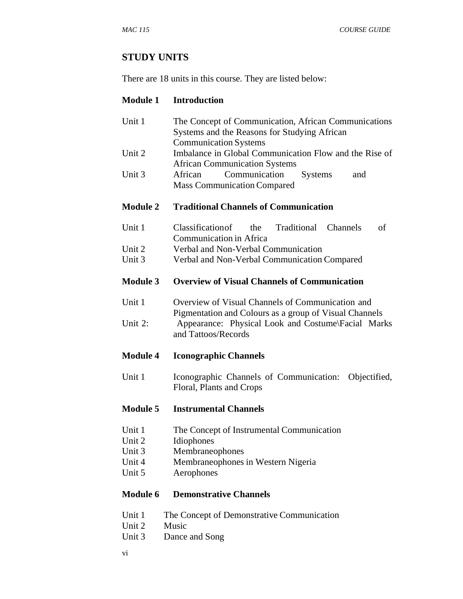#### **STUDY UNITS**

There are 18 units in this course. They are listed below:

#### **Module 1 Introduction**

- Unit 1 The Concept of Communication, African Communications Systems and the Reasons for Studying African Communication Systems Unit 2 Imbalance in Global Communication Flow and the Rise of African Communication Systems
- Unit 3 African Communication Systems and Mass Communication Compared

#### **Module 2 Traditional Channels of Communication**

- Unit 1 Classification of the Traditional Channels of Communication in Africa Unit 2 Verbal and Non-Verbal Communication
- Unit 3 Verbal and Non-Verbal Communication Compared

#### **Module 3 Overview of Visual Channels of Communication**

Unit 1 Overview of Visual Channels of Communication and Pigmentation and Colours as a group of Visual Channels Unit 2: Appearance: Physical Look and Costume\Facial Marks and Tattoos/Records

#### **Module 4 Iconographic Channels**

Unit 1 Iconographic Channels of Communication: Objectified, Floral, Plants and Crops

#### **Module 5 Instrumental Channels**

- Unit 1 The Concept of Instrumental Communication
- Unit 2 Idiophones
- Unit 3 Membraneophones
- Unit 4 Membraneophones in Western Nigeria
- Unit 5 Aerophones

#### **Module 6 Demonstrative Channels**

- Unit 1 The Concept of Demonstrative Communication
- Unit 2 Music
- Unit 3 Dance and Song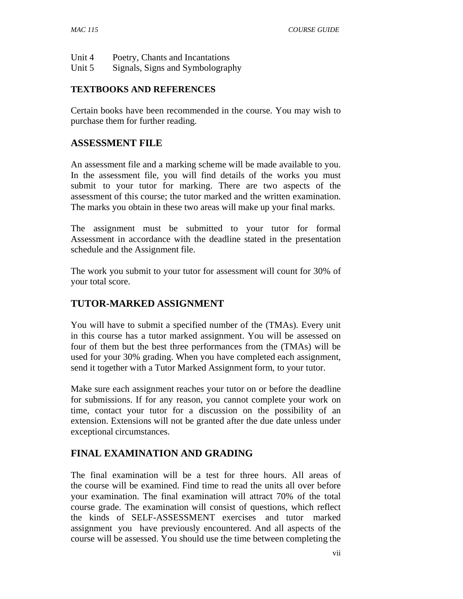| Unit 4 |  | Poetry, Chants and Incantations |  |  |  |
|--------|--|---------------------------------|--|--|--|
| --     |  |                                 |  |  |  |

Unit 5 Signals, Signs and Symbolography

#### **TEXTBOOKS AND REFERENCES**

Certain books have been recommended in the course. You may wish to purchase them for further reading.

#### **ASSESSMENT FILE**

An assessment file and a marking scheme will be made available to you. In the assessment file, you will find details of the works you must submit to your tutor for marking. There are two aspects of the assessment of this course; the tutor marked and the written examination. The marks you obtain in these two areas will make up your final marks.

The assignment must be submitted to your tutor for formal Assessment in accordance with the deadline stated in the presentation schedule and the Assignment file.

The work you submit to your tutor for assessment will count for 30% of your total score.

#### **TUTOR-MARKED ASSIGNMENT**

You will have to submit a specified number of the (TMAs). Every unit in this course has a tutor marked assignment. You will be assessed on four of them but the best three performances from the (TMAs) will be used for your 30% grading. When you have completed each assignment, send it together with a Tutor Marked Assignment form, to your tutor.

Make sure each assignment reaches your tutor on or before the deadline for submissions. If for any reason, you cannot complete your work on time, contact your tutor for a discussion on the possibility of an extension. Extensions will not be granted after the due date unless under exceptional circumstances.

#### **FINAL EXAMINATION AND GRADING**

The final examination will be a test for three hours. All areas of the course will be examined. Find time to read the units all over before your examination. The final examination will attract 70% of the total course grade. The examination will consist of questions, which reflect the kinds of SELF-ASSESSMENT exercises and tutor marked assignment you have previously encountered. And all aspects of the course will be assessed. You should use the time between completing the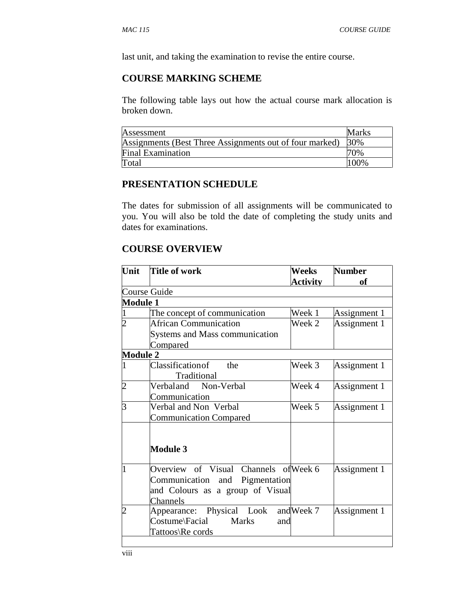last unit, and taking the examination to revise the entire course.

#### **COURSE MARKING SCHEME**

The following table lays out how the actual course mark allocation is broken down.

| Assessment                                              | Marks |
|---------------------------------------------------------|-------|
| Assignments (Best Three Assignments out of four marked) | 30%   |
| <b>Final Examination</b>                                | 70%   |
| Total                                                   | 100%  |

#### **PRESENTATION SCHEDULE**

The dates for submission of all assignments will be communicated to you. You will also be told the date of completing the study units and dates for examinations.

#### **COURSE OVERVIEW**

| Unit            | <b>Title of work</b>                  | Weeks           | <b>Number</b> |  |
|-----------------|---------------------------------------|-----------------|---------------|--|
|                 |                                       | <b>Activity</b> | <b>of</b>     |  |
|                 | Course Guide                          |                 |               |  |
| <b>Module 1</b> |                                       |                 |               |  |
|                 | The concept of communication          | Week 1          | Assignment 1  |  |
|                 | <b>African Communication</b>          | Week 2          | Assignment 1  |  |
|                 | Systems and Mass communication        |                 |               |  |
|                 | Compared                              |                 |               |  |
| <b>Module 2</b> |                                       |                 |               |  |
| 1               | Classification of<br>the              | Week 3          | Assignment 1  |  |
|                 | Traditional                           |                 |               |  |
| $\overline{2}$  | Verbaland Non-Verbal                  | Week 4          | Assignment 1  |  |
|                 | Communication                         |                 |               |  |
| $\overline{3}$  | Verbal and Non Verbal                 | Week 5          | Assignment 1  |  |
|                 | <b>Communication Compared</b>         |                 |               |  |
|                 |                                       |                 |               |  |
|                 |                                       |                 |               |  |
|                 | <b>Module 3</b>                       |                 |               |  |
|                 |                                       |                 |               |  |
|                 | Overview of Visual Channels of Week 6 |                 | Assignment 1  |  |
|                 | Communication and Pigmentation        |                 |               |  |
|                 | and Colours as a group of Visual      |                 |               |  |
|                 | Channels                              |                 |               |  |
| $\overline{2}$  | Appearance: Physical Look and Week 7  |                 | Assignment 1  |  |
|                 | Costume\Facial Marks<br>and           |                 |               |  |
|                 | Tattoos\Re cords                      |                 |               |  |
|                 |                                       |                 |               |  |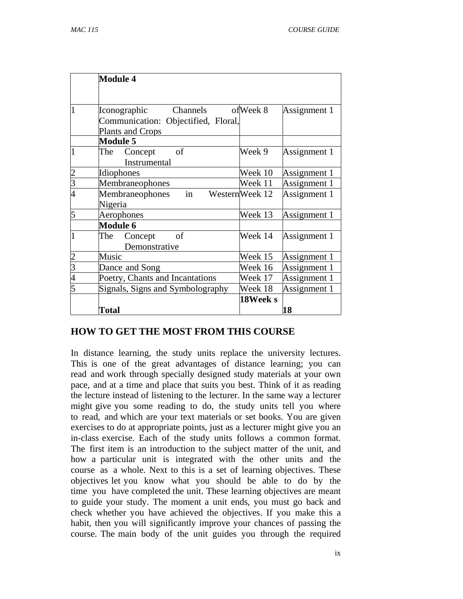|   | <b>Module 4</b>                                         |                |              |
|---|---------------------------------------------------------|----------------|--------------|
|   | Channels<br>Iconographic                                | ofWeek 8       | Assignment 1 |
|   | Communication: Objectified, Floral,<br>Plants and Crops |                |              |
|   | <b>Module 5</b>                                         |                |              |
|   | of<br>The<br>Concept<br>Instrumental                    | Week 9         | Assignment 1 |
|   | Idiophones                                              | Week 10        | Assignment 1 |
| 3 | Membraneophones                                         | Week 11        | Assignment 1 |
| 4 | in<br>Membraneophones<br>Nigeria                        | WesternWeek 12 | Assignment 1 |
| 5 | Aerophones                                              | Week 13        | Assignment 1 |
|   | <b>Module 6</b>                                         |                |              |
|   | The<br>of<br>Concept<br>Demonstrative                   | Week 14        | Assignment 1 |
|   | Music                                                   | Week 15        | Assignment 1 |
| 3 | Dance and Song                                          | Week 16        | Assignment 1 |
| 4 | Poetry, Chants and Incantations                         | Week 17        | Assignment 1 |
|   | Signals, Signs and Symbolography                        | Week 18        | Assignment 1 |
|   | Total                                                   | 18Week s       | 18           |

#### **HOW TO GET THE MOST FROM THIS COURSE**

In distance learning, the study units replace the university lectures. This is one of the great advantages of distance learning; you can read and work through specially designed study materials at your own pace, and at a time and place that suits you best. Think of it as reading the lecture instead of listening to the lecturer. In the same way a lecturer might give you some reading to do, the study units tell you where to read, and which are your text materials or set books. You are given exercises to do at appropriate points, just as a lecturer might give you an in-class exercise. Each of the study units follows a common format. The first item is an introduction to the subject matter of the unit, and how a particular unit is integrated with the other units and the course as a whole. Next to this is a set of learning objectives. These objectives let you know what you should be able to do by the time you have completed the unit. These learning objectives are meant to guide your study. The moment a unit ends, you must go back and check whether you have achieved the objectives. If you make this a habit, then you will significantly improve your chances of passing the course. The main body of the unit guides you through the required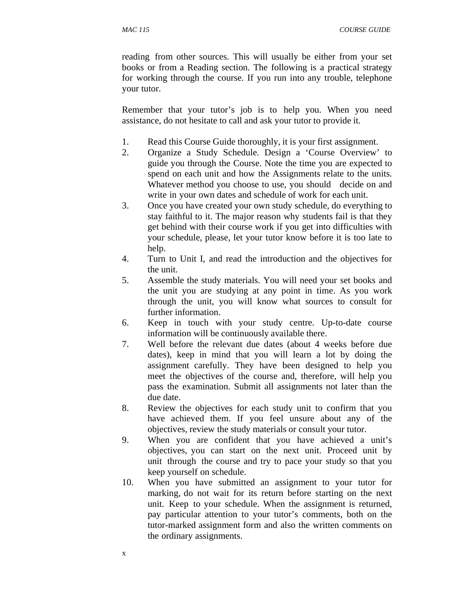*MAC 115 COURSE GUIDE* 

reading from other sources. This will usually be either from your set books or from a Reading section. The following is a practical strategy for working through the course. If you run into any trouble, telephone your tutor.

Remember that your tutor's job is to help you. When you need assistance, do not hesitate to call and ask your tutor to provide it.

- 1. Read this Course Guide thoroughly, it is your first assignment.
- 2. Organize a Study Schedule. Design a 'Course Overview' to guide you through the Course. Note the time you are expected to spend on each unit and how the Assignments relate to the units. Whatever method you choose to use, you should decide on and write in your own dates and schedule of work for each unit.
- 3. Once you have created your own study schedule, do everything to stay faithful to it. The major reason why students fail is that they get behind with their course work if you get into difficulties with your schedule, please, let your tutor know before it is too late to help.
- 4. Turn to Unit I, and read the introduction and the objectives for the unit.
- 5. Assemble the study materials. You will need your set books and the unit you are studying at any point in time. As you work through the unit, you will know what sources to consult for further information.
- 6. Keep in touch with your study centre. Up-to-date course information will be continuously available there.
- 7. Well before the relevant due dates (about 4 weeks before due dates), keep in mind that you will learn a lot by doing the assignment carefully. They have been designed to help you meet the objectives of the course and, therefore, will help you pass the examination. Submit all assignments not later than the due date.
- 8. Review the objectives for each study unit to confirm that you have achieved them. If you feel unsure about any of the objectives, review the study materials or consult your tutor.
- 9. When you are confident that you have achieved a unit's objectives, you can start on the next unit. Proceed unit by unit through the course and try to pace your study so that you keep yourself on schedule.
- 10. When you have submitted an assignment to your tutor for marking, do not wait for its return before starting on the next unit. Keep to your schedule. When the assignment is returned, pay particular attention to your tutor's comments, both on the tutor-marked assignment form and also the written comments on the ordinary assignments.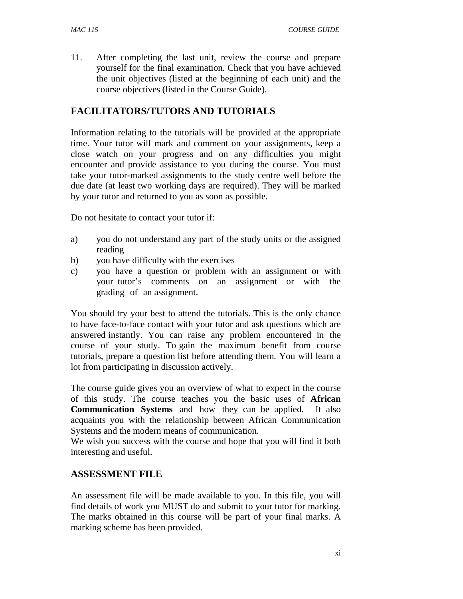11. After completing the last unit, review the course and prepare yourself for the final examination. Check that you have achieved the unit objectives (listed at the beginning of each unit) and the course objectives (listed in the Course Guide).

## **FACILITATORS/TUTORS AND TUTORIALS**

Information relating to the tutorials will be provided at the appropriate time. Your tutor will mark and comment on your assignments, keep a close watch on your progress and on any difficulties you might encounter and provide assistance to you during the course. You must take your tutor-marked assignments to the study centre well before the due date (at least two working days are required). They will be marked by your tutor and returned to you as soon as possible.

Do not hesitate to contact your tutor if:

- a) you do not understand any part of the study units or the assigned reading
- b) you have difficulty with the exercises
- c) you have a question or problem with an assignment or with your tutor's comments on an assignment or with the grading of an assignment.

You should try your best to attend the tutorials. This is the only chance to have face-to-face contact with your tutor and ask questions which are answered instantly. You can raise any problem encountered in the course of your study. To gain the maximum benefit from course tutorials, prepare a question list before attending them. You will learn a lot from participating in discussion actively.

The course guide gives you an overview of what to expect in the course of this study. The course teaches you the basic uses of **African Communication Systems** and how they can be applied. It also acquaints you with the relationship between African Communication Systems and the modern means of communication.

We wish you success with the course and hope that you will find it both interesting and useful.

#### **ASSESSMENT FILE**

An assessment file will be made available to you. In this file, you will find details of work you MUST do and submit to your tutor for marking. The marks obtained in this course will be part of your final marks. A marking scheme has been provided.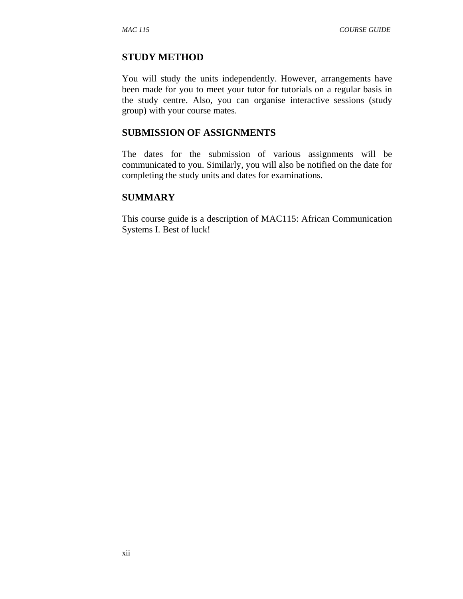#### **STUDY METHOD**

You will study the units independently. However, arrangements have been made for you to meet your tutor for tutorials on a regular basis in the study centre. Also, you can organise interactive sessions (study group) with your course mates.

#### **SUBMISSION OF ASSIGNMENTS**

The dates for the submission of various assignments will be communicated to you. Similarly, you will also be notified on the date for completing the study units and dates for examinations.

#### **SUMMARY**

This course guide is a description of MAC115: African Communication Systems I. Best of luck!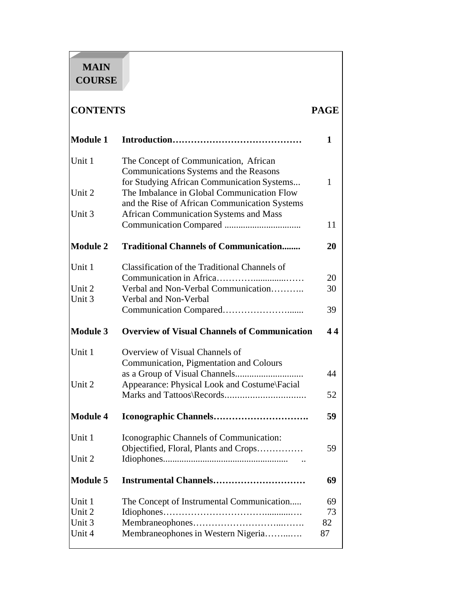# **MAIN COURSE**

## **CONTENTS PAGE**

| <b>Module 1</b> |                                                                                          | 1         |
|-----------------|------------------------------------------------------------------------------------------|-----------|
| Unit 1          | The Concept of Communication, African                                                    |           |
|                 | Communications Systems and the Reasons                                                   |           |
| Unit 2          | for Studying African Communication Systems<br>The Imbalance in Global Communication Flow | 1         |
|                 | and the Rise of African Communication Systems                                            |           |
| Unit 3          | <b>African Communication Systems and Mass</b>                                            |           |
|                 |                                                                                          | 11        |
| <b>Module 2</b> | <b>Traditional Channels of Communication</b>                                             | <b>20</b> |
| Unit 1          | Classification of the Traditional Channels of                                            |           |
|                 |                                                                                          | 20        |
| Unit 2          | Verbal and Non-Verbal Communication                                                      | 30        |
| Unit 3          | Verbal and Non-Verbal                                                                    |           |
|                 |                                                                                          | 39        |
| <b>Module 3</b> | <b>Overview of Visual Channels of Communication</b>                                      | 44        |
| Unit 1          | Overview of Visual Channels of                                                           |           |
|                 | Communication, Pigmentation and Colours                                                  |           |
|                 |                                                                                          | 44        |
| Unit 2          | Appearance: Physical Look and Costume\Facial                                             |           |
|                 |                                                                                          | 52        |
| <b>Module 4</b> |                                                                                          | 59        |
| Unit 1          | Iconographic Channels of Communication:                                                  |           |
|                 | Objectified, Floral, Plants and Crops                                                    | 59        |
| Unit 2          |                                                                                          |           |
| <b>Module 5</b> |                                                                                          | 69        |
| Unit 1          | The Concept of Instrumental Communication                                                | 69        |
| Unit 2          |                                                                                          | 73        |
| Unit 3          |                                                                                          | 82        |
| Unit 4          | Membraneophones in Western Nigeria                                                       | 87        |
|                 |                                                                                          |           |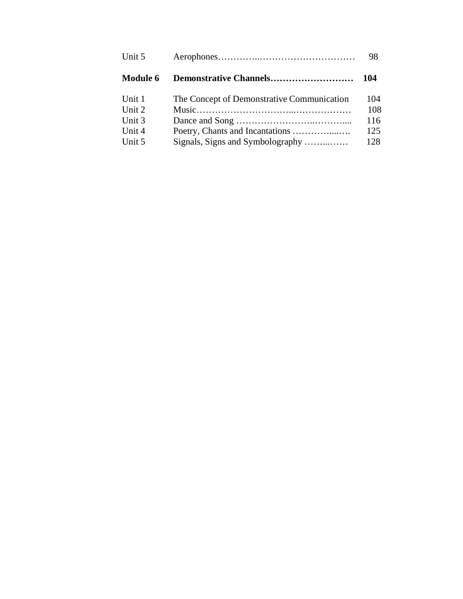|                                            | 98  |
|--------------------------------------------|-----|
|                                            | 104 |
| The Concept of Demonstrative Communication | 104 |
|                                            | 108 |
|                                            | 116 |
|                                            | 125 |
| Signals, Signs and Symbolography           | 128 |
|                                            |     |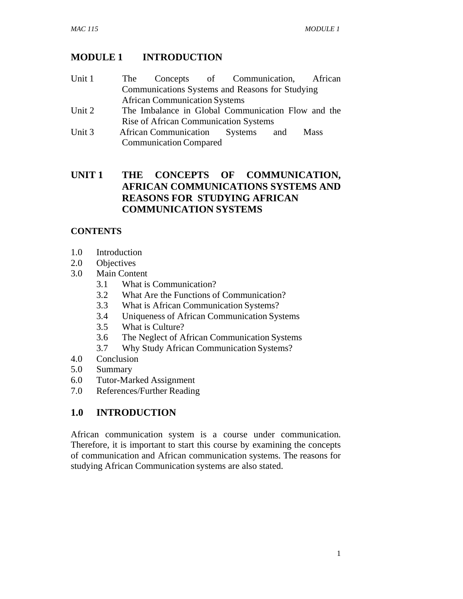## **MODULE 1 INTRODUCTION**

| Unit 1                                                                                                                                                                                                                                                                                                                                                                               | The |                                      | Concepts of Communication, African                 |  |
|--------------------------------------------------------------------------------------------------------------------------------------------------------------------------------------------------------------------------------------------------------------------------------------------------------------------------------------------------------------------------------------|-----|--------------------------------------|----------------------------------------------------|--|
|                                                                                                                                                                                                                                                                                                                                                                                      |     |                                      | Communications Systems and Reasons for Studying    |  |
|                                                                                                                                                                                                                                                                                                                                                                                      |     | <b>African Communication Systems</b> |                                                    |  |
| $\overline{1}$ $\overline{1}$ $\overline{2}$ $\overline{1}$ $\overline{2}$ $\overline{1}$ $\overline{2}$ $\overline{2}$ $\overline{2}$ $\overline{2}$ $\overline{2}$ $\overline{2}$ $\overline{2}$ $\overline{2}$ $\overline{2}$ $\overline{2}$ $\overline{2}$ $\overline{2}$ $\overline{2}$ $\overline{2}$ $\overline{2}$ $\overline{2}$ $\overline{2}$ $\overline{2}$ $\overline{$ |     |                                      | The Impelance in Clapel Communication Flow and the |  |

- Unit 2 The Imbalance in Global Communication Flow and the Rise of African Communication Systems
- Unit 3 African Communication Systems and Mass Communication Compared

## **UNIT 1 THE CONCEPTS OF COMMUNICATION, AFRICAN COMMUNICATIONS SYSTEMS AND REASONS FOR STUDYING AFRICAN COMMUNICATION SYSTEMS**

## **CONTENTS**

- 1.0 Introduction
- 2.0 Objectives
- 3.0 Main Content
	- 3.1 What is Communication?
	- 3.2 What Are the Functions of Communication?
	- 3.3 What is African Communication Systems?
	- 3.4 Uniqueness of African Communication Systems
	- 3.5 What is Culture?
	- 3.6 The Neglect of African Communication Systems
	- 3.7 Why Study African Communication Systems?
- 4.0 Conclusion
- 5.0 Summary
- 6.0 Tutor-Marked Assignment
- 7.0 References/Further Reading

## **1.0 INTRODUCTION**

African communication system is a course under communication. Therefore, it is important to start this course by examining the concepts of communication and African communication systems. The reasons for studying African Communication systems are also stated.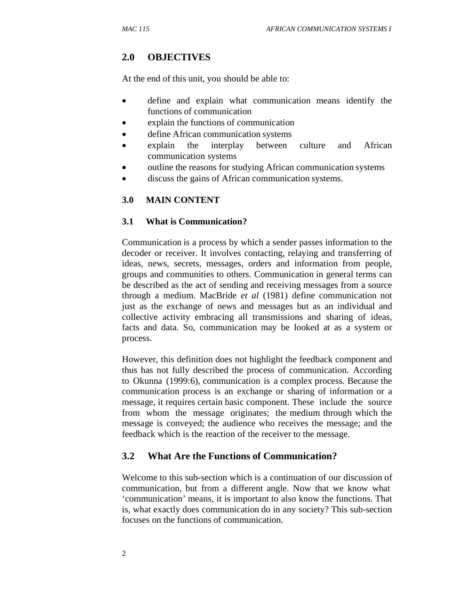#### **2.0 OBJECTIVES**

At the end of this unit, you should be able to:

- define and explain what communication means identify the functions of communication
- explain the functions of communication
- define African communication systems
- explain the interplay between culture and African communication systems
- outline the reasons for studying African communication systems
- discuss the gains of African communication systems.

#### **3.0 MAIN CONTENT**

#### **3.1 What is Communication?**

Communication is a process by which a sender passes information to the decoder or receiver. It involves contacting, relaying and transferring of ideas, news, secrets, messages, orders and information from people, groups and communities to others. Communication in general terms can be described as the act of sending and receiving messages from a source through a medium. MacBride *et al* (1981) define communication not just as the exchange of news and messages but as an individual and collective activity embracing all transmissions and sharing of ideas, facts and data. So, communication may be looked at as a system or process.

However, this definition does not highlight the feedback component and thus has not fully described the process of communication. According to Okunna (1999:6), communication is a complex process. Because the communication process is an exchange or sharing of information or a message, it requires certain basic component. These include the source from whom the message originates; the medium through which the message is conveyed; the audience who receives the message; and the feedback which is the reaction of the receiver to the message.

#### **3.2 What Are the Functions of Communication?**

Welcome to this sub-section which is a continuation of our discussion of communication, but from a different angle. Now that we know what 'communication' means, it is important to also know the functions. That is, what exactly does communication do in any society? This sub-section focuses on the functions of communication.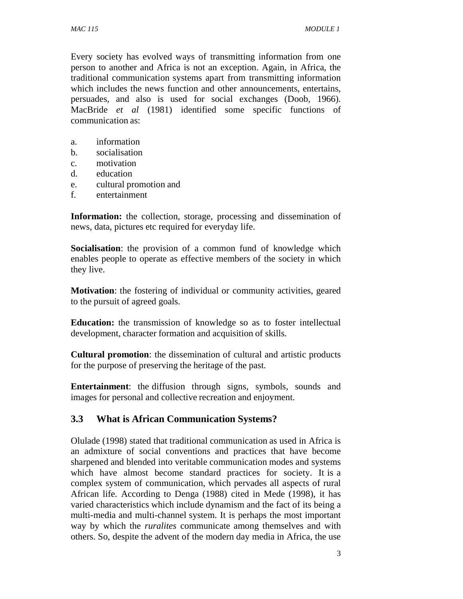Every society has evolved ways of transmitting information from one person to another and Africa is not an exception. Again, in Africa, the traditional communication systems apart from transmitting information which includes the news function and other announcements, entertains, persuades, and also is used for social exchanges (Doob, 1966). MacBride *et al* (1981) identified some specific functions of communication as:

- a. information
- b. socialisation
- c. motivation
- d. education
- e. cultural promotion and
- f. entertainment

**Information:** the collection, storage, processing and dissemination of news, data, pictures etc required for everyday life.

**Socialisation**: the provision of a common fund of knowledge which enables people to operate as effective members of the society in which they live.

**Motivation**: the fostering of individual or community activities, geared to the pursuit of agreed goals.

**Education:** the transmission of knowledge so as to foster intellectual development, character formation and acquisition of skills.

**Cultural promotion**: the dissemination of cultural and artistic products for the purpose of preserving the heritage of the past.

**Entertainment**: the diffusion through signs, symbols, sounds and images for personal and collective recreation and enjoyment.

#### **3.3 What is African Communication Systems?**

Olulade (1998) stated that traditional communication as used in Africa is an admixture of social conventions and practices that have become sharpened and blended into veritable communication modes and systems which have almost become standard practices for society. It is a complex system of communication, which pervades all aspects of rural African life. According to Denga (1988) cited in Mede (1998), it has varied characteristics which include dynamism and the fact of its being a multi-media and multi-channel system. It is perhaps the most important way by which the *ruralites* communicate among themselves and with others. So, despite the advent of the modern day media in Africa, the use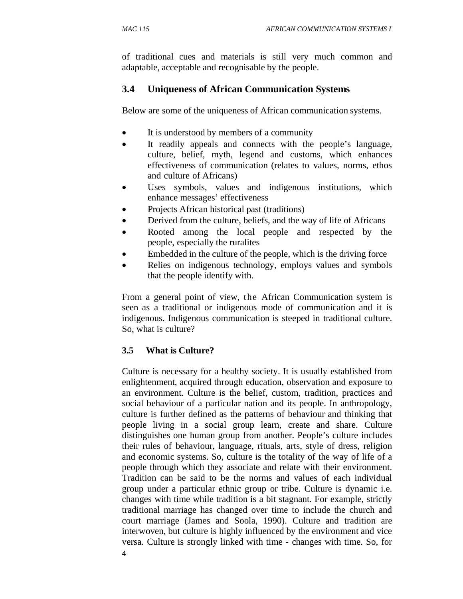of traditional cues and materials is still very much common and adaptable, acceptable and recognisable by the people.

## **3.4 Uniqueness of African Communication Systems**

Below are some of the uniqueness of African communication systems.

- It is understood by members of a community
- It readily appeals and connects with the people's language, culture, belief, myth, legend and customs, which enhances effectiveness of communication (relates to values, norms, ethos and culture of Africans)
- Uses symbols, values and indigenous institutions, which enhance messages' effectiveness
- Projects African historical past (traditions)
- Derived from the culture, beliefs, and the way of life of Africans
- Rooted among the local people and respected by the people, especially the ruralites
- Embedded in the culture of the people, which is the driving force
- Relies on indigenous technology, employs values and symbols that the people identify with.

From a general point of view, the African Communication system is seen as a traditional or indigenous mode of communication and it is indigenous. Indigenous communication is steeped in traditional culture. So, what is culture?

#### **3.5 What is Culture?**

4 Culture is necessary for a healthy society. It is usually established from enlightenment, acquired through education, observation and exposure to an environment. Culture is the belief, custom, tradition, practices and social behaviour of a particular nation and its people. In anthropology, culture is further defined as the patterns of behaviour and thinking that people living in a social group learn, create and share. Culture distinguishes one human group from another. People's culture includes their rules of behaviour, language, rituals, arts, style of dress, religion and economic systems. So, culture is the totality of the way of life of a people through which they associate and relate with their environment. Tradition can be said to be the norms and values of each individual group under a particular ethnic group or tribe. Culture is dynamic i.e. changes with time while tradition is a bit stagnant. For example, strictly traditional marriage has changed over time to include the church and court marriage (James and Soola, 1990). Culture and tradition are interwoven, but culture is highly influenced by the environment and vice versa. Culture is strongly linked with time - changes with time. So, for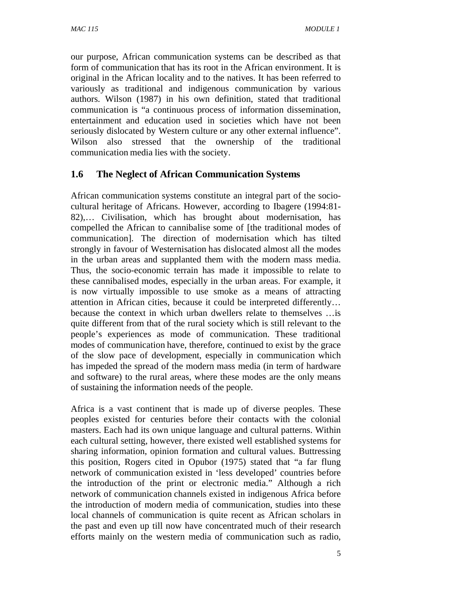our purpose, African communication systems can be described as that form of communication that has its root in the African environment. It is original in the African locality and to the natives. It has been referred to variously as traditional and indigenous communication by various authors. Wilson (1987) in his own definition, stated that traditional communication is "a continuous process of information dissemination, entertainment and education used in societies which have not been seriously dislocated by Western culture or any other external influence". Wilson also stressed that the ownership of the traditional communication media lies with the society.

## **1.6 The Neglect of African Communication Systems**

African communication systems constitute an integral part of the sociocultural heritage of Africans. However, according to Ibagere (1994:81- 82),… Civilisation, which has brought about modernisation, has compelled the African to cannibalise some of [the traditional modes of communication]. The direction of modernisation which has tilted strongly in favour of Westernisation has dislocated almost all the modes in the urban areas and supplanted them with the modern mass media. Thus, the socio-economic terrain has made it impossible to relate to these cannibalised modes, especially in the urban areas. For example, it is now virtually impossible to use smoke as a means of attracting attention in African cities, because it could be interpreted differently… because the context in which urban dwellers relate to themselves …is quite different from that of the rural society which is still relevant to the people's experiences as mode of communication. These traditional modes of communication have, therefore, continued to exist by the grace of the slow pace of development, especially in communication which has impeded the spread of the modern mass media (in term of hardware and software) to the rural areas, where these modes are the only means of sustaining the information needs of the people.

Africa is a vast continent that is made up of diverse peoples. These peoples existed for centuries before their contacts with the colonial masters. Each had its own unique language and cultural patterns. Within each cultural setting, however, there existed well established systems for sharing information, opinion formation and cultural values. Buttressing this position, Rogers cited in Opubor (1975) stated that "a far flung network of communication existed in 'less developed' countries before the introduction of the print or electronic media." Although a rich network of communication channels existed in indigenous Africa before the introduction of modern media of communication, studies into these local channels of communication is quite recent as African scholars in the past and even up till now have concentrated much of their research efforts mainly on the western media of communication such as radio,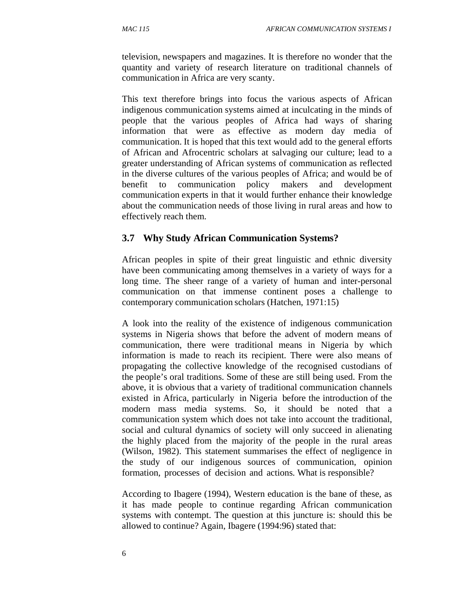television, newspapers and magazines. It is therefore no wonder that the quantity and variety of research literature on traditional channels of communication in Africa are very scanty.

This text therefore brings into focus the various aspects of African indigenous communication systems aimed at inculcating in the minds of people that the various peoples of Africa had ways of sharing information that were as effective as modern day media of communication. It is hoped that this text would add to the general efforts of African and Afrocentric scholars at salvaging our culture; lead to a greater understanding of African systems of communication as reflected in the diverse cultures of the various peoples of Africa; and would be of benefit to communication policy makers and development communication experts in that it would further enhance their knowledge about the communication needs of those living in rural areas and how to effectively reach them.

#### **3.7 Why Study African Communication Systems?**

African peoples in spite of their great linguistic and ethnic diversity have been communicating among themselves in a variety of ways for a long time. The sheer range of a variety of human and inter-personal communication on that immense continent poses a challenge to contemporary communication scholars (Hatchen, 1971:15)

A look into the reality of the existence of indigenous communication systems in Nigeria shows that before the advent of modern means of communication, there were traditional means in Nigeria by which information is made to reach its recipient. There were also means of propagating the collective knowledge of the recognised custodians of the people's oral traditions. Some of these are still being used. From the above, it is obvious that a variety of traditional communication channels existed in Africa, particularly in Nigeria before the introduction of the modern mass media systems. So, it should be noted that a communication system which does not take into account the traditional, social and cultural dynamics of society will only succeed in alienating the highly placed from the majority of the people in the rural areas (Wilson, 1982). This statement summarises the effect of negligence in the study of our indigenous sources of communication, opinion formation, processes of decision and actions. What is responsible?

According to Ibagere (1994), Western education is the bane of these, as it has made people to continue regarding African communication systems with contempt. The question at this juncture is: should this be allowed to continue? Again, Ibagere (1994:96) stated that: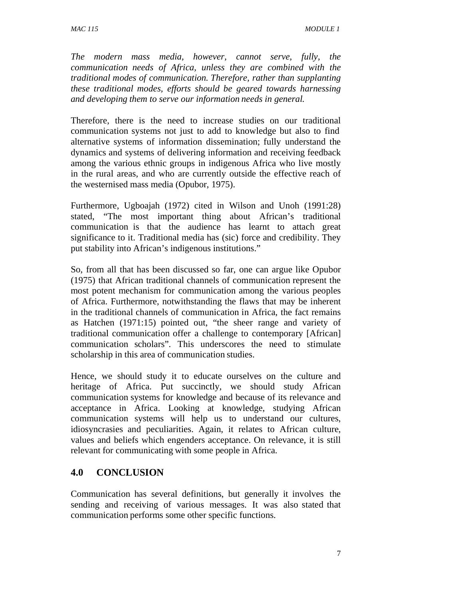*The modern mass media, however, cannot serve, fully, the communication needs of Africa, unless they are combined with the traditional modes of communication. Therefore, rather than supplanting these traditional modes, efforts should be geared towards harnessing and developing them to serve our information needs in general.* 

Therefore, there is the need to increase studies on our traditional communication systems not just to add to knowledge but also to find alternative systems of information dissemination; fully understand the dynamics and systems of delivering information and receiving feedback among the various ethnic groups in indigenous Africa who live mostly in the rural areas, and who are currently outside the effective reach of the westernised mass media (Opubor, 1975).

Furthermore, Ugboajah (1972) cited in Wilson and Unoh (1991:28) stated, "The most important thing about African's traditional communication is that the audience has learnt to attach great significance to it. Traditional media has (sic) force and credibility. They put stability into African's indigenous institutions."

So, from all that has been discussed so far, one can argue like Opubor (1975) that African traditional channels of communication represent the most potent mechanism for communication among the various peoples of Africa. Furthermore, notwithstanding the flaws that may be inherent in the traditional channels of communication in Africa, the fact remains as Hatchen (1971:15) pointed out, "the sheer range and variety of traditional communication offer a challenge to contemporary [African] communication scholars". This underscores the need to stimulate scholarship in this area of communication studies.

Hence, we should study it to educate ourselves on the culture and heritage of Africa. Put succinctly, we should study African communication systems for knowledge and because of its relevance and acceptance in Africa. Looking at knowledge, studying African communication systems will help us to understand our cultures, idiosyncrasies and peculiarities. Again, it relates to African culture, values and beliefs which engenders acceptance. On relevance, it is still relevant for communicating with some people in Africa.

#### **4.0 CONCLUSION**

Communication has several definitions, but generally it involves the sending and receiving of various messages. It was also stated that communication performs some other specific functions.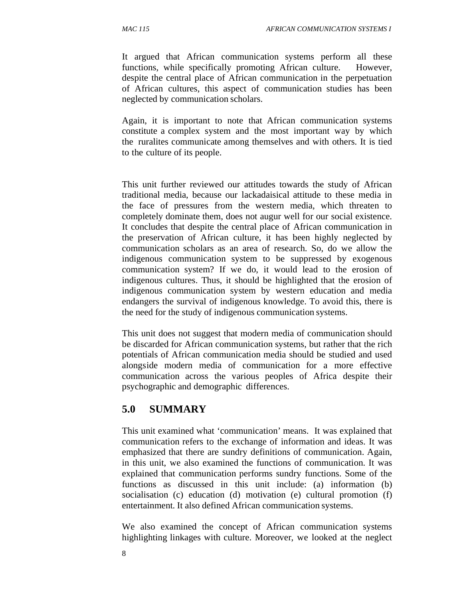It argued that African communication systems perform all these functions, while specifically promoting African culture. However, despite the central place of African communication in the perpetuation of African cultures, this aspect of communication studies has been neglected by communication scholars.

Again, it is important to note that African communication systems constitute a complex system and the most important way by which the ruralites communicate among themselves and with others. It is tied to the culture of its people.

This unit further reviewed our attitudes towards the study of African traditional media, because our lackadaisical attitude to these media in the face of pressures from the western media, which threaten to completely dominate them, does not augur well for our social existence. It concludes that despite the central place of African communication in the preservation of African culture, it has been highly neglected by communication scholars as an area of research. So, do we allow the indigenous communication system to be suppressed by exogenous communication system? If we do, it would lead to the erosion of indigenous cultures. Thus, it should be highlighted that the erosion of indigenous communication system by western education and media endangers the survival of indigenous knowledge. To avoid this, there is the need for the study of indigenous communication systems.

This unit does not suggest that modern media of communication should be discarded for African communication systems, but rather that the rich potentials of African communication media should be studied and used alongside modern media of communication for a more effective communication across the various peoples of Africa despite their psychographic and demographic differences.

## **5.0 SUMMARY**

This unit examined what 'communication' means. It was explained that communication refers to the exchange of information and ideas. It was emphasized that there are sundry definitions of communication. Again, in this unit, we also examined the functions of communication. It was explained that communication performs sundry functions. Some of the functions as discussed in this unit include: (a) information (b) socialisation (c) education (d) motivation (e) cultural promotion (f) entertainment. It also defined African communication systems.

We also examined the concept of African communication systems highlighting linkages with culture. Moreover, we looked at the neglect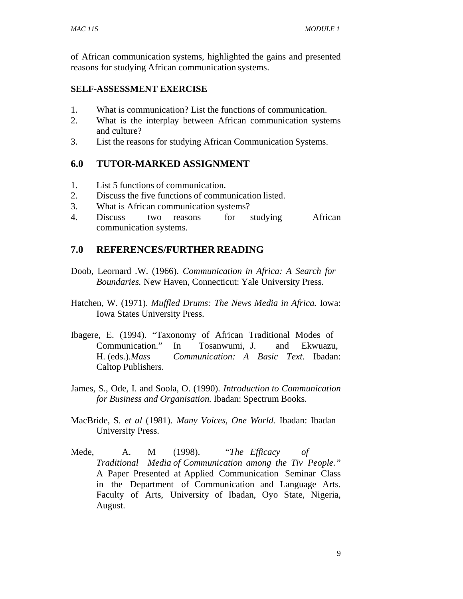of African communication systems, highlighted the gains and presented reasons for studying African communication systems.

#### **SELF-ASSESSMENT EXERCISE**

- 1. What is communication? List the functions of communication.
- 2. What is the interplay between African communication systems and culture?
- 3. List the reasons for studying African Communication Systems.

## **6.0 TUTOR-MARKED ASSIGNMENT**

- 1. List 5 functions of communication.
- 2. Discuss the five functions of communication listed.
- 3. What is African communication systems?
- 4. Discuss two reasons for studying African communication systems.

## **7.0 REFERENCES/FURTHER READING**

- Doob, Leornard .W. (1966). *Communication in Africa: A Search for Boundaries.* New Haven, Connecticut: Yale University Press.
- Hatchen, W. (1971). *Muffled Drums: The News Media in Africa.* Iowa: Iowa States University Press.
- Ibagere, E. (1994). "Taxonomy of African Traditional Modes of Communication." In Tosanwumi, J. and Ekwuazu, H. (eds.).*Mass Communication: A Basic Text*. Ibadan: Caltop Publishers.
- James, S., Ode, I. and Soola, O. (1990). *Introduction to Communication for Business and Organisation.* Ibadan: Spectrum Books.
- MacBride, S. *et al* (1981). *Many Voices, One World.* Ibadan: Ibadan University Press.
- Mede, A. M (1998). *"The Efficacy of Traditional Media of Communication among the Tiv People."*  A Paper Presented at Applied Communication Seminar Class in the Department of Communication and Language Arts. Faculty of Arts, University of Ibadan, Oyo State, Nigeria, August.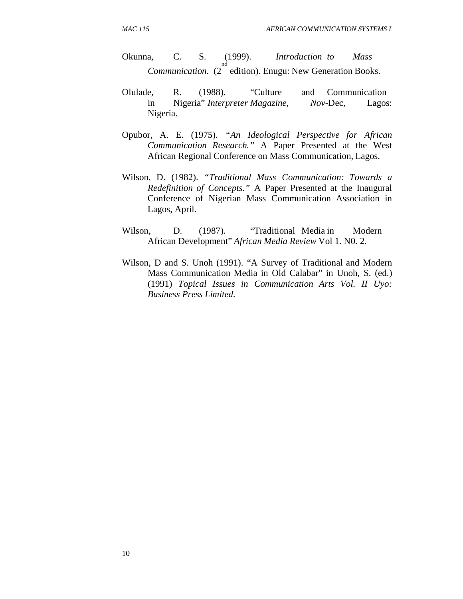Okunna, C. S. (1999). *Introduction to Mass Communication.* (2 edition). Enugu: New Generation Books. nd

- Olulade, R. (1988). "Culture and Communication in Nigeria" *Interpreter Magazine, Nov*-Dec, Lagos: Nigeria.
- Opubor, A. E. (1975). *"An Ideological Perspective for African Communication Research."* A Paper Presented at the West African Regional Conference on Mass Communication, Lagos.
- Wilson, D. (1982). *"Traditional Mass Communication: Towards a Redefinition of Concepts."* A Paper Presented at the Inaugural Conference of Nigerian Mass Communication Association in Lagos, April.
- Wilson, D. (1987). "Traditional Media in Modern African Development" *African Media Review* Vol 1. N0. 2.
- Wilson, D and S. Unoh (1991). "A Survey of Traditional and Modern Mass Communication Media in Old Calabar" in Unoh, S. (ed.) (1991) *Topical Issues in Communication Arts Vol. II Uyo: Business Press Limited.*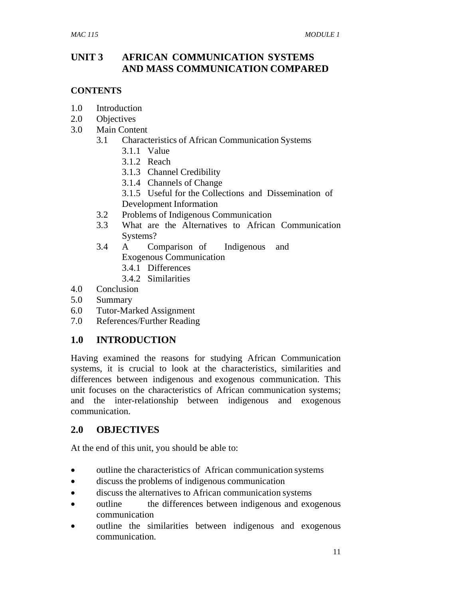## **UNIT 3 AFRICAN COMMUNICATION SYSTEMS AND MASS COMMUNICATION COMPARED**

#### **CONTENTS**

- 1.0 Introduction
- 2.0 Objectives
- 3.0 Main Content
	- 3.1 Characteristics of African Communication Systems
		- 3.1.1 Value
		- 3.1.2 Reach
		- 3.1.3 Channel Credibility
		- 3.1.4 Channels of Change
		- 3.1.5 Useful for the Collections and Dissemination of Development Information
	- 3.2 Problems of Indigenous Communication
	- 3.3 What are the Alternatives to African Communication Systems?
	- 3.4 A Comparison of Indigenous and Exogenous Communication
		- 3.4.1 Differences
		- 3.4.2 Similarities
- 4.0 Conclusion
- 5.0 Summary
- 6.0 Tutor-Marked Assignment
- 7.0 References/Further Reading

#### **1.0 INTRODUCTION**

Having examined the reasons for studying African Communication systems, it is crucial to look at the characteristics, similarities and differences between indigenous and exogenous communication. This unit focuses on the characteristics of African communication systems; and the inter-relationship between indigenous and exogenous communication.

#### **2.0 OBJECTIVES**

At the end of this unit, you should be able to:

- outline the characteristics of African communication systems
- discuss the problems of indigenous communication
- discuss the alternatives to African communication systems
- outline the differences between indigenous and exogenous communication
- outline the similarities between indigenous and exogenous communication.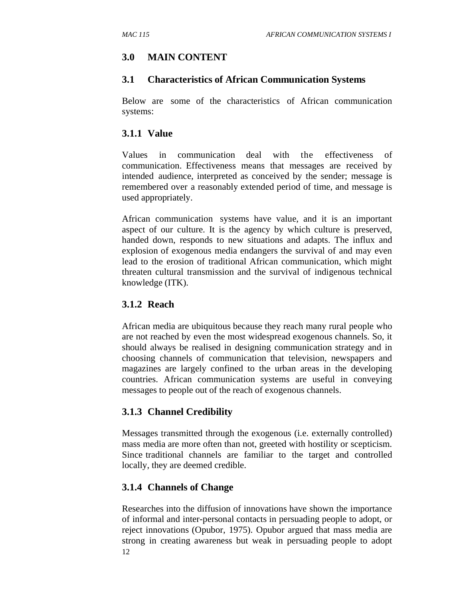## **3.0 MAIN CONTENT**

#### **3.1 Characteristics of African Communication Systems**

Below are some of the characteristics of African communication systems:

#### **3.1.1 Value**

Values in communication deal with the effectiveness of communication. Effectiveness means that messages are received by intended audience, interpreted as conceived by the sender; message is remembered over a reasonably extended period of time, and message is used appropriately.

African communication systems have value, and it is an important aspect of our culture. It is the agency by which culture is preserved, handed down, responds to new situations and adapts. The influx and explosion of exogenous media endangers the survival of and may even lead to the erosion of traditional African communication, which might threaten cultural transmission and the survival of indigenous technical knowledge (ITK).

#### **3.1.2 Reach**

African media are ubiquitous because they reach many rural people who are not reached by even the most widespread exogenous channels. So, it should always be realised in designing communication strategy and in choosing channels of communication that television, newspapers and magazines are largely confined to the urban areas in the developing countries. African communication systems are useful in conveying messages to people out of the reach of exogenous channels.

#### **3.1.3 Channel Credibility**

Messages transmitted through the exogenous (i.e. externally controlled) mass media are more often than not, greeted with hostility or scepticism. Since traditional channels are familiar to the target and controlled locally, they are deemed credible.

#### **3.1.4 Channels of Change**

12 Researches into the diffusion of innovations have shown the importance of informal and inter-personal contacts in persuading people to adopt, or reject innovations (Opubor, 1975). Opubor argued that mass media are strong in creating awareness but weak in persuading people to adopt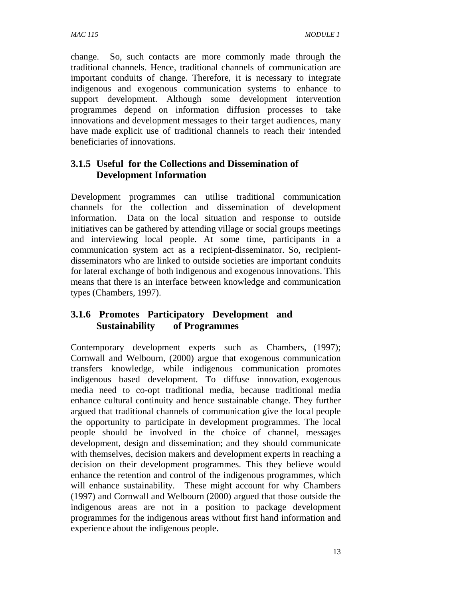change. So, such contacts are more commonly made through the traditional channels. Hence, traditional channels of communication are important conduits of change. Therefore, it is necessary to integrate indigenous and exogenous communication systems to enhance to support development. Although some development intervention programmes depend on information diffusion processes to take innovations and development messages to their target audiences, many have made explicit use of traditional channels to reach their intended beneficiaries of innovations.

## **3.1.5 Useful for the Collections and Dissemination of Development Information**

Development programmes can utilise traditional communication channels for the collection and dissemination of development information. Data on the local situation and response to outside initiatives can be gathered by attending village or social groups meetings and interviewing local people. At some time, participants in a communication system act as a recipient-disseminator. So, recipientdisseminators who are linked to outside societies are important conduits for lateral exchange of both indigenous and exogenous innovations. This means that there is an interface between knowledge and communication types (Chambers, 1997).

#### **3.1.6 Promotes Participatory Development and Sustainability of Programmes**

Contemporary development experts such as Chambers, (1997); Cornwall and Welbourn, (2000) argue that exogenous communication transfers knowledge, while indigenous communication promotes indigenous based development. To diffuse innovation, exogenous media need to co-opt traditional media, because traditional media enhance cultural continuity and hence sustainable change. They further argued that traditional channels of communication give the local people the opportunity to participate in development programmes. The local people should be involved in the choice of channel, messages development, design and dissemination; and they should communicate with themselves, decision makers and development experts in reaching a decision on their development programmes. This they believe would enhance the retention and control of the indigenous programmes, which will enhance sustainability. These might account for why Chambers (1997) and Cornwall and Welbourn (2000) argued that those outside the indigenous areas are not in a position to package development programmes for the indigenous areas without first hand information and experience about the indigenous people.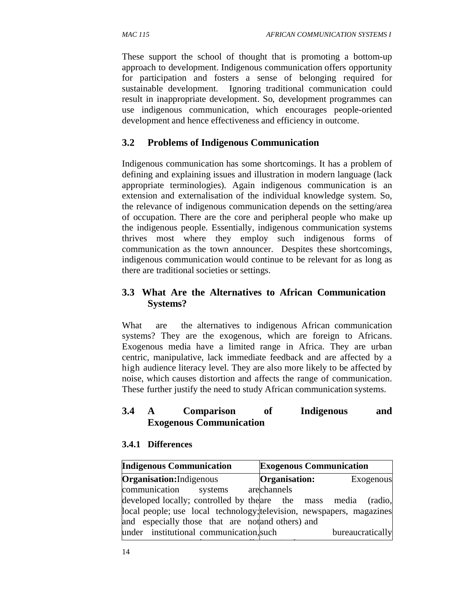These support the school of thought that is promoting a bottom-up approach to development. Indigenous communication offers opportunity for participation and fosters a sense of belonging required for sustainable development. Ignoring traditional communication could result in inappropriate development. So, development programmes can use indigenous communication, which encourages people-oriented development and hence effectiveness and efficiency in outcome.

## **3.2 Problems of Indigenous Communication**

Indigenous communication has some shortcomings. It has a problem of defining and explaining issues and illustration in modern language (lack appropriate terminologies). Again indigenous communication is an extension and externalisation of the individual knowledge system. So, the relevance of indigenous communication depends on the setting/area of occupation. There are the core and peripheral people who make up the indigenous people. Essentially, indigenous communication systems thrives most where they employ such indigenous forms of communication as the town announcer. Despites these shortcomings, indigenous communication would continue to be relevant for as long as there are traditional societies or settings.

## **3.3 What Are the Alternatives to African Communication Systems?**

What are the alternatives to indigenous African communication systems? They are the exogenous, which are foreign to Africans. Exogenous media have a limited range in Africa. They are urban centric, manipulative, lack immediate feedback and are affected by a high audience literacy level. They are also more likely to be affected by noise, which causes distortion and affects the range of communication. These further justify the need to study African communication systems.

## **3.4 A Comparison of Indigenous and Exogenous Communication**

#### **3.4.1 Differences**

| <b>Indigenous Communication</b>                                       | <b>Exogenous Communication</b> |
|-----------------------------------------------------------------------|--------------------------------|
| <b>Organisation:</b> Indigenous                                       | Organisation:<br>Exogenous     |
| communication systems                                                 | arechannels                    |
| developed locally; controlled by the are the mass media               | (radio,                        |
| local people; use local technology; television, newspapers, magazines |                                |
| and especially those that are not and others) and                     |                                |
| under institutional communication, such                               | bureaucratically               |
|                                                                       |                                |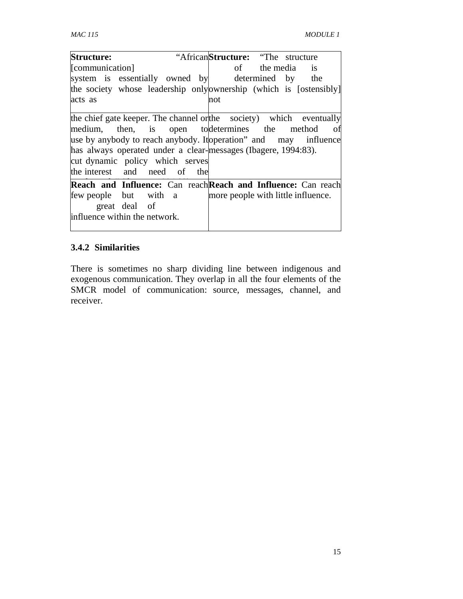| <b>Structure:</b>                                                                                                                                                                                                                                                                                                           |               |  |     | "African <b>Structure:</b> "The structure" |  |                                    |
|-----------------------------------------------------------------------------------------------------------------------------------------------------------------------------------------------------------------------------------------------------------------------------------------------------------------------------|---------------|--|-----|--------------------------------------------|--|------------------------------------|
| [communication]                                                                                                                                                                                                                                                                                                             |               |  |     |                                            |  | of the media is                    |
| system is essentially owned by determined by the                                                                                                                                                                                                                                                                            |               |  |     |                                            |  |                                    |
| the society whose leadership onlyownership (which is [ostensibly]                                                                                                                                                                                                                                                           |               |  |     |                                            |  |                                    |
| acts as                                                                                                                                                                                                                                                                                                                     |               |  | not |                                            |  |                                    |
| the chief gate keeper. The channel orthe society) which eventually<br>medium, then, is open to determines the method<br>use by anybody to reach anybody. It peration and may influence<br>has always operated under a clear-messages (Ibagere, 1994:83).<br>cut dynamic policy which serves<br>the interest and need of the |               |  |     |                                            |  | - of                               |
| Reach and Influence: Can reach Reach and Influence: Can reach                                                                                                                                                                                                                                                               |               |  |     |                                            |  |                                    |
| few people but with a<br>influence within the network.                                                                                                                                                                                                                                                                      | great deal of |  |     |                                            |  | more people with little influence. |

## **3.4.2 Similarities**

There is sometimes no sharp dividing line between indigenous and exogenous communication. They overlap in all the four elements of the SMCR model of communication: source, messages, channel, and receiver.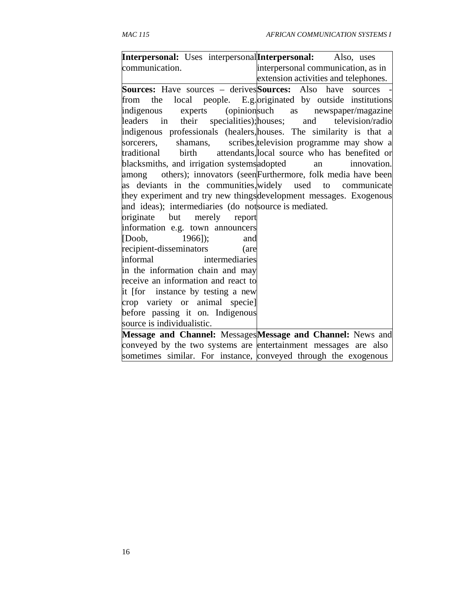| Interpersonal: Uses interpersonal Interpersonal: Also, uses              |                                                                     |
|--------------------------------------------------------------------------|---------------------------------------------------------------------|
| communication.                                                           | interpersonal communication, as in                                  |
|                                                                          | extension activities and telephones.                                |
| <b>Sources:</b> Have sources – derives <b>Sources:</b> Also have sources |                                                                     |
|                                                                          | from the local people. E.g. originated by outside institutions      |
|                                                                          | indigenous experts (opinionsuch as newspaper/magazine               |
|                                                                          | leaders in their specialities); houses; and television/radio        |
|                                                                          | indigenous professionals (healers, houses. The similarity is that a |
| sorcerers,                                                               | shamans, scribes, television programme may show a                   |
|                                                                          | traditional birth attendants, local source who has benefited or     |
| blacksmiths, and irrigation systems adopted an                           | innovation.                                                         |
|                                                                          | among others); innovators (seenFurthermore, folk media have been    |
|                                                                          | as deviants in the communities, widely used to communicate          |
|                                                                          | they experiment and try new things development messages. Exogenous  |
| and ideas); intermediaries (do not source is mediated.                   |                                                                     |
| originate but merely report                                              |                                                                     |
| information e.g. town announcers                                         |                                                                     |
| $[Doob, 1966]$ ;<br>and                                                  |                                                                     |
| recipient-disseminators<br>(are                                          |                                                                     |
| informal<br>intermediaries                                               |                                                                     |
| in the information chain and may                                         |                                                                     |
| receive an information and react to                                      |                                                                     |
| it [for instance by testing a new                                        |                                                                     |
| crop variety or animal specie]                                           |                                                                     |
| before passing it on. Indigenous                                         |                                                                     |
| source is individualistic.                                               |                                                                     |
|                                                                          | Message and Channel: Messages Message and Channel: News and         |
| conveyed by the two systems are entertainment messages are also          |                                                                     |
| sometimes similar. For instance, conveyed through the exogenous          |                                                                     |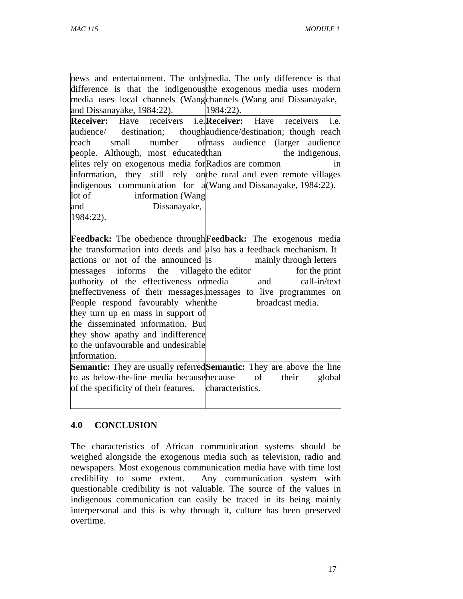|                                                                     | news and entertainment. The onlymedia. The only difference is that           |
|---------------------------------------------------------------------|------------------------------------------------------------------------------|
|                                                                     | difference is that the indigenous the exogenous media uses modern            |
| media uses local channels (Wangchannels (Wang and Dissanayake,      |                                                                              |
| and Dissanayake, 1984:22).                                          | 1984:22).                                                                    |
| <b>Receiver:</b> Have receivers i.e. <b>Receiver:</b> Have          | receivers<br>i.e.                                                            |
|                                                                     | audience/ destination; though audience/destination; though reach             |
| reach<br>small                                                      | number of mass audience (larger audience                                     |
| people. Although, most educated than                                | the indigenous.                                                              |
| elites rely on exogenous media for Radios are common                | 1n                                                                           |
|                                                                     | information, they still rely on the rural and even remote villages           |
| indigenous communication for $a(Wang and Dissanayake, 1984:22)$ .   |                                                                              |
| lot of<br>information (Wang                                         |                                                                              |
| Dissanayake,<br>and                                                 |                                                                              |
| 1984:22).                                                           |                                                                              |
|                                                                     |                                                                              |
|                                                                     | <b>Feedback:</b> The obedience through <b>Feedback:</b> The exogenous media  |
| the transformation into deeds and also has a feedback mechanism. It |                                                                              |
| actions or not of the announced is                                  | mainly through letters                                                       |
| messages informs the village to the editor                          | for the print                                                                |
| authority of the effectiveness ormedia                              | call-in/text<br>and                                                          |
|                                                                     | ineffectiveness of their messages. messages to live programmes on            |
| People respond favourably when the                                  | broadcast media.                                                             |
| they turn up en mass in support of                                  |                                                                              |
| the disseminated information. But                                   |                                                                              |
| they show apathy and indifference                                   |                                                                              |
| to the unfavourable and undesirable                                 |                                                                              |
| information.                                                        |                                                                              |
|                                                                     | <b>Semantic:</b> They are usually referred Semantic: They are above the line |
| to as below-the-line media because because                          | of<br>their<br>global                                                        |
| of the specificity of their features. characteristics.              |                                                                              |
|                                                                     |                                                                              |

#### **4.0 CONCLUSION**

The characteristics of African communication systems should be weighed alongside the exogenous media such as television, radio and newspapers. Most exogenous communication media have with time lost credibility to some extent. Any communication system with questionable credibility is not valuable. The source of the values in indigenous communication can easily be traced in its being mainly interpersonal and this is why through it, culture has been preserved overtime.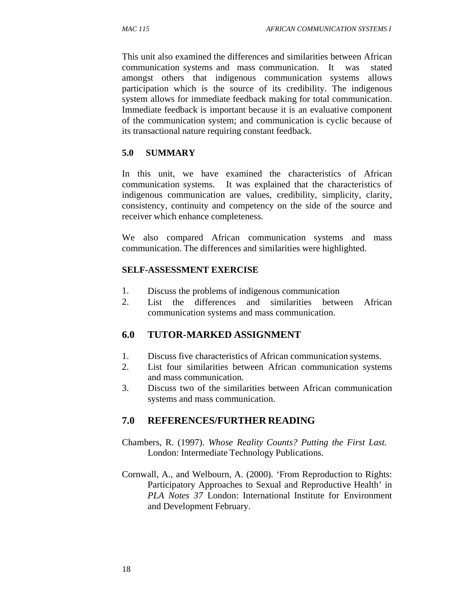This unit also examined the differences and similarities between African communication systems and mass communication. It was stated amongst others that indigenous communication systems allows participation which is the source of its credibility. The indigenous system allows for immediate feedback making for total communication. Immediate feedback is important because it is an evaluative component of the communication system; and communication is cyclic because of its transactional nature requiring constant feedback.

#### **5.0 SUMMARY**

In this unit, we have examined the characteristics of African communication systems. It was explained that the characteristics of indigenous communication are values, credibility, simplicity, clarity, consistency, continuity and competency on the side of the source and receiver which enhance completeness.

We also compared African communication systems and mass communication. The differences and similarities were highlighted.

#### **SELF-ASSESSMENT EXERCISE**

- 1. Discuss the problems of indigenous communication
- 2. List the differences and similarities between African communication systems and mass communication.

#### **6.0 TUTOR-MARKED ASSIGNMENT**

- 1. Discuss five characteristics of African communication systems.
- 2. List four similarities between African communication systems and mass communication.
- 3. Discuss two of the similarities between African communication systems and mass communication.

#### **7.0 REFERENCES/FURTHER READING**

- Chambers, R. (1997). *Whose Reality Counts? Putting the First Last.* London: Intermediate Technology Publications.
- Cornwall, A., and Welbourn, A. (2000). 'From Reproduction to Rights: Participatory Approaches to Sexual and Reproductive Health' in *PLA Notes 37* London: International Institute for Environment and Development February.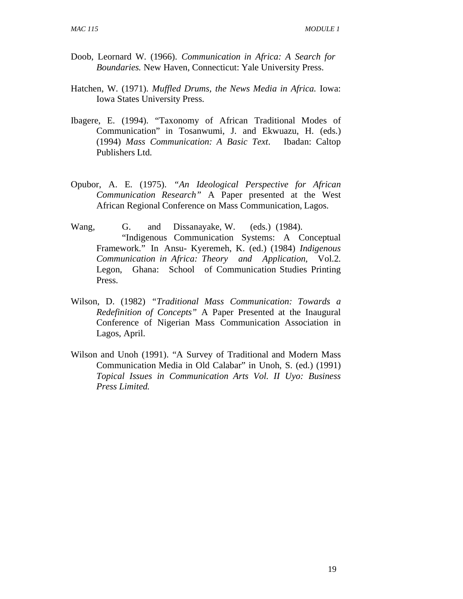- Doob, Leornard W. (1966). *Communication in Africa: A Search for Boundaries.* New Haven, Connecticut: Yale University Press.
- Hatchen, W. (1971). *Muffled Drums, the News Media in Africa.* Iowa: Iowa States University Press.
- Ibagere, E. (1994). "Taxonomy of African Traditional Modes of Communication" in Tosanwumi, J. and Ekwuazu, H. (eds.) (1994) *Mass Communication: A Basic Text*. Ibadan: Caltop Publishers Ltd.
- Opubor, A. E. (1975). *"An Ideological Perspective for African Communication Research"* A Paper presented at the West African Regional Conference on Mass Communication, Lagos.
- Wang, G. and Dissanayake, W. (eds.) (1984). "Indigenous Communication Systems: A Conceptual Framework." In Ansu- Kyeremeh, K. (ed.) (1984) *Indigenous Communication in Africa: Theory and Application,* Vol.2. Legon, Ghana: School of Communication Studies Printing Press.
- Wilson, D. (1982) *"Traditional Mass Communication: Towards a Redefinition of Concepts"* A Paper Presented at the Inaugural Conference of Nigerian Mass Communication Association in Lagos, April.
- Wilson and Unoh (1991). "A Survey of Traditional and Modern Mass Communication Media in Old Calabar" in Unoh, S. (ed.) (1991) *Topical Issues in Communication Arts Vol. II Uyo: Business Press Limited.*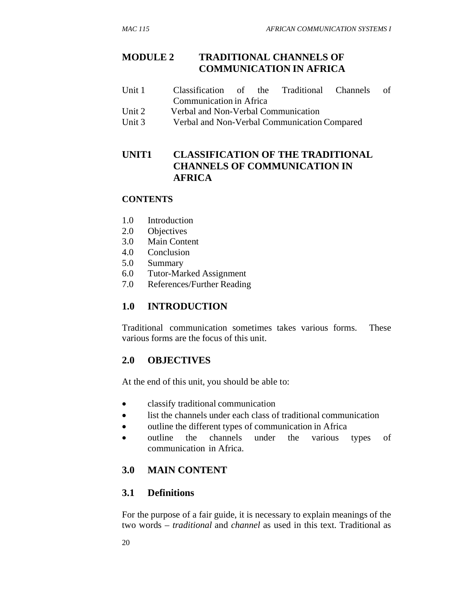#### **MODULE 2 TRADITIONAL CHANNELS OF COMMUNICATION IN AFRICA**

- Unit 1 Classification of the Traditional Channels of Communication in Africa
- Unit 2 Verbal and Non-Verbal Communication
- Unit 3 Verbal and Non-Verbal Communication Compared

## **UNIT1 CLASSIFICATION OF THE TRADITIONAL CHANNELS OF COMMUNICATION IN AFRICA**

#### **CONTENTS**

- 1.0 Introduction
- 2.0 Objectives
- 3.0 Main Content
- 4.0 Conclusion
- 5.0 Summary
- 6.0 Tutor-Marked Assignment
- 7.0 References/Further Reading

#### **1.0 INTRODUCTION**

Traditional communication sometimes takes various forms. These various forms are the focus of this unit.

#### **2.0 OBJECTIVES**

At the end of this unit, you should be able to:

- classify traditional communication
- list the channels under each class of traditional communication
- outline the different types of communication in Africa
- outline the channels under the various types of communication in Africa.

#### **3.0 MAIN CONTENT**

#### **3.1 Definitions**

For the purpose of a fair guide, it is necessary to explain meanings of the two words – *traditional* and *channel* as used in this text. Traditional as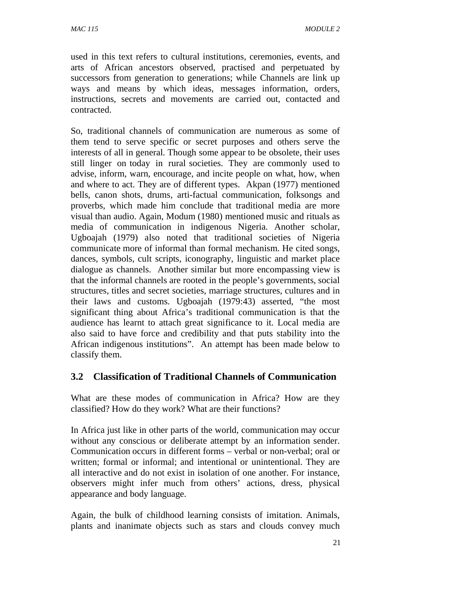used in this text refers to cultural institutions, ceremonies, events, and arts of African ancestors observed, practised and perpetuated by successors from generation to generations; while Channels are link up ways and means by which ideas, messages information, orders, instructions, secrets and movements are carried out, contacted and contracted.

So, traditional channels of communication are numerous as some of them tend to serve specific or secret purposes and others serve the interests of all in general. Though some appear to be obsolete, their uses still linger on today in rural societies. They are commonly used to advise, inform, warn, encourage, and incite people on what, how, when and where to act. They are of different types. Akpan (1977) mentioned bells, canon shots, drums, arti-factual communication, folksongs and proverbs, which made him conclude that traditional media are more visual than audio. Again, Modum (1980) mentioned music and rituals as media of communication in indigenous Nigeria. Another scholar, Ugboajah (1979) also noted that traditional societies of Nigeria communicate more of informal than formal mechanism. He cited songs, dances, symbols, cult scripts, iconography, linguistic and market place dialogue as channels. Another similar but more encompassing view is that the informal channels are rooted in the people's governments, social structures, titles and secret societies, marriage structures, cultures and in their laws and customs. Ugboajah (1979:43) asserted, "the most significant thing about Africa's traditional communication is that the audience has learnt to attach great significance to it. Local media are also said to have force and credibility and that puts stability into the African indigenous institutions". An attempt has been made below to classify them.

#### **3.2 Classification of Traditional Channels of Communication**

What are these modes of communication in Africa? How are they classified? How do they work? What are their functions?

In Africa just like in other parts of the world, communication may occur without any conscious or deliberate attempt by an information sender. Communication occurs in different forms – verbal or non-verbal; oral or written; formal or informal; and intentional or unintentional. They are all interactive and do not exist in isolation of one another. For instance, observers might infer much from others' actions, dress, physical appearance and body language.

Again, the bulk of childhood learning consists of imitation. Animals, plants and inanimate objects such as stars and clouds convey much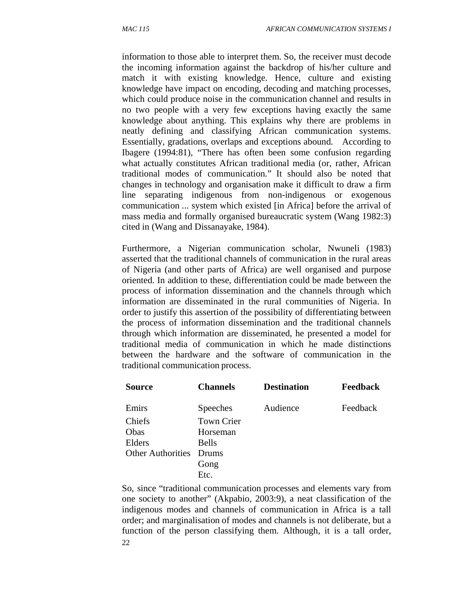information to those able to interpret them. So, the receiver must decode the incoming information against the backdrop of his/her culture and match it with existing knowledge. Hence, culture and existing knowledge have impact on encoding, decoding and matching processes, which could produce noise in the communication channel and results in no two people with a very few exceptions having exactly the same knowledge about anything. This explains why there are problems in neatly defining and classifying African communication systems. Essentially, gradations, overlaps and exceptions abound. According to Ibagere (1994:81), "There has often been some confusion regarding what actually constitutes African traditional media (or, rather, African traditional modes of communication." It should also be noted that changes in technology and organisation make it difficult to draw a firm line separating indigenous from non-indigenous or exogenous communication ... system which existed [in Africa] before the arrival of mass media and formally organised bureaucratic system (Wang 1982:3) cited in (Wang and Dissanayake, 1984).

Furthermore, a Nigerian communication scholar, Nwuneli (1983) asserted that the traditional channels of communication in the rural areas of Nigeria (and other parts of Africa) are well organised and purpose oriented. In addition to these, differentiation could be made between the process of information dissemination and the channels through which information are disseminated in the rural communities of Nigeria. In order to justify this assertion of the possibility of differentiating between the process of information dissemination and the traditional channels through which information are disseminated, he presented a model for traditional media of communication in which he made distinctions between the hardware and the software of communication in the traditional communication process.

| <b>Source</b>            | <b>Channels</b>   | <b>Destination</b> | <b>Feedback</b> |
|--------------------------|-------------------|--------------------|-----------------|
| Emirs                    | <b>Speeches</b>   | Audience           | Feedback        |
| Chiefs                   | <b>Town Crier</b> |                    |                 |
| Obas                     | Horseman          |                    |                 |
| Elders                   | <b>Bells</b>      |                    |                 |
| <b>Other Authorities</b> | <b>Drums</b>      |                    |                 |
|                          | Gong              |                    |                 |
|                          | Etc.              |                    |                 |

22 So, since "traditional communication processes and elements vary from one society to another" (Akpabio, 2003:9), a neat classification of the indigenous modes and channels of communication in Africa is a tall order; and marginalisation of modes and channels is not deliberate, but a function of the person classifying them. Although, it is a tall order,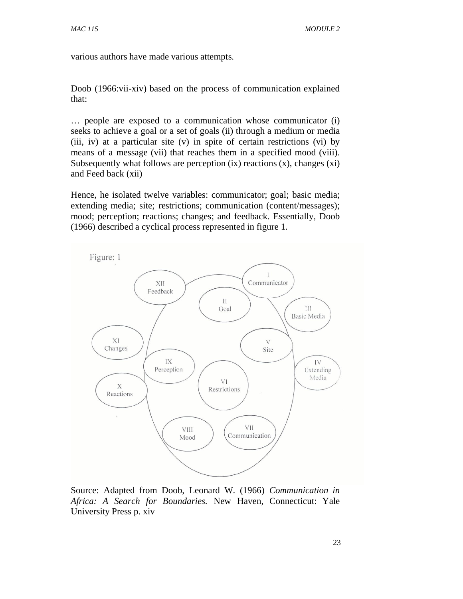various authors have made various attempts.

Doob (1966:vii-xiv) based on the process of communication explained that:

… people are exposed to a communication whose communicator (i) seeks to achieve a goal or a set of goals (ii) through a medium or media (iii, iv) at a particular site (v) in spite of certain restrictions (vi) by means of a message (vii) that reaches them in a specified mood (viii). Subsequently what follows are perception  $(ix)$  reactions  $(x)$ , changes  $(xi)$ and Feed back (xii)

Hence, he isolated twelve variables: communicator; goal; basic media; extending media; site; restrictions; communication (content/messages); mood; perception; reactions; changes; and feedback. Essentially, Doob (1966) described a cyclical process represented in figure 1.



Source: Adapted from Doob, Leonard W. (1966) *Communication in Africa: A Search for Boundaries.* New Haven, Connecticut: Yale University Press p. xiv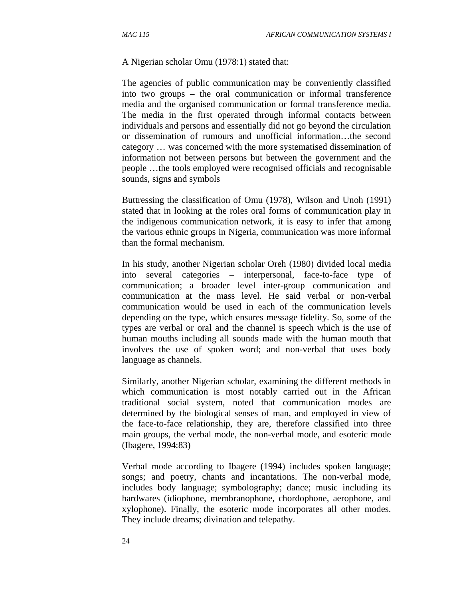#### A Nigerian scholar Omu (1978:1) stated that:

The agencies of public communication may be conveniently classified into two groups – the oral communication or informal transference media and the organised communication or formal transference media. The media in the first operated through informal contacts between individuals and persons and essentially did not go beyond the circulation or dissemination of rumours and unofficial information…the second category … was concerned with the more systematised dissemination of information not between persons but between the government and the people …the tools employed were recognised officials and recognisable sounds, signs and symbols

Buttressing the classification of Omu (1978), Wilson and Unoh (1991) stated that in looking at the roles oral forms of communication play in the indigenous communication network, it is easy to infer that among the various ethnic groups in Nigeria, communication was more informal than the formal mechanism.

In his study, another Nigerian scholar Oreh (1980) divided local media into several categories – interpersonal, face-to-face type of communication; a broader level inter-group communication and communication at the mass level. He said verbal or non-verbal communication would be used in each of the communication levels depending on the type, which ensures message fidelity. So, some of the types are verbal or oral and the channel is speech which is the use of human mouths including all sounds made with the human mouth that involves the use of spoken word; and non-verbal that uses body language as channels.

Similarly, another Nigerian scholar, examining the different methods in which communication is most notably carried out in the African traditional social system, noted that communication modes are determined by the biological senses of man, and employed in view of the face-to-face relationship, they are, therefore classified into three main groups, the verbal mode, the non-verbal mode, and esoteric mode (Ibagere, 1994:83)

Verbal mode according to Ibagere (1994) includes spoken language; songs; and poetry, chants and incantations. The non-verbal mode, includes body language; symbolography; dance; music including its hardwares (idiophone, membranophone, chordophone, aerophone, and xylophone). Finally, the esoteric mode incorporates all other modes. They include dreams; divination and telepathy.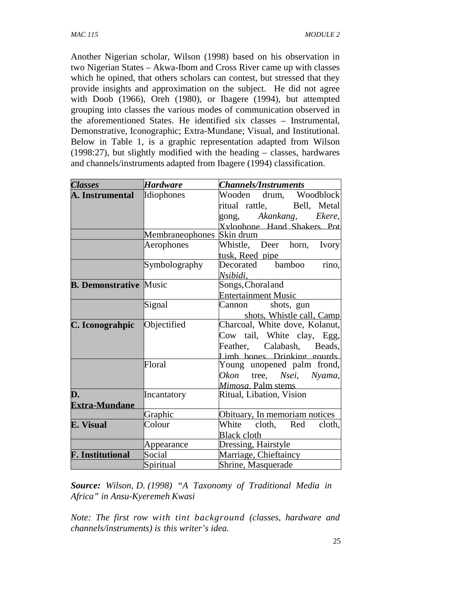Another Nigerian scholar, Wilson (1998) based on his observation in two Nigerian States – Akwa-Ibom and Cross River came up with classes which he opined, that others scholars can contest, but stressed that they provide insights and approximation on the subject. He did not agree with Doob (1966), Oreh (1980), or Ibagere (1994), but attempted grouping into classes the various modes of communication observed in the aforementioned States. He identified six classes – Instrumental, Demonstrative, Iconographic; Extra-Mundane; Visual, and Institutional. Below in Table 1, is a graphic representation adapted from Wilson (1998:27), but slightly modified with the heading – classes, hardwares and channels/instruments adapted from Ibagere (1994) classification.

| <b>Classes</b>                | Hardware        | <b>Channels/Instruments</b>         |  |  |
|-------------------------------|-----------------|-------------------------------------|--|--|
| A. Instrumental               | Idiophones      | Wooden drum, Woodblock              |  |  |
|                               |                 | ritual rattle, Bell, Metal          |  |  |
|                               |                 | gong, Akankang, Ekere,              |  |  |
|                               |                 | Xvlophone Hand Shakers Pot          |  |  |
|                               | Membraneophones | Skin drum                           |  |  |
|                               | Aerophones      | Whistle, Deer horn,<br><b>Ivory</b> |  |  |
|                               |                 | tusk, Reed pipe                     |  |  |
|                               | Symbolography   | Decorated bamboo<br>rino,           |  |  |
|                               |                 | Nsibidi,                            |  |  |
| <b>B. Demonstrative Music</b> |                 | Songs, Choraland                    |  |  |
|                               |                 | <b>Entertainment Music</b>          |  |  |
|                               | Signal          | Cannon<br>shots, gun                |  |  |
|                               |                 | shots, Whistle call, Camp           |  |  |
| C. Iconograhpic               | Objectified     | Charcoal, White dove, Kolanut,      |  |  |
|                               |                 | Cow tail, White clay, Egg,          |  |  |
|                               |                 | Feather, Calabash, Beads,           |  |  |
|                               |                 | Limb bones. Drinking gourds.        |  |  |
|                               | Floral          | Young unopened palm frond,          |  |  |
|                               |                 | Okon<br>tree, Nsei, Nyama,          |  |  |
|                               |                 | Mimosa. Palm stems                  |  |  |
| D.                            | Incantatory     | Ritual, Libation, Vision            |  |  |
| <b>Extra-Mundane</b>          |                 |                                     |  |  |
|                               | Graphic         | Obituary, In memoriam notices       |  |  |
| E. Visual                     | Colour          | White cloth, Red<br>cloth,          |  |  |
|                               |                 | <b>Black cloth</b>                  |  |  |
|                               | Appearance      | Dressing, Hairstyle                 |  |  |
| <b>F.</b> Institutional       | Social          | Marriage, Chieftaincy               |  |  |
|                               | Spiritual       | Shrine, Masquerade                  |  |  |

*Source: Wilson, D. (1998) "A Taxonomy of Traditional Media in Africa" in Ansu-Kyeremeh Kwasi* 

*Note: The first row with tint background (classes, hardware and channels/instruments) is this writer's idea.*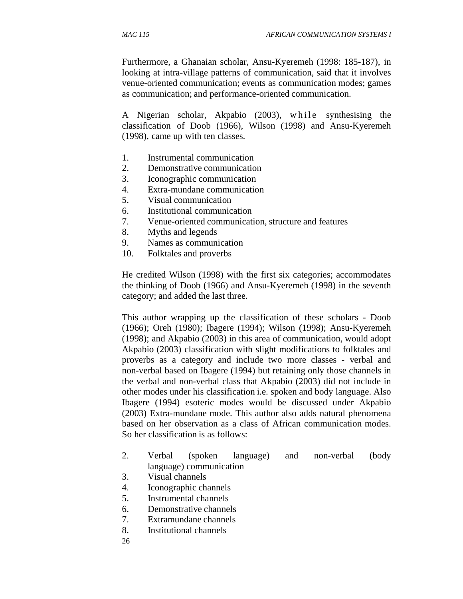Furthermore, a Ghanaian scholar, Ansu-Kyeremeh (1998: 185-187), in looking at intra-village patterns of communication, said that it involves venue-oriented communication; events as communication modes; games as communication; and performance-oriented communication.

A Nigerian scholar, Akpabio (2003), while synthesising the classification of Doob (1966), Wilson (1998) and Ansu-Kyeremeh (1998), came up with ten classes.

- 1. Instrumental communication
- 2. Demonstrative communication
- 3. Iconographic communication
- 4. Extra-mundane communication
- 5. Visual communication
- 6. Institutional communication
- 7. Venue-oriented communication, structure and features
- 8. Myths and legends
- 9. Names as communication
- 10. Folktales and proverbs

He credited Wilson (1998) with the first six categories; accommodates the thinking of Doob (1966) and Ansu-Kyeremeh (1998) in the seventh category; and added the last three.

This author wrapping up the classification of these scholars - Doob (1966); Oreh (1980); Ibagere (1994); Wilson (1998); Ansu-Kyeremeh (1998); and Akpabio (2003) in this area of communication, would adopt Akpabio (2003) classification with slight modifications to folktales and proverbs as a category and include two more classes - verbal and non-verbal based on Ibagere (1994) but retaining only those channels in the verbal and non-verbal class that Akpabio (2003) did not include in other modes under his classification i.e. spoken and body language. Also Ibagere (1994) esoteric modes would be discussed under Akpabio (2003) Extra-mundane mode. This author also adds natural phenomena based on her observation as a class of African communication modes. So her classification is as follows:

- 2. Verbal (spoken language) and non-verbal (body language) communication
- 3. Visual channels
- 4. Iconographic channels
- 5. Instrumental channels
- 6. Demonstrative channels
- 7. Extramundane channels
- 8. Institutional channels
- 26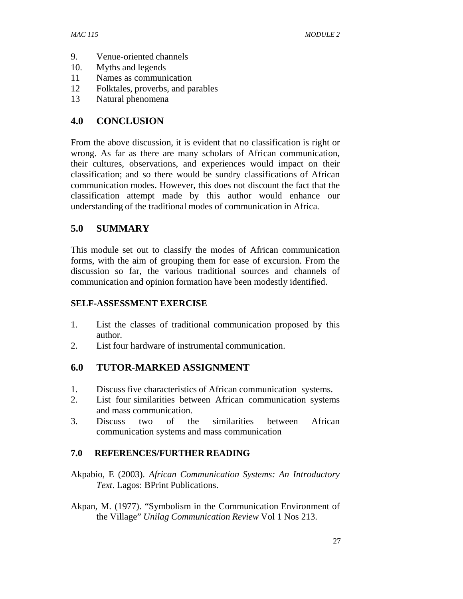- 9. Venue-oriented channels
- 10. Myths and legends
- 11 Names as communication
- 12 Folktales, proverbs, and parables
- 13 Natural phenomena

### **4.0 CONCLUSION**

From the above discussion, it is evident that no classification is right or wrong. As far as there are many scholars of African communication, their cultures, observations, and experiences would impact on their classification; and so there would be sundry classifications of African communication modes. However, this does not discount the fact that the classification attempt made by this author would enhance our understanding of the traditional modes of communication in Africa.

## **5.0 SUMMARY**

This module set out to classify the modes of African communication forms, with the aim of grouping them for ease of excursion. From the discussion so far, the various traditional sources and channels of communication and opinion formation have been modestly identified.

### **SELF-ASSESSMENT EXERCISE**

- 1. List the classes of traditional communication proposed by this author.
- 2. List four hardware of instrumental communication.

## **6.0 TUTOR-MARKED ASSIGNMENT**

- 1. Discuss five characteristics of African communication systems.
- 2. List four similarities between African communication systems and mass communication.
- 3. Discuss two of the similarities between African communication systems and mass communication

### **7.0 REFERENCES/FURTHER READING**

- Akpabio, E (2003). *African Communication Systems: An Introductory Text*. Lagos: BPrint Publications.
- Akpan, M. (1977). "Symbolism in the Communication Environment of the Village" *Unilag Communication Review* Vol 1 Nos 213.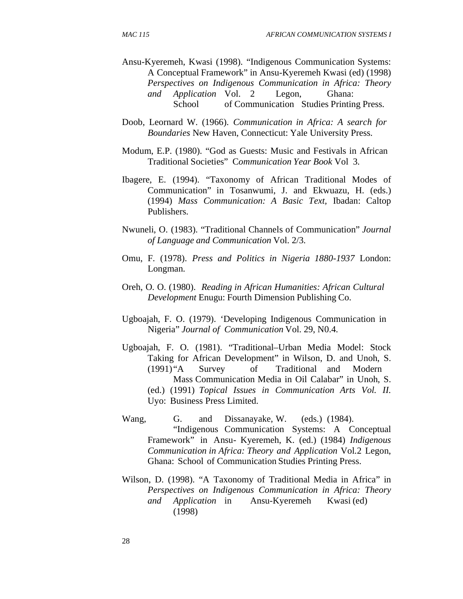- Ansu-Kyeremeh, Kwasi (1998). "Indigenous Communication Systems: A Conceptual Framework" in Ansu-Kyeremeh Kwasi (ed) (1998) *Perspectives on Indigenous Communication in Africa: Theory and Application* Vol. 2 Legon, Ghana: School of Communication Studies Printing Press.
- Doob, Leornard W. (1966). *Communication in Africa: A search for Boundaries* New Haven, Connecticut: Yale University Press.
- Modum, E.P. (1980). "God as Guests: Music and Festivals in African Traditional Societies" C*ommunication Year Book* Vol 3.
- Ibagere, E. (1994). "Taxonomy of African Traditional Modes of Communication" in Tosanwumi, J. and Ekwuazu, H. (eds.) (1994) *Mass Communication: A Basic Text,* Ibadan: Caltop Publishers.
- Nwuneli, O. (1983). "Traditional Channels of Communication" *Journal of Language and Communication* Vol. 2/3.
- Omu, F. (1978). *Press and Politics in Nigeria 1880-1937* London: Longman.
- Oreh, O. O. (1980). *Reading in African Humanities: African Cultural Development* Enugu: Fourth Dimension Publishing Co.
- Ugboajah, F. O. (1979). 'Developing Indigenous Communication in Nigeria" *Journal of Communication* Vol. 29, N0.4.
- Ugboajah, F. O. (1981). "Traditional–Urban Media Model: Stock Taking for African Development" in Wilson, D. and Unoh, S. (1991) "A Survey of Traditional and Modern Mass Communication Media in Oil Calabar" in Unoh, S. (ed.) (1991) *Topical Issues in Communication Arts Vol. II.*  Uyo: Business Press Limited*.*
- Wang, G. and Dissanayake, W. (eds.) (1984). "Indigenous Communication Systems: A Conceptual Framework" in Ansu- Kyeremeh, K. (ed.) (1984) *Indigenous Communication in Africa: Theory and Application* Vol.2 Legon, Ghana: School of Communication Studies Printing Press.
- Wilson, D. (1998). "A Taxonomy of Traditional Media in Africa" in *Perspectives on Indigenous Communication in Africa: Theory and Application* in Ansu-Kyeremeh Kwasi (ed) (1998)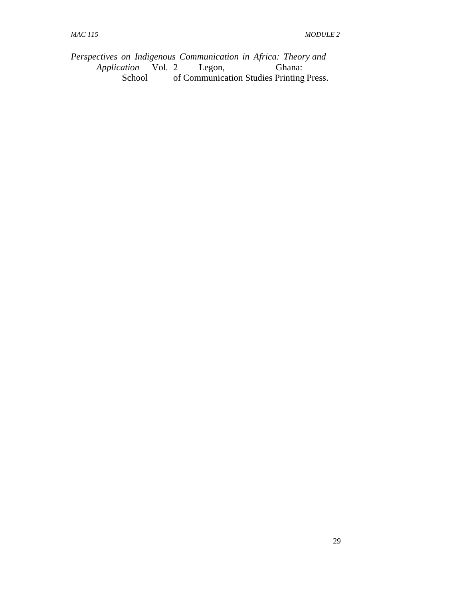*Perspectives on Indigenous Communication in Africa: Theory and Application* Vol. 2 Legon, Ghana:<br>School of Communication Studies Printing of Communication Studies Printing Press.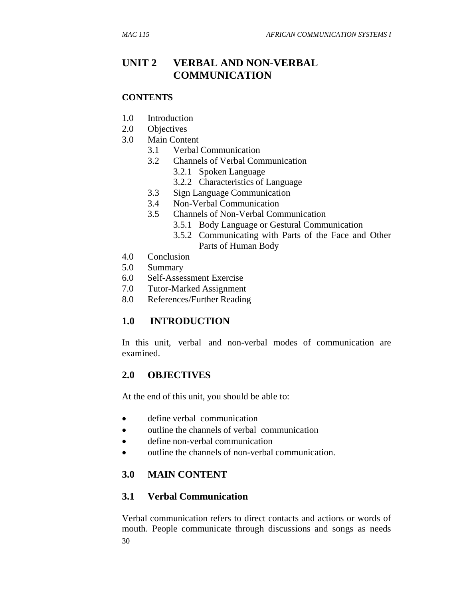# **UNIT 2 VERBAL AND NON-VERBAL COMMUNICATION**

#### **CONTENTS**

- 1.0 Introduction
- 2.0 Objectives
- 3.0 Main Content
	- 3.1 Verbal Communication
	- 3.2 Channels of Verbal Communication
		- 3.2.1 Spoken Language
		- 3.2.2 Characteristics of Language
	- 3.3 Sign Language Communication
	- 3.4 Non-Verbal Communication
	- 3.5 Channels of Non-Verbal Communication
		- 3.5.1 Body Language or Gestural Communication
		- 3.5.2 Communicating with Parts of the Face and Other Parts of Human Body
- 4.0 Conclusion
- 5.0 Summary
- 6.0 Self-Assessment Exercise
- 7.0 Tutor-Marked Assignment
- 8.0 References/Further Reading

## **1.0 INTRODUCTION**

In this unit, verbal and non-verbal modes of communication are examined.

### **2.0 OBJECTIVES**

At the end of this unit, you should be able to:

- define verbal communication
- outline the channels of verbal communication
- define non-verbal communication
- outline the channels of non-verbal communication.

### **3.0 MAIN CONTENT**

### **3.1 Verbal Communication**

30 Verbal communication refers to direct contacts and actions or words of mouth. People communicate through discussions and songs as needs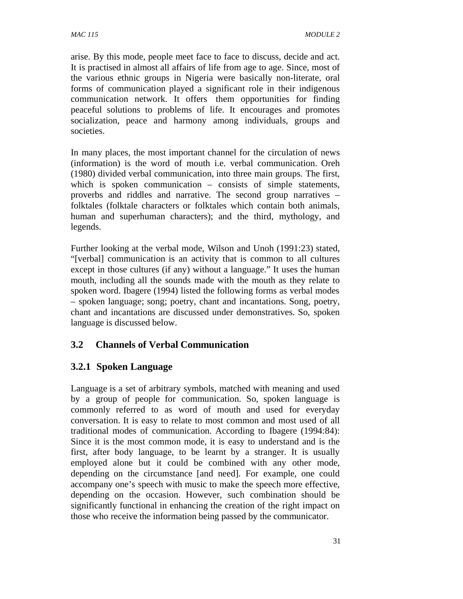arise. By this mode, people meet face to face to discuss, decide and act. It is practised in almost all affairs of life from age to age. Since, most of the various ethnic groups in Nigeria were basically non-literate, oral forms of communication played a significant role in their indigenous communication network. It offers them opportunities for finding peaceful solutions to problems of life. It encourages and promotes socialization, peace and harmony among individuals, groups and societies.

In many places, the most important channel for the circulation of news (information) is the word of mouth i.e. verbal communication. Oreh (1980) divided verbal communication, into three main groups. The first, which is spoken communication – consists of simple statements, proverbs and riddles and narrative. The second group narratives – folktales (folktale characters or folktales which contain both animals, human and superhuman characters); and the third, mythology, and legends.

Further looking at the verbal mode, Wilson and Unoh (1991:23) stated, "[verbal] communication is an activity that is common to all cultures except in those cultures (if any) without a language." It uses the human mouth, including all the sounds made with the mouth as they relate to spoken word. Ibagere (1994) listed the following forms as verbal modes – spoken language; song; poetry, chant and incantations. Song, poetry, chant and incantations are discussed under demonstratives. So, spoken language is discussed below.

## **3.2 Channels of Verbal Communication**

## **3.2.1 Spoken Language**

Language is a set of arbitrary symbols, matched with meaning and used by a group of people for communication. So, spoken language is commonly referred to as word of mouth and used for everyday conversation. It is easy to relate to most common and most used of all traditional modes of communication. According to Ibagere (1994:84): Since it is the most common mode, it is easy to understand and is the first, after body language, to be learnt by a stranger. It is usually employed alone but it could be combined with any other mode, depending on the circumstance [and need]. For example, one could accompany one's speech with music to make the speech more effective, depending on the occasion. However, such combination should be significantly functional in enhancing the creation of the right impact on those who receive the information being passed by the communicator.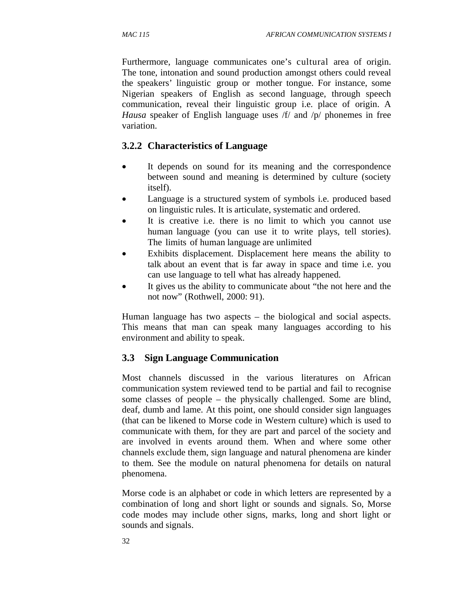Furthermore, language communicates one's cultural area of origin. The tone, intonation and sound production amongst others could reveal the speakers' linguistic group or mother tongue. For instance, some Nigerian speakers of English as second language, through speech communication, reveal their linguistic group i.e. place of origin. A *Hausa* speaker of English language uses /f/ and /p/ phonemes in free variation.

#### **3.2.2 Characteristics of Language**

- It depends on sound for its meaning and the correspondence between sound and meaning is determined by culture (society itself).
- Language is a structured system of symbols i.e. produced based on linguistic rules. It is articulate, systematic and ordered.
- It is creative i.e. there is no limit to which you cannot use human language (you can use it to write plays, tell stories). The limits of human language are unlimited
- Exhibits displacement. Displacement here means the ability to talk about an event that is far away in space and time i.e. you can use language to tell what has already happened.
- It gives us the ability to communicate about "the not here and the not now" (Rothwell, 2000: 91).

Human language has two aspects – the biological and social aspects. This means that man can speak many languages according to his environment and ability to speak.

#### **3.3 Sign Language Communication**

Most channels discussed in the various literatures on African communication system reviewed tend to be partial and fail to recognise some classes of people – the physically challenged. Some are blind, deaf, dumb and lame. At this point, one should consider sign languages (that can be likened to Morse code in Western culture) which is used to communicate with them, for they are part and parcel of the society and are involved in events around them. When and where some other channels exclude them, sign language and natural phenomena are kinder to them. See the module on natural phenomena for details on natural phenomena.

Morse code is an alphabet or code in which letters are represented by a combination of long and short light or sounds and signals. So, Morse code modes may include other signs, marks, long and short light or sounds and signals.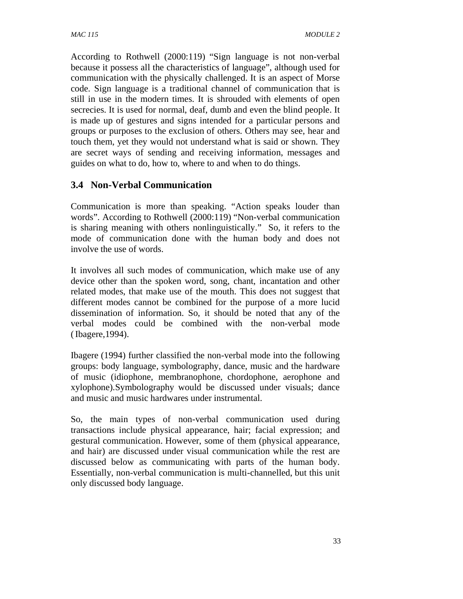According to Rothwell (2000:119) "Sign language is not non-verbal because it possess all the characteristics of language", although used for communication with the physically challenged. It is an aspect of Morse code. Sign language is a traditional channel of communication that is still in use in the modern times. It is shrouded with elements of open secrecies. It is used for normal, deaf, dumb and even the blind people. It is made up of gestures and signs intended for a particular persons and groups or purposes to the exclusion of others. Others may see, hear and touch them, yet they would not understand what is said or shown. They are secret ways of sending and receiving information, messages and guides on what to do, how to, where to and when to do things.

## **3.4 Non-Verbal Communication**

Communication is more than speaking. "Action speaks louder than words". According to Rothwell (2000:119) "Non-verbal communication is sharing meaning with others nonlinguistically." So, it refers to the mode of communication done with the human body and does not involve the use of words.

It involves all such modes of communication, which make use of any device other than the spoken word, song, chant, incantation and other related modes, that make use of the mouth. This does not suggest that different modes cannot be combined for the purpose of a more lucid dissemination of information. So, it should be noted that any of the verbal modes could be combined with the non-verbal mode ( Ibagere,1994).

Ibagere (1994) further classified the non-verbal mode into the following groups: body language, symbolography, dance, music and the hardware of music (idiophone, membranophone, chordophone, aerophone and xylophone).Symbolography would be discussed under visuals; dance and music and music hardwares under instrumental.

So, the main types of non-verbal communication used during transactions include physical appearance, hair; facial expression; and gestural communication. However, some of them (physical appearance, and hair) are discussed under visual communication while the rest are discussed below as communicating with parts of the human body. Essentially, non-verbal communication is multi-channelled, but this unit only discussed body language.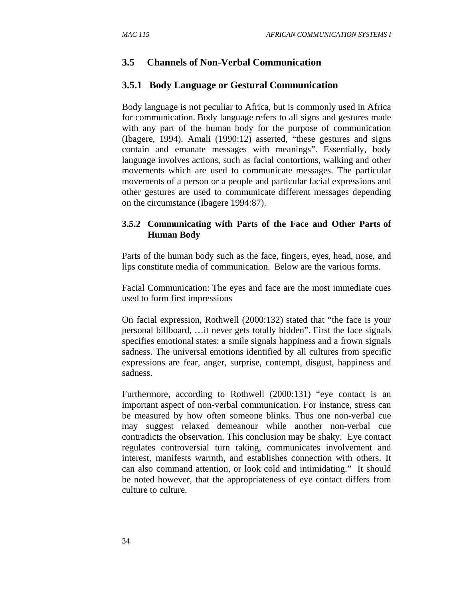## **3.5 Channels of Non-Verbal Communication**

### **3.5.1 Body Language or Gestural Communication**

Body language is not peculiar to Africa, but is commonly used in Africa for communication. Body language refers to all signs and gestures made with any part of the human body for the purpose of communication (Ibagere, 1994). Amali (1990:12) asserted, "these gestures and signs contain and emanate messages with meanings". Essentially, body language involves actions, such as facial contortions, walking and other movements which are used to communicate messages. The particular movements of a person or a people and particular facial expressions and other gestures are used to communicate different messages depending on the circumstance (Ibagere 1994:87).

### **3.5.2 Communicating with Parts of the Face and Other Parts of Human Body**

Parts of the human body such as the face, fingers, eyes, head, nose, and lips constitute media of communication. Below are the various forms.

Facial Communication: The eyes and face are the most immediate cues used to form first impressions

On facial expression, Rothwell (2000:132) stated that "the face is your personal billboard, …it never gets totally hidden". First the face signals specifies emotional states: a smile signals happiness and a frown signals sadness. The universal emotions identified by all cultures from specific expressions are fear, anger, surprise, contempt, disgust, happiness and sadness.

Furthermore, according to Rothwell (2000:131) "eye contact is an important aspect of non-verbal communication. For instance, stress can be measured by how often someone blinks. Thus one non-verbal cue may suggest relaxed demeanour while another non-verbal cue contradicts the observation. This conclusion may be shaky. Eye contact regulates controversial turn taking, communicates involvement and interest, manifests warmth, and establishes connection with others. It can also command attention, or look cold and intimidating." It should be noted however, that the appropriateness of eye contact differs from culture to culture.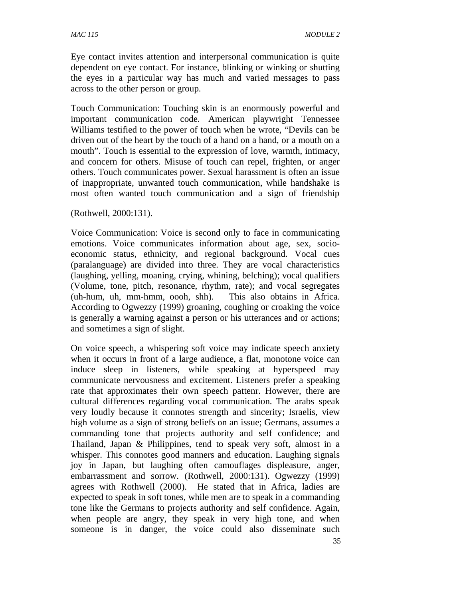Eye contact invites attention and interpersonal communication is quite dependent on eye contact. For instance, blinking or winking or shutting the eyes in a particular way has much and varied messages to pass across to the other person or group.

Touch Communication: Touching skin is an enormously powerful and important communication code. American playwright Tennessee Williams testified to the power of touch when he wrote, "Devils can be driven out of the heart by the touch of a hand on a hand, or a mouth on a mouth". Touch is essential to the expression of love, warmth, intimacy, and concern for others. Misuse of touch can repel, frighten, or anger others. Touch communicates power. Sexual harassment is often an issue of inappropriate, unwanted touch communication, while handshake is most often wanted touch communication and a sign of friendship

(Rothwell, 2000:131).

Voice Communication: Voice is second only to face in communicating emotions. Voice communicates information about age, sex, socioeconomic status, ethnicity, and regional background. Vocal cues (paralanguage) are divided into three. They are vocal characteristics (laughing, yelling, moaning, crying, whining, belching); vocal qualifiers (Volume, tone, pitch, resonance, rhythm, rate); and vocal segregates (uh-hum, uh, mm-hmm, oooh, shh). This also obtains in Africa. According to Ogwezzy (1999) groaning, coughing or croaking the voice is generally a warning against a person or his utterances and or actions; and sometimes a sign of slight.

On voice speech, a whispering soft voice may indicate speech anxiety when it occurs in front of a large audience, a flat, monotone voice can induce sleep in listeners, while speaking at hyperspeed may communicate nervousness and excitement. Listeners prefer a speaking rate that approximates their own speech pattenr. However, there are cultural differences regarding vocal communication. The arabs speak very loudly because it connotes strength and sincerity; Israelis, view high volume as a sign of strong beliefs on an issue; Germans, assumes a commanding tone that projects authority and self confidence; and Thailand, Japan & Philippines, tend to speak very soft, almost in a whisper. This connotes good manners and education. Laughing signals joy in Japan, but laughing often camouflages displeasure, anger, embarrassment and sorrow. (Rothwell, 2000:131). Ogwezzy (1999) agrees with Rothwell (2000). He stated that in Africa, ladies are expected to speak in soft tones, while men are to speak in a commanding tone like the Germans to projects authority and self confidence. Again, when people are angry, they speak in very high tone, and when someone is in danger, the voice could also disseminate such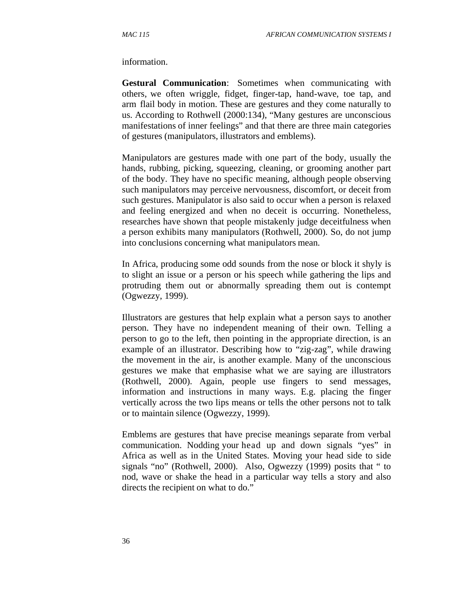information.

**Gestural Communication**: Sometimes when communicating with others, we often wriggle, fidget, finger-tap, hand-wave, toe tap, and arm flail body in motion. These are gestures and they come naturally to us. According to Rothwell (2000:134), "Many gestures are unconscious manifestations of inner feelings" and that there are three main categories of gestures (manipulators, illustrators and emblems).

Manipulators are gestures made with one part of the body, usually the hands, rubbing, picking, squeezing, cleaning, or grooming another part of the body. They have no specific meaning, although people observing such manipulators may perceive nervousness, discomfort, or deceit from such gestures. Manipulator is also said to occur when a person is relaxed and feeling energized and when no deceit is occurring. Nonetheless, researches have shown that people mistakenly judge deceitfulness when a person exhibits many manipulators (Rothwell, 2000). So, do not jump into conclusions concerning what manipulators mean.

In Africa, producing some odd sounds from the nose or block it shyly is to slight an issue or a person or his speech while gathering the lips and protruding them out or abnormally spreading them out is contempt (Ogwezzy, 1999).

Illustrators are gestures that help explain what a person says to another person. They have no independent meaning of their own. Telling a person to go to the left, then pointing in the appropriate direction, is an example of an illustrator. Describing how to "zig-zag", while drawing the movement in the air, is another example. Many of the unconscious gestures we make that emphasise what we are saying are illustrators (Rothwell, 2000). Again, people use fingers to send messages, information and instructions in many ways. E.g. placing the finger vertically across the two lips means or tells the other persons not to talk or to maintain silence (Ogwezzy, 1999).

Emblems are gestures that have precise meanings separate from verbal communication. Nodding your head up and down signals "yes" in Africa as well as in the United States. Moving your head side to side signals "no" (Rothwell, 2000). Also, Ogwezzy (1999) posits that " to nod, wave or shake the head in a particular way tells a story and also directs the recipient on what to do."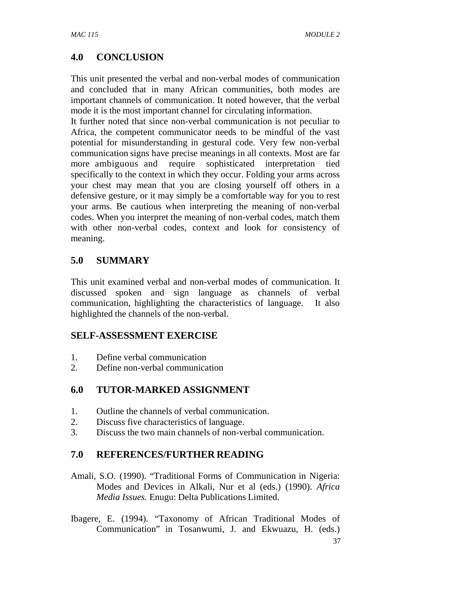# **4.0 CONCLUSION**

This unit presented the verbal and non-verbal modes of communication and concluded that in many African communities, both modes are important channels of communication. It noted however, that the verbal mode it is the most important channel for circulating information.

It further noted that since non-verbal communication is not peculiar to Africa, the competent communicator needs to be mindful of the vast potential for misunderstanding in gestural code. Very few non-verbal communication signs have precise meanings in all contexts. Most are far more ambiguous and require sophisticated interpretation tied specifically to the context in which they occur. Folding your arms across your chest may mean that you are closing yourself off others in a defensive gesture, or it may simply be a comfortable way for you to rest your arms. Be cautious when interpreting the meaning of non-verbal codes. When you interpret the meaning of non-verbal codes, match them with other non-verbal codes, context and look for consistency of meaning.

## **5.0 SUMMARY**

This unit examined verbal and non-verbal modes of communication. It discussed spoken and sign language as channels of verbal communication, highlighting the characteristics of language. It also highlighted the channels of the non-verbal.

## **SELF-ASSESSMENT EXERCISE**

- 1. Define verbal communication
- 2. Define non-verbal communication

## **6.0 TUTOR-MARKED ASSIGNMENT**

- 1. Outline the channels of verbal communication.
- 2. Discuss five characteristics of language.
- 3. Discuss the two main channels of non-verbal communication.

## **7.0 REFERENCES/FURTHER READING**

- Amali, S.O. (1990). "Traditional Forms of Communication in Nigeria: Modes and Devices in Alkali, Nur et al (eds.) (1990). *Africa Media Issues.* Enugu: Delta Publications Limited.
- Ibagere, E. (1994). "Taxonomy of African Traditional Modes of Communication" in Tosanwumi, J. and Ekwuazu, H. (eds.)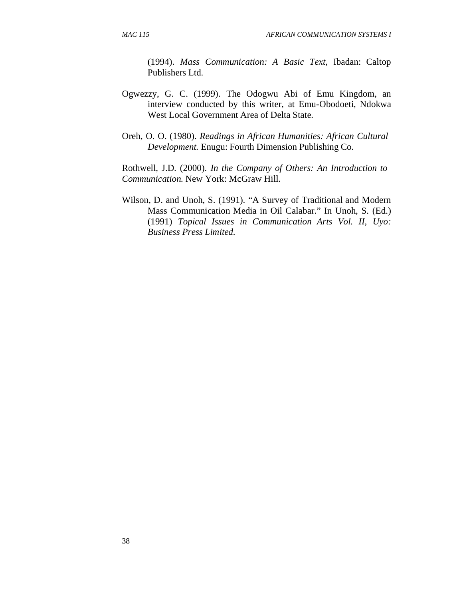(1994). *Mass Communication: A Basic Text,* Ibadan: Caltop Publishers Ltd.

- Ogwezzy, G. C. (1999). The Odogwu Abi of Emu Kingdom, an interview conducted by this writer, at Emu-Obodoeti, Ndokwa West Local Government Area of Delta State.
- Oreh, O. O. (1980). *Readings in African Humanities: African Cultural Development.* Enugu: Fourth Dimension Publishing Co.

Rothwell, J.D. (2000). *In the Company of Others: An Introduction to Communication.* New York: McGraw Hill.

Wilson, D. and Unoh, S. (1991). "A Survey of Traditional and Modern Mass Communication Media in Oil Calabar." In Unoh, S. (Ed.) (1991) *Topical Issues in Communication Arts Vol. II, Uyo: Business Press Limited.*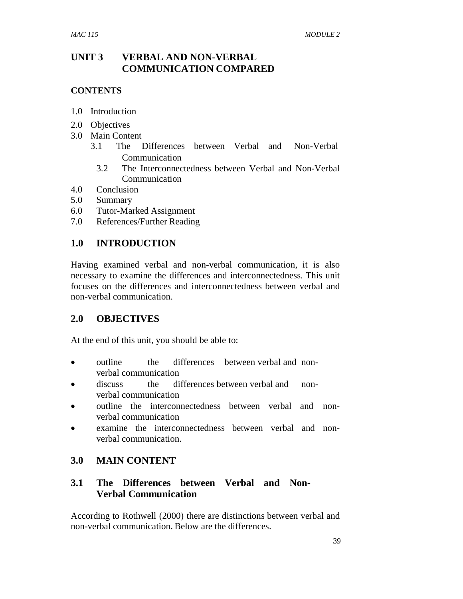## **UNIT 3 VERBAL AND NON-VERBAL COMMUNICATION COMPARED**

### **CONTENTS**

- 1.0 Introduction
- 2.0 Objectives
- 3.0 Main Content
	- 3.1 The Differences between Verbal and Non-Verbal Communication
		- 3.2 The Interconnectedness between Verbal and Non-Verbal Communication
- 4.0 Conclusion
- 5.0 Summary
- 6.0 Tutor-Marked Assignment
- 7.0 References/Further Reading

## **1.0 INTRODUCTION**

Having examined verbal and non-verbal communication, it is also necessary to examine the differences and interconnectedness. This unit focuses on the differences and interconnectedness between verbal and non-verbal communication.

## **2.0 OBJECTIVES**

At the end of this unit, you should be able to:

- outline the differences between verbal and nonverbal communication
- discuss the differences between verbal and nonverbal communication
- outline the interconnectedness between verbal and nonverbal communication
- examine the interconnectedness between verbal and nonverbal communication.

## **3.0 MAIN CONTENT**

## **3.1 The Differences between Verbal and Non- Verbal Communication**

According to Rothwell (2000) there are distinctions between verbal and non-verbal communication. Below are the differences.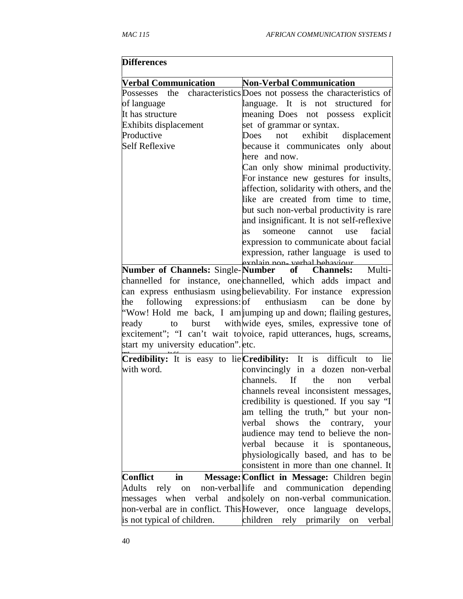| <b>Differences</b>                                          |                                                                       |
|-------------------------------------------------------------|-----------------------------------------------------------------------|
| <b>Verbal Communication</b>                                 | <b>Non-Verbal Communication</b>                                       |
| Possesses                                                   | the characteristics Does not possess the characteristics of           |
| of language                                                 | language. It is not structured for                                    |
| It has structure                                            | meaning Does not possess explicit                                     |
| <b>Exhibits displacement</b>                                | set of grammar or syntax.                                             |
| Productive                                                  | exhibit<br>not<br>Does<br>displacement                                |
| <b>Self Reflexive</b>                                       | because it communicates only about                                    |
|                                                             | here and now.                                                         |
|                                                             | Can only show minimal productivity.                                   |
|                                                             | For instance new gestures for insults,                                |
|                                                             | affection, solidarity with others, and the                            |
|                                                             | like are created from time to time,                                   |
|                                                             | but such non-verbal productivity is rare                              |
|                                                             | and insignificant. It is not self-reflexive                           |
|                                                             | facial<br>as<br>someone<br>cannot<br>use                              |
|                                                             | expression to communicate about facial                                |
|                                                             | expression, rather language is used to                                |
|                                                             | exnlain non- verhal hehaviour                                         |
| <b>Number of Channels: Single-Number</b>                    | <b>Channels:</b><br>Multi-<br>of                                      |
|                                                             | channelled for instance, one channelled, which adds impact and        |
|                                                             | can express enthusiasm using believability. For instance expression   |
| following expressions: of enthusiasm<br>the                 | can be done by                                                        |
|                                                             | "Wow! Hold me back, I am jumping up and down; flailing gestures,      |
| ready                                                       | to burst with wide eyes, smiles, expressive tone of                   |
|                                                             | excitement"; "I can't wait to voice, rapid utterances, hugs, screams, |
| start my university education". etc.                        |                                                                       |
| Credibility: It is easy to lie Credibility: It is difficult | to lie                                                                |
| with word.                                                  | convincingly in a dozen non-verbal                                    |
|                                                             | channels. If<br>the<br>verbal<br>non                                  |
|                                                             | channels reveal inconsistent messages,                                |
|                                                             | credibility is questioned. If you say "I                              |
|                                                             | am telling the truth," but your non-                                  |
|                                                             | verbal<br>shows the contrary,<br>your                                 |
|                                                             | audience may tend to believe the non-                                 |
|                                                             | verbal<br>because it<br>is<br>spontaneous,                            |
|                                                             | physiologically based, and has to be                                  |
|                                                             | consistent in more than one channel. It                               |
| <b>Conflict</b><br>in                                       | Message: Conflict in Message: Children begin                          |
| <b>Adults</b><br>non-verballife<br>rely on                  | and communication<br>depending                                        |
| when<br>messages                                            | verbal and solely on non-verbal communication.                        |
|                                                             | non-verbal are in conflict. This However, once language develops,     |
| is not typical of children.                                 | children rely primarily on<br>verbal                                  |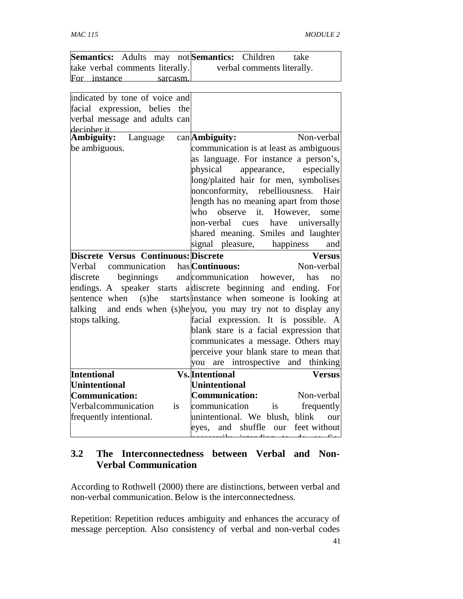|              |                                 |           | Semantics: Adults may not Semantics: Children |                            | take |
|--------------|---------------------------------|-----------|-----------------------------------------------|----------------------------|------|
|              | take verbal comments literally. |           |                                               | verbal comments literally. |      |
| For instance |                                 | sarcasm l |                                               |                            |      |

| indicated by tone of voice and              |                                                                |
|---------------------------------------------|----------------------------------------------------------------|
| facial expression, belies the               |                                                                |
| verbal message and adults can               |                                                                |
| decinher it                                 |                                                                |
| Ambiguity:<br>Language                      | Non-verbal<br>$can$ Ambiguity:                                 |
| be ambiguous.                               | communication is at least as ambiguous                         |
|                                             | as language. For instance a person's,                          |
|                                             | physical appearance, especially                                |
|                                             | long/plaited hair for men, symbolises                          |
|                                             | nonconformity, rebelliousness.<br>Hair                         |
|                                             | length has no meaning apart from those                         |
|                                             | observe it. However,<br>who<br>some                            |
|                                             | universally<br>non-verbal cues<br>have                         |
|                                             | shared meaning. Smiles and laughter                            |
|                                             | signal pleasure,<br>happiness<br>and                           |
| <b>Discrete Versus Continuous: Discrete</b> | <b>Versus</b>                                                  |
| Verbal communication has <b>Continuous:</b> | Non-verbal                                                     |
|                                             | discrete beginnings and communication however, has<br>no       |
|                                             | endings. A speaker starts a discrete beginning and ending. For |
| sentence when (s)he                         | starts instance when someone is looking at                     |
| talking                                     | and ends when (s)he you, you may try not to display any        |
| stops talking.                              | facial expression. It is possible. A                           |
|                                             | blank stare is a facial expression that                        |
|                                             | communicates a message. Others may                             |
|                                             | perceive your blank stare to mean that                         |
|                                             | are introspective and thinking<br>you                          |
| Intentional                                 | <b>Vs.</b> Intentional<br><b>Versus</b>                        |
| Unintentional                               | Unintentional                                                  |
| Communication:                              | <b>Communication:</b><br>Non-verbal                            |
| Verbalcommunication<br><i>is</i>            | frequently<br>communication<br>is                              |
| frequently intentional.                     | unintentional. We blush,<br>blink<br>our                       |
|                                             | shuffle<br>and<br>our<br>feet without<br>eyes,                 |
|                                             |                                                                |

## **3.2 The Interconnectedness between Verbal and Non- Verbal Communication**

According to Rothwell (2000) there are distinctions, between verbal and non-verbal communication. Below is the interconnectedness.

Repetition: Repetition reduces ambiguity and enhances the accuracy of message perception. Also consistency of verbal and non-verbal codes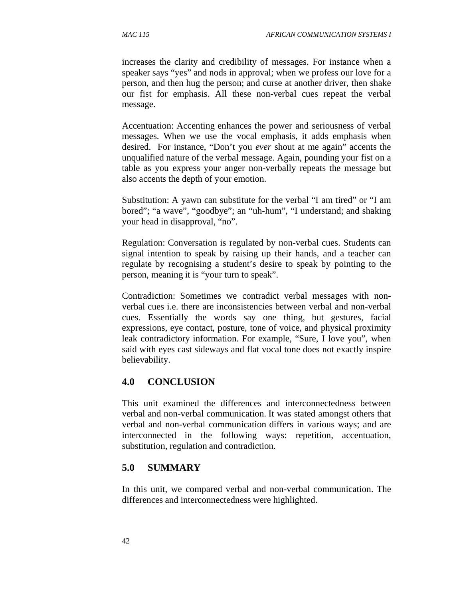increases the clarity and credibility of messages. For instance when a speaker says "yes" and nods in approval; when we profess our love for a person, and then hug the person; and curse at another driver, then shake our fist for emphasis. All these non-verbal cues repeat the verbal message.

Accentuation: Accenting enhances the power and seriousness of verbal messages. When we use the vocal emphasis, it adds emphasis when desired. For instance, "Don't you *ever* shout at me again" accents the unqualified nature of the verbal message. Again, pounding your fist on a table as you express your anger non-verbally repeats the message but also accents the depth of your emotion.

Substitution: A yawn can substitute for the verbal "I am tired" or "I am bored"; "a wave", "goodbye"; an "uh-hum", "I understand; and shaking your head in disapproval, "no".

Regulation: Conversation is regulated by non-verbal cues. Students can signal intention to speak by raising up their hands, and a teacher can regulate by recognising a student's desire to speak by pointing to the person, meaning it is "your turn to speak".

Contradiction: Sometimes we contradict verbal messages with nonverbal cues i.e. there are inconsistencies between verbal and non-verbal cues. Essentially the words say one thing, but gestures, facial expressions, eye contact, posture, tone of voice, and physical proximity leak contradictory information. For example, "Sure, I love you", when said with eyes cast sideways and flat vocal tone does not exactly inspire believability.

## **4.0 CONCLUSION**

This unit examined the differences and interconnectedness between verbal and non-verbal communication. It was stated amongst others that verbal and non-verbal communication differs in various ways; and are interconnected in the following ways: repetition, accentuation, substitution, regulation and contradiction.

### **5.0 SUMMARY**

In this unit, we compared verbal and non-verbal communication. The differences and interconnectedness were highlighted.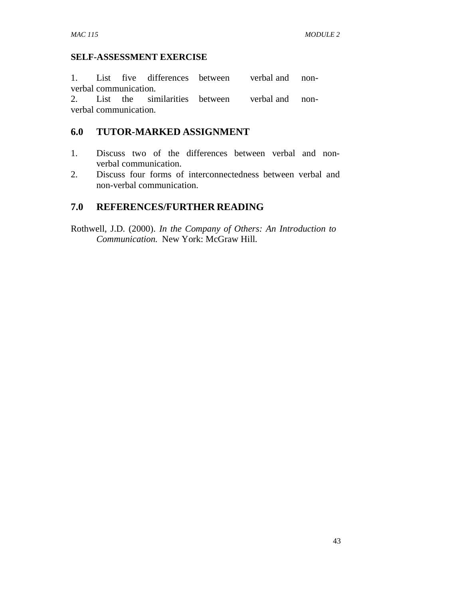#### **SELF-ASSESSMENT EXERCISE**

1. List five differences between verbal and nonverbal communication.

2. List the similarities between verbal and nonverbal communication.

## **6.0 TUTOR-MARKED ASSIGNMENT**

- 1. Discuss two of the differences between verbal and non verbal communication.
- 2. Discuss four forms of interconnectedness between verbal and non-verbal communication.

## **7.0 REFERENCES/FURTHER READING**

Rothwell, J.D. (2000). *In the Company of Others: An Introduction to Communication.* New York: McGraw Hill.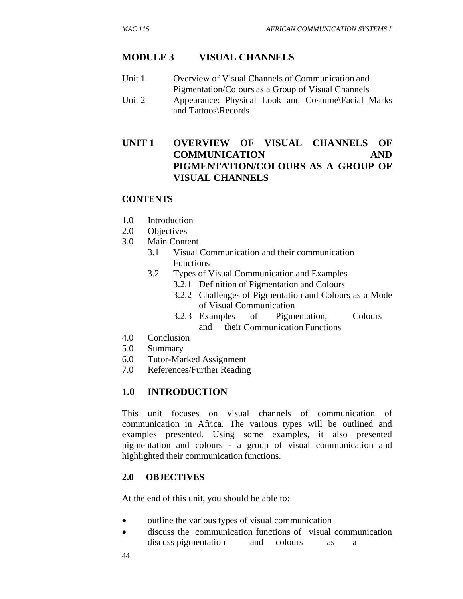#### **MODULE 3 VISUAL CHANNELS**

Unit 1 Overview of Visual Channels of Communication and Pigmentation/Colours as a Group of Visual Channels Unit 2 Appearance: Physical Look and Costume\Facial Marks and Tattoos\Records

## **UNIT 1 OVERVIEW OF VISUAL CHANNELS OF COMMUNICATION AND PIGMENTATION/COLOURS AS A GROUP OF VISUAL CHANNELS**

#### **CONTENTS**

- 1.0 Introduction
- 2.0 Objectives
- 3.0 Main Content
	- 3.1 Visual Communication and their communication Functions
	- 3.2 Types of Visual Communication and Examples
		- 3.2.1 Definition of Pigmentation and Colours
		- 3.2.2 Challenges of Pigmentation and Colours as a Mode of Visual Communication
		- 3.2.3 Examples of Pigmentation, Colours and their Communication Functions
- 4.0 Conclusion
- 5.0 Summary
- 6.0 Tutor-Marked Assignment
- 7.0 References/Further Reading

### **1.0 INTRODUCTION**

This unit focuses on visual channels of communication of communication in Africa. The various types will be outlined and examples presented. Using some examples, it also presented pigmentation and colours - a group of visual communication and highlighted their communication functions.

#### **2.0 OBJECTIVES**

At the end of this unit, you should be able to:

- outline the various types of visual communication
- discuss the communication functions of visual communication discuss pigmentation and colours as a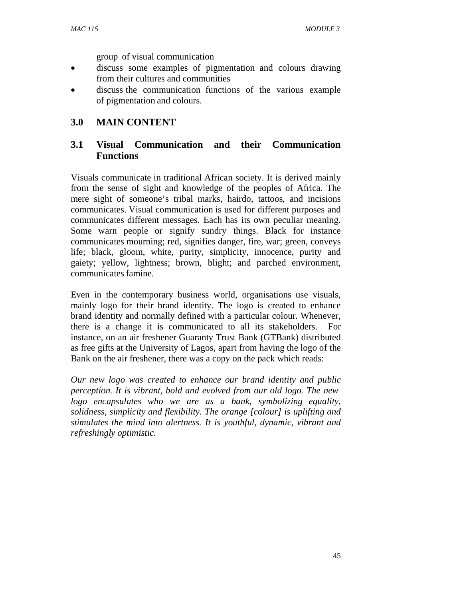group of visual communication

- discuss some examples of pigmentation and colours drawing from their cultures and communities
- discuss the communication functions of the various example of pigmentation and colours.

## **3.0 MAIN CONTENT**

## **3.1 Visual Communication and their Communication Functions**

Visuals communicate in traditional African society. It is derived mainly from the sense of sight and knowledge of the peoples of Africa. The mere sight of someone's tribal marks, hairdo, tattoos, and incisions communicates. Visual communication is used for different purposes and communicates different messages. Each has its own peculiar meaning. Some warn people or signify sundry things. Black for instance communicates mourning; red, signifies danger, fire, war; green, conveys life; black, gloom, white, purity, simplicity, innocence, purity and gaiety; yellow, lightness; brown, blight; and parched environment, communicates famine.

Even in the contemporary business world, organisations use visuals, mainly logo for their brand identity. The logo is created to enhance brand identity and normally defined with a particular colour. Whenever, there is a change it is communicated to all its stakeholders. For instance, on an air freshener Guaranty Trust Bank (GTBank) distributed as free gifts at the University of Lagos, apart from having the logo of the Bank on the air freshener, there was a copy on the pack which reads:

*Our new logo was created to enhance our brand identity and public perception. It is vibrant, bold and evolved from our old logo. The new logo encapsulates who we are as a bank, symbolizing equality, solidness, simplicity and flexibility. The orange [colour] is uplifting and stimulates the mind into alertness. It is youthful, dynamic, vibrant and refreshingly optimistic.*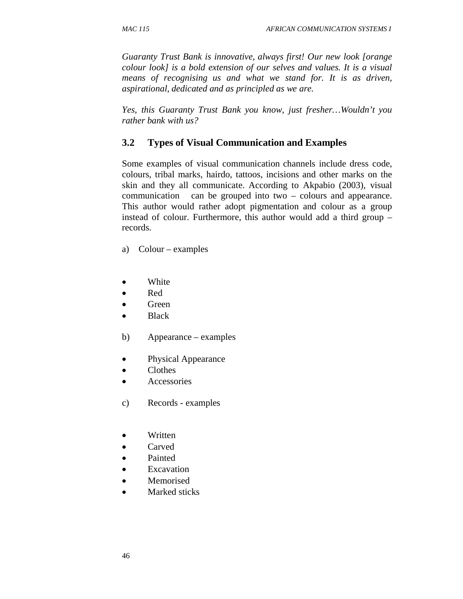*Guaranty Trust Bank is innovative, always first! Our new look [orange colour look] is a bold extension of our selves and values. It is a visual means of recognising us and what we stand for. It is as driven, aspirational, dedicated and as principled as we are.* 

*Yes, this Guaranty Trust Bank you know, just fresher…Wouldn't you rather bank with us?* 

## **3.2 Types of Visual Communication and Examples**

Some examples of visual communication channels include dress code, colours, tribal marks, hairdo, tattoos, incisions and other marks on the skin and they all communicate. According to Akpabio (2003), visual communication can be grouped into two – colours and appearance. This author would rather adopt pigmentation and colour as a group instead of colour. Furthermore, this author would add a third group – records.

a) Colour – examples

- White
- Red
- Green
- Black
- b) Appearance examples
- Physical Appearance
- Clothes
- **Accessories**
- c) Records examples
- Written
- Carved
- Painted
- **Excavation**
- Memorised
- Marked sticks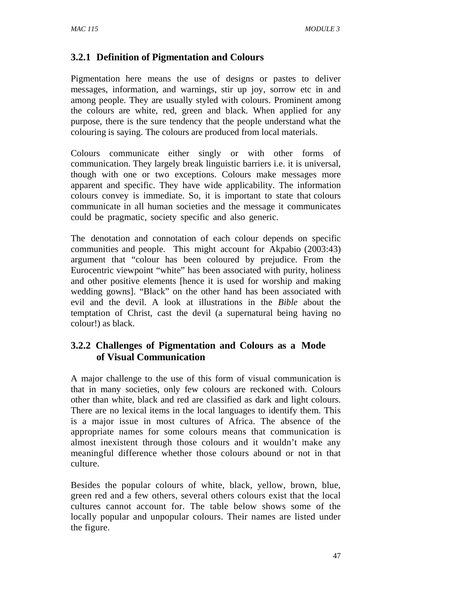# **3.2.1 Definition of Pigmentation and Colours**

Pigmentation here means the use of designs or pastes to deliver messages, information, and warnings, stir up joy, sorrow etc in and among people. They are usually styled with colours. Prominent among the colours are white, red, green and black. When applied for any purpose, there is the sure tendency that the people understand what the colouring is saying. The colours are produced from local materials.

Colours communicate either singly or with other forms of communication. They largely break linguistic barriers i.e. it is universal, though with one or two exceptions. Colours make messages more apparent and specific. They have wide applicability. The information colours convey is immediate. So, it is important to state that colours communicate in all human societies and the message it communicates could be pragmatic, society specific and also generic.

The denotation and connotation of each colour depends on specific communities and people. This might account for Akpabio (2003:43) argument that "colour has been coloured by prejudice. From the Eurocentric viewpoint "white" has been associated with purity, holiness and other positive elements [hence it is used for worship and making wedding gowns]. "Black" on the other hand has been associated with evil and the devil. A look at illustrations in the *Bible* about the temptation of Christ, cast the devil (a supernatural being having no colour!) as black.

## **3.2.2 Challenges of Pigmentation and Colours as a Mode of Visual Communication**

A major challenge to the use of this form of visual communication is that in many societies, only few colours are reckoned with. Colours other than white, black and red are classified as dark and light colours. There are no lexical items in the local languages to identify them. This is a major issue in most cultures of Africa. The absence of the appropriate names for some colours means that communication is almost inexistent through those colours and it wouldn't make any meaningful difference whether those colours abound or not in that culture.

Besides the popular colours of white, black, yellow, brown, blue, green red and a few others, several others colours exist that the local cultures cannot account for. The table below shows some of the locally popular and unpopular colours. Their names are listed under the figure.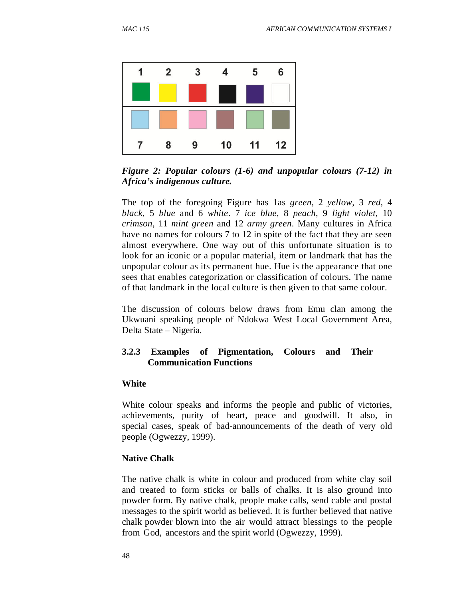

*Figure 2: Popular colours (1-6) and unpopular colours (7-12) in Africa's indigenous culture.* 

The top of the foregoing Figure has 1as *green*, 2 *yellow*, 3 *red*, 4 *black*, 5 *blue* and 6 *white*. 7 *ice blue*, 8 *peach*, 9 *light violet*, 10 *crimson*, 11 *mint green* and 12 *army green*. Many cultures in Africa have no names for colours 7 to 12 in spite of the fact that they are seen almost everywhere. One way out of this unfortunate situation is to look for an iconic or a popular material, item or landmark that has the unpopular colour as its permanent hue. Hue is the appearance that one sees that enables categorization or classification of colours. The name of that landmark in the local culture is then given to that same colour.

The discussion of colours below draws from Emu clan among the Ukwuani speaking people of Ndokwa West Local Government Area, Delta State – Nigeria.

### **3.2.3 Examples of Pigmentation, Colours and Their Communication Functions**

#### **White**

White colour speaks and informs the people and public of victories, achievements, purity of heart, peace and goodwill. It also, in special cases, speak of bad-announcements of the death of very old people (Ogwezzy, 1999).

#### **Native Chalk**

The native chalk is white in colour and produced from white clay soil and treated to form sticks or balls of chalks. It is also ground into powder form. By native chalk, people make calls, send cable and postal messages to the spirit world as believed. It is further believed that native chalk powder blown into the air would attract blessings to the people from God, ancestors and the spirit world (Ogwezzy, 1999).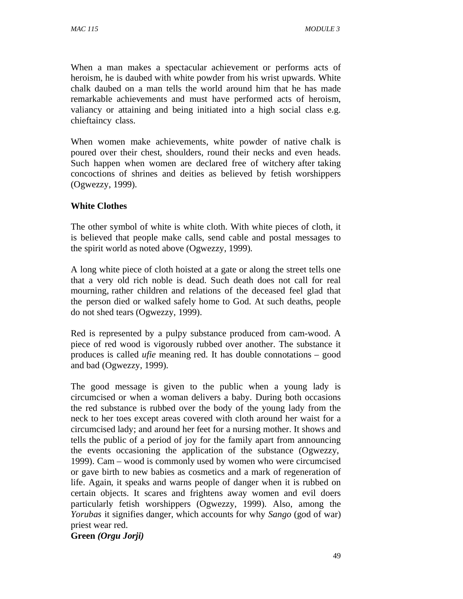When a man makes a spectacular achievement or performs acts of heroism, he is daubed with white powder from his wrist upwards. White chalk daubed on a man tells the world around him that he has made remarkable achievements and must have performed acts of heroism, valiancy or attaining and being initiated into a high social class e.g. chieftaincy class.

When women make achievements, white powder of native chalk is poured over their chest, shoulders, round their necks and even heads. Such happen when women are declared free of witchery after taking concoctions of shrines and deities as believed by fetish worshippers (Ogwezzy, 1999).

## **White Clothes**

The other symbol of white is white cloth. With white pieces of cloth, it is believed that people make calls, send cable and postal messages to the spirit world as noted above (Ogwezzy, 1999).

A long white piece of cloth hoisted at a gate or along the street tells one that a very old rich noble is dead. Such death does not call for real mourning, rather children and relations of the deceased feel glad that the person died or walked safely home to God. At such deaths, people do not shed tears (Ogwezzy, 1999).

Red is represented by a pulpy substance produced from cam-wood. A piece of red wood is vigorously rubbed over another. The substance it produces is called *ufie* meaning red. It has double connotations – good and bad (Ogwezzy, 1999).

The good message is given to the public when a young lady is circumcised or when a woman delivers a baby. During both occasions the red substance is rubbed over the body of the young lady from the neck to her toes except areas covered with cloth around her waist for a circumcised lady; and around her feet for a nursing mother. It shows and tells the public of a period of joy for the family apart from announcing the events occasioning the application of the substance (Ogwezzy, 1999). Cam – wood is commonly used by women who were circumcised or gave birth to new babies as cosmetics and a mark of regeneration of life. Again, it speaks and warns people of danger when it is rubbed on certain objects. It scares and frightens away women and evil doers particularly fetish worshippers (Ogwezzy, 1999). Also, among the *Yorubas* it signifies danger, which accounts for why *Sango* (god of war) priest wear red.

**Green** *(Orgu Jorji)*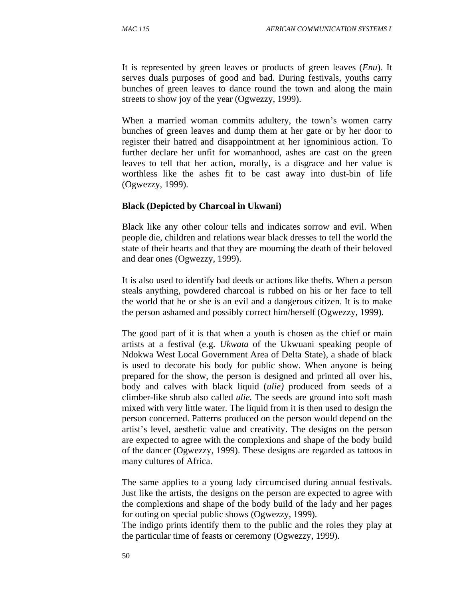It is represented by green leaves or products of green leaves (*Enu*). It serves duals purposes of good and bad. During festivals, youths carry bunches of green leaves to dance round the town and along the main streets to show joy of the year (Ogwezzy, 1999).

When a married woman commits adultery, the town's women carry bunches of green leaves and dump them at her gate or by her door to register their hatred and disappointment at her ignominious action. To further declare her unfit for womanhood, ashes are cast on the green leaves to tell that her action, morally, is a disgrace and her value is worthless like the ashes fit to be cast away into dust-bin of life (Ogwezzy, 1999).

#### **Black (Depicted by Charcoal in Ukwani)**

Black like any other colour tells and indicates sorrow and evil. When people die, children and relations wear black dresses to tell the world the state of their hearts and that they are mourning the death of their beloved and dear ones (Ogwezzy, 1999).

It is also used to identify bad deeds or actions like thefts. When a person steals anything, powdered charcoal is rubbed on his or her face to tell the world that he or she is an evil and a dangerous citizen. It is to make the person ashamed and possibly correct him/herself (Ogwezzy, 1999).

The good part of it is that when a youth is chosen as the chief or main artists at a festival (e.g. *Ukwata* of the Ukwuani speaking people of Ndokwa West Local Government Area of Delta State), a shade of black is used to decorate his body for public show. When anyone is being prepared for the show, the person is designed and printed all over his, body and calves with black liquid (*ulie)* produced from seeds of a climber-like shrub also called *ulie.* The seeds are ground into soft mash mixed with very little water. The liquid from it is then used to design the person concerned. Patterns produced on the person would depend on the artist's level, aesthetic value and creativity. The designs on the person are expected to agree with the complexions and shape of the body build of the dancer (Ogwezzy, 1999). These designs are regarded as tattoos in many cultures of Africa.

The same applies to a young lady circumcised during annual festivals. Just like the artists, the designs on the person are expected to agree with the complexions and shape of the body build of the lady and her pages for outing on special public shows (Ogwezzy, 1999).

The indigo prints identify them to the public and the roles they play at the particular time of feasts or ceremony (Ogwezzy, 1999).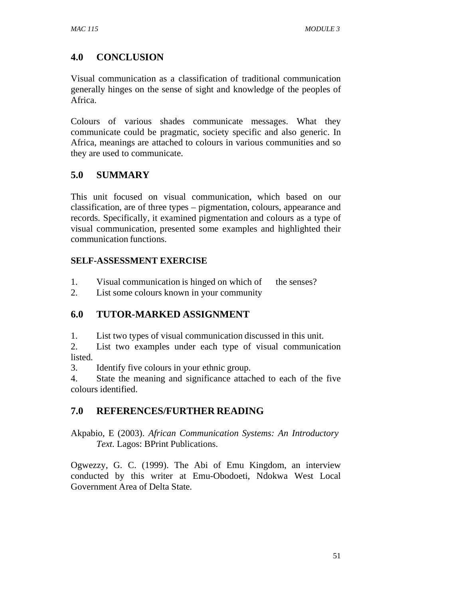# **4.0 CONCLUSION**

Visual communication as a classification of traditional communication generally hinges on the sense of sight and knowledge of the peoples of Africa.

Colours of various shades communicate messages. What they communicate could be pragmatic, society specific and also generic. In Africa, meanings are attached to colours in various communities and so they are used to communicate.

# **5.0 SUMMARY**

This unit focused on visual communication, which based on our classification, are of three types – pigmentation, colours, appearance and records. Specifically, it examined pigmentation and colours as a type of visual communication, presented some examples and highlighted their communication functions.

## **SELF-ASSESSMENT EXERCISE**

- 1. Visual communication is hinged on which of the senses?
- 2. List some colours known in your community

# **6.0 TUTOR-MARKED ASSIGNMENT**

1. List two types of visual communication discussed in this unit.

2. List two examples under each type of visual communication listed.

3. Identify five colours in your ethnic group.

4. State the meaning and significance attached to each of the five colours identified.

# **7.0 REFERENCES/FURTHER READING**

Akpabio, E (2003). *African Communication Systems: An Introductory Text.* Lagos: BPrint Publications.

Ogwezzy, G. C. (1999). The Abi of Emu Kingdom, an interview conducted by this writer at Emu-Obodoeti, Ndokwa West Local Government Area of Delta State.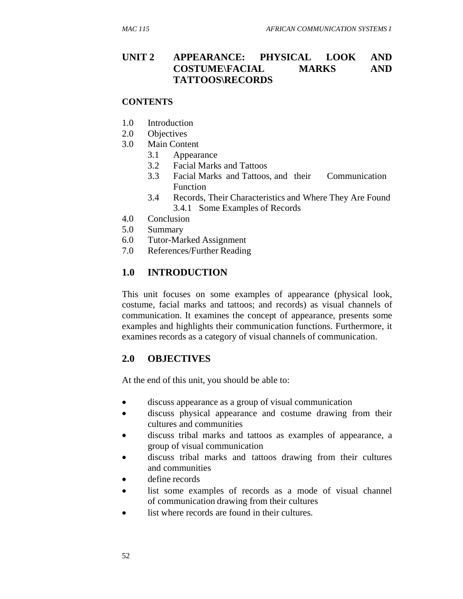### **UNIT 2 APPEARANCE: PHYSICAL LOOK AND COSTUME\FACIAL MARKS AND TATTOOS\RECORDS**

#### **CONTENTS**

- 1.0 Introduction
- 2.0 Objectives
- 3.0 Main Content
	- 3.1 Appearance
	- 3.2 Facial Marks and Tattoos
	- 3.3 Facial Marks and Tattoos, and their Communication Function
	- 3.4 Records, Their Characteristics and Where They Are Found 3.4.1 Some Examples of Records
- 4.0 Conclusion
- 5.0 Summary
- 6.0 Tutor-Marked Assignment
- 7.0 References/Further Reading

### **1.0 INTRODUCTION**

This unit focuses on some examples of appearance (physical look, costume, facial marks and tattoos; and records) as visual channels of communication. It examines the concept of appearance, presents some examples and highlights their communication functions. Furthermore, it examines records as a category of visual channels of communication.

### **2.0 OBJECTIVES**

At the end of this unit, you should be able to:

- discuss appearance as a group of visual communication
- discuss physical appearance and costume drawing from their cultures and communities
- discuss tribal marks and tattoos as examples of appearance, a group of visual communication
- discuss tribal marks and tattoos drawing from their cultures and communities
- define records
- list some examples of records as a mode of visual channel of communication drawing from their cultures
- list where records are found in their cultures.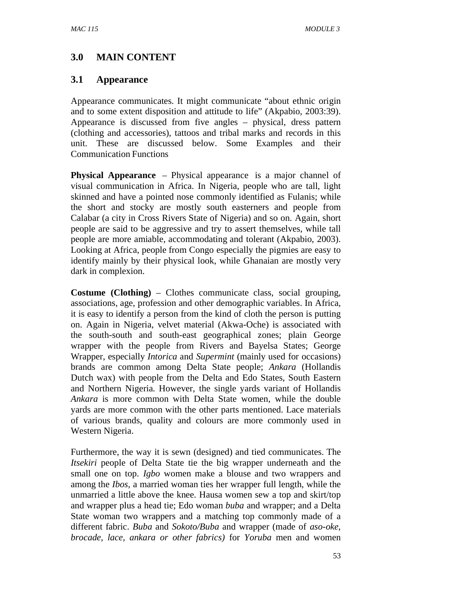# **3.0 MAIN CONTENT**

### **3.1 Appearance**

Appearance communicates. It might communicate "about ethnic origin and to some extent disposition and attitude to life" (Akpabio, 2003:39). Appearance is discussed from five angles – physical, dress pattern (clothing and accessories), tattoos and tribal marks and records in this unit. These are discussed below. Some Examples and their Communication Functions

**Physical Appearance** – Physical appearance is a major channel of visual communication in Africa. In Nigeria, people who are tall, light skinned and have a pointed nose commonly identified as Fulanis; while the short and stocky are mostly south easterners and people from Calabar (a city in Cross Rivers State of Nigeria) and so on. Again, short people are said to be aggressive and try to assert themselves, while tall people are more amiable, accommodating and tolerant (Akpabio, 2003). Looking at Africa, people from Congo especially the pigmies are easy to identify mainly by their physical look, while Ghanaian are mostly very dark in complexion.

**Costume (Clothing)** – Clothes communicate class, social grouping, associations, age, profession and other demographic variables. In Africa, it is easy to identify a person from the kind of cloth the person is putting on. Again in Nigeria, velvet material (Akwa-Oche) is associated with the south-south and south-east geographical zones; plain George wrapper with the people from Rivers and Bayelsa States; George Wrapper, especially *Intorica* and *Supermint* (mainly used for occasions) brands are common among Delta State people; *Ankara* (Hollandis Dutch wax) with people from the Delta and Edo States, South Eastern and Northern Nigeria. However, the single yards variant of Hollandis *Ankara* is more common with Delta State women, while the double yards are more common with the other parts mentioned. Lace materials of various brands, quality and colours are more commonly used in Western Nigeria.

Furthermore, the way it is sewn (designed) and tied communicates. The *Itsekiri* people of Delta State tie the big wrapper underneath and the small one on top. *Igbo* women make a blouse and two wrappers and among the *Ibos*, a married woman ties her wrapper full length, while the unmarried a little above the knee. Hausa women sew a top and skirt/top and wrapper plus a head tie; Edo woman *buba* and wrapper; and a Delta State woman two wrappers and a matching top commonly made of a different fabric. *Buba* and *Sokoto/Buba* and wrapper (made of *aso-oke, brocade, lace, ankara or other fabrics)* for *Yoruba* men and women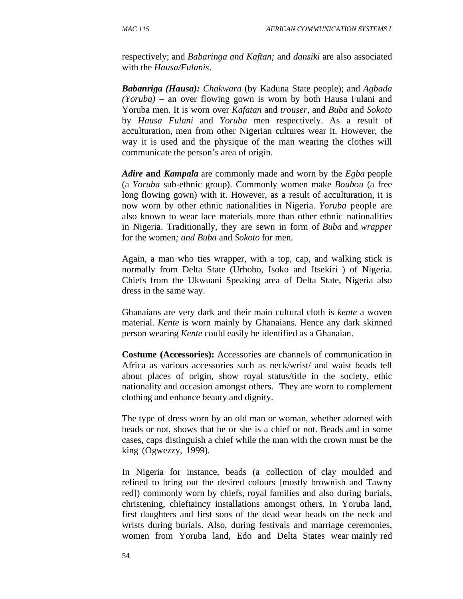respectively; and *Babaringa and Kaftan;* and *dansiki* are also associated with the *Hausa/Fulanis*.

*Babanriga (Hausa): Chakwara* (by Kaduna State people); and *Agbada (Yoruba) –* an over flowing gown is worn by both Hausa Fulani and Yoruba men. It is worn over *Kafatan* and *trouser*, and *Buba* and *Sokoto*  by *Hausa Fulani* and *Yoruba* men respectively. As a result of acculturation, men from other Nigerian cultures wear it. However, the way it is used and the physique of the man wearing the clothes will communicate the person's area of origin.

*Adire* **and** *Kampala* are commonly made and worn by the *Egba* people (a *Yoruba* sub-ethnic group). Commonly women make *Boubou* (a free long flowing gown) with it. However, as a result of acculturation, it is now worn by other ethnic nationalities in Nigeria. *Yoruba* people are also known to wear lace materials more than other ethnic nationalities in Nigeria. Traditionally, they are sewn in form of *Buba* and *wrapper*  for the women*; and Buba* and *Sokoto* for men.

Again, a man who ties wrapper, with a top, cap, and walking stick is normally from Delta State (Urhobo, Isoko and Itsekiri ) of Nigeria. Chiefs from the Ukwuani Speaking area of Delta State, Nigeria also dress in the same way.

Ghanaians are very dark and their main cultural cloth is *kente* a woven material. *Kente* is worn mainly by Ghanaians. Hence any dark skinned person wearing *Kente* could easily be identified as a Ghanaian.

**Costume (Accessories):** Accessories are channels of communication in Africa as various accessories such as neck/wrist/ and waist beads tell about places of origin, show royal status/title in the society, ethic nationality and occasion amongst others. They are worn to complement clothing and enhance beauty and dignity.

The type of dress worn by an old man or woman, whether adorned with beads or not, shows that he or she is a chief or not. Beads and in some cases, caps distinguish a chief while the man with the crown must be the king (Ogwezzy, 1999).

In Nigeria for instance, beads (a collection of clay moulded and refined to bring out the desired colours [mostly brownish and Tawny red]) commonly worn by chiefs, royal families and also during burials, christening, chieftaincy installations amongst others. In Yoruba land, first daughters and first sons of the dead wear beads on the neck and wrists during burials. Also, during festivals and marriage ceremonies, women from Yoruba land, Edo and Delta States wear mainly red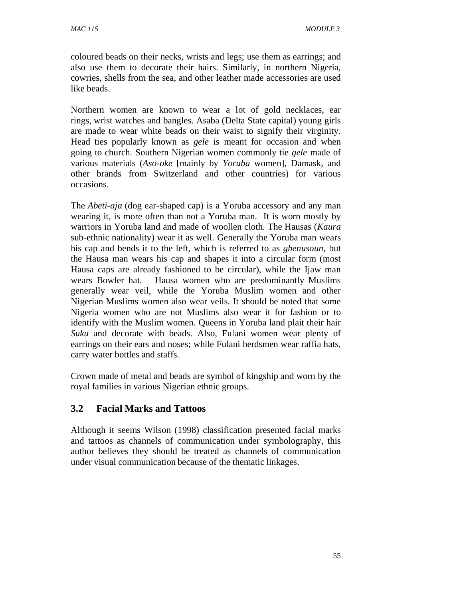coloured beads on their necks, wrists and legs; use them as earrings; and also use them to decorate their hairs. Similarly, in northern Nigeria, cowries, shells from the sea, and other leather made accessories are used like beads.

Northern women are known to wear a lot of gold necklaces, ear rings, wrist watches and bangles. Asaba (Delta State capital) young girls are made to wear white beads on their waist to signify their virginity. Head ties popularly known as *gele* is meant for occasion and when going to church. Southern Nigerian women commonly tie *gele* made of various materials (*Aso-oke* [mainly by *Yoruba* women], Damask, and other brands from Switzerland and other countries) for various occasions.

The *Abeti-aja* (dog ear-shaped cap) is a Yoruba accessory and any man wearing it, is more often than not a Yoruba man. It is worn mostly by warriors in Yoruba land and made of woollen cloth. The Hausas (*Kaura*  sub*-*ethnic nationality) wear it as well. Generally the Yoruba man wears his cap and bends it to the left, which is referred to as *gbenusoun,* but the Hausa man wears his cap and shapes it into a circular form (most Hausa caps are already fashioned to be circular), while the Ijaw man wears Bowler hat. Hausa women who are predominantly Muslims generally wear veil, while the Yoruba Muslim women and other Nigerian Muslims women also wear veils. It should be noted that some Nigeria women who are not Muslims also wear it for fashion or to identify with the Muslim women. Queens in Yoruba land plait their hair *Suku* and decorate with beads. Also, Fulani women wear plenty of earrings on their ears and noses; while Fulani herdsmen wear raffia hats, carry water bottles and staffs.

Crown made of metal and beads are symbol of kingship and worn by the royal families in various Nigerian ethnic groups.

# **3.2 Facial Marks and Tattoos**

Although it seems Wilson (1998) classification presented facial marks and tattoos as channels of communication under symbolography, this author believes they should be treated as channels of communication under visual communication because of the thematic linkages.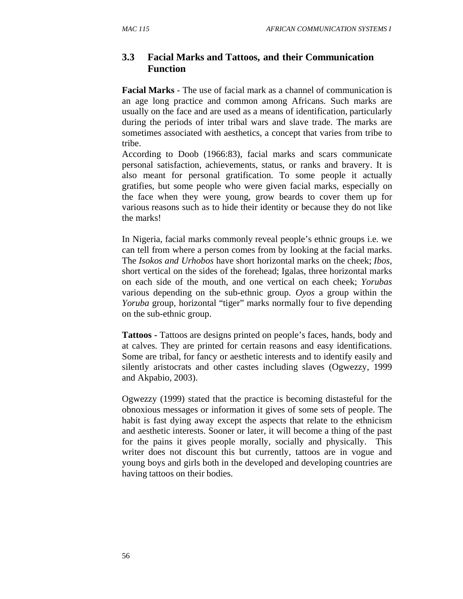## **3.3 Facial Marks and Tattoos, and their Communication Function**

**Facial Marks** - The use of facial mark as a channel of communication is an age long practice and common among Africans. Such marks are usually on the face and are used as a means of identification, particularly during the periods of inter tribal wars and slave trade. The marks are sometimes associated with aesthetics, a concept that varies from tribe to tribe.

According to Doob (1966:83), facial marks and scars communicate personal satisfaction, achievements, status, or ranks and bravery. It is also meant for personal gratification. To some people it actually gratifies, but some people who were given facial marks, especially on the face when they were young, grow beards to cover them up for various reasons such as to hide their identity or because they do not like the marks!

In Nigeria, facial marks commonly reveal people's ethnic groups i.e. we can tell from where a person comes from by looking at the facial marks. The *Isokos and Urhobos* have short horizontal marks on the cheek; *Ibos,*  short vertical on the sides of the forehead; Igalas, three horizontal marks on each side of the mouth, and one vertical on each cheek; *Yorubas*  various depending on the sub-ethnic group. *Oyos* a group within the *Yoruba* group, horizontal "tiger" marks normally four to five depending on the sub-ethnic group.

**Tattoos -** Tattoos are designs printed on people's faces, hands, body and at calves. They are printed for certain reasons and easy identifications. Some are tribal, for fancy or aesthetic interests and to identify easily and silently aristocrats and other castes including slaves (Ogwezzy, 1999 and Akpabio, 2003).

Ogwezzy (1999) stated that the practice is becoming distasteful for the obnoxious messages or information it gives of some sets of people. The habit is fast dying away except the aspects that relate to the ethnicism and aesthetic interests. Sooner or later, it will become a thing of the past for the pains it gives people morally, socially and physically. This writer does not discount this but currently, tattoos are in vogue and young boys and girls both in the developed and developing countries are having tattoos on their bodies.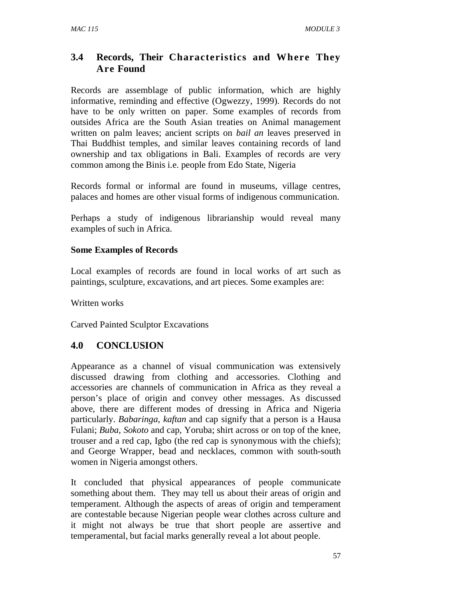# **3.4 Records, Their Characteristics and Where They Are Found**

Records are assemblage of public information, which are highly informative, reminding and effective (Ogwezzy, 1999). Records do not have to be only written on paper. Some examples of records from outsides Africa are the South Asian treaties on Animal management written on palm leaves; ancient scripts on *bail an* leaves preserved in Thai Buddhist temples, and similar leaves containing records of land ownership and tax obligations in Bali. Examples of records are very common among the Binis i.e. people from Edo State, Nigeria

Records formal or informal are found in museums, village centres, palaces and homes are other visual forms of indigenous communication.

Perhaps a study of indigenous librarianship would reveal many examples of such in Africa.

### **Some Examples of Records**

Local examples of records are found in local works of art such as paintings, sculpture, excavations, and art pieces. Some examples are:

Written works

Carved Painted Sculptor Excavations

# **4.0 CONCLUSION**

Appearance as a channel of visual communication was extensively discussed drawing from clothing and accessories. Clothing and accessories are channels of communication in Africa as they reveal a person's place of origin and convey other messages. As discussed above, there are different modes of dressing in Africa and Nigeria particularly. *Babaringa, kaftan* and cap signify that a person is a Hausa Fulani; *Buba*, *Sokoto* and cap, Yoruba; shirt across or on top of the knee, trouser and a red cap, Igbo (the red cap is synonymous with the chiefs); and George Wrapper, bead and necklaces, common with south-south women in Nigeria amongst others.

It concluded that physical appearances of people communicate something about them. They may tell us about their areas of origin and temperament. Although the aspects of areas of origin and temperament are contestable because Nigerian people wear clothes across culture and it might not always be true that short people are assertive and temperamental, but facial marks generally reveal a lot about people.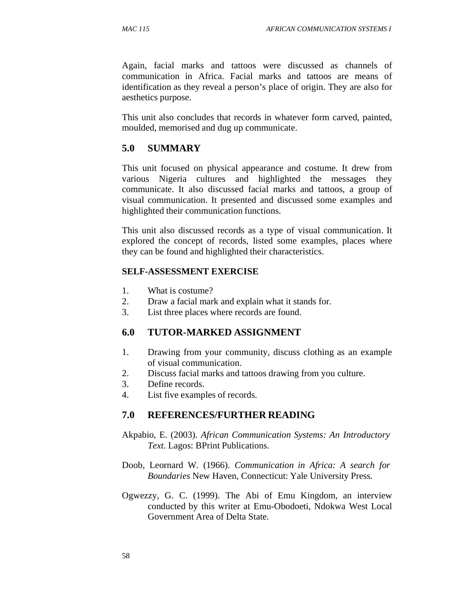Again, facial marks and tattoos were discussed as channels of communication in Africa. Facial marks and tattoos are means of identification as they reveal a person's place of origin. They are also for aesthetics purpose.

This unit also concludes that records in whatever form carved, painted, moulded, memorised and dug up communicate.

### **5.0 SUMMARY**

This unit focused on physical appearance and costume. It drew from various Nigeria cultures and highlighted the messages they communicate. It also discussed facial marks and tattoos, a group of visual communication. It presented and discussed some examples and highlighted their communication functions.

This unit also discussed records as a type of visual communication. It explored the concept of records, listed some examples, places where they can be found and highlighted their characteristics.

#### **SELF-ASSESSMENT EXERCISE**

- 1. What is costume?
- 2. Draw a facial mark and explain what it stands for.
- 3. List three places where records are found.

#### **6.0 TUTOR-MARKED ASSIGNMENT**

- 1. Drawing from your community, discuss clothing as an example of visual communication.
- 2. Discuss facial marks and tattoos drawing from you culture.
- 3. Define records.
- 4. List five examples of records.

#### **7.0 REFERENCES/FURTHER READING**

- Akpabio, E. (2003). *African Communication Systems: An Introductory Text*. Lagos: BPrint Publications.
- Doob, Leornard W. (1966). *Communication in Africa: A search for Boundaries* New Haven, Connecticut: Yale University Press.
- Ogwezzy, G. C. (1999). The Abi of Emu Kingdom, an interview conducted by this writer at Emu-Obodoeti, Ndokwa West Local Government Area of Delta State.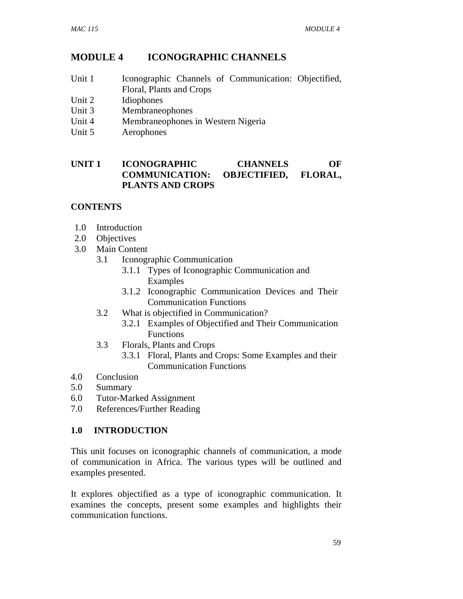# **MODULE 4 ICONOGRAPHIC CHANNELS**

- Unit 1 Iconographic Channels of Communication: Objectified, Floral, Plants and Crops
- Unit 2 Idiophones
- Unit 3 Membraneophones
- Unit 4 Membraneophones in Western Nigeria
- Unit 5 Aerophones

## **UNIT 1 ICONOGRAPHIC CHANNELS OF COMMUNICATION: OBJECTIFIED, FLORAL, PLANTS AND CROPS**

## **CONTENTS**

- 1.0 Introduction
- 2.0 Objectives
- 3.0 Main Content
	- 3.1 Iconographic Communication
		- 3.1.1 Types of Iconographic Communication and Examples
		- 3.1.2 Iconographic Communication Devices and Their Communication Functions
	- 3.2 What is objectified in Communication?
		- 3.2.1 Examples of Objectified and Their Communication Functions
	- 3.3 Florals, Plants and Crops
		- 3.3.1 Floral, Plants and Crops: Some Examples and their Communication Functions
- 4.0 Conclusion
- 5.0 Summary
- 6.0 Tutor-Marked Assignment
- 7.0 References/Further Reading

## **1.0 INTRODUCTION**

This unit focuses on iconographic channels of communication, a mode of communication in Africa. The various types will be outlined and examples presented.

It explores objectified as a type of iconographic communication. It examines the concepts, present some examples and highlights their communication functions.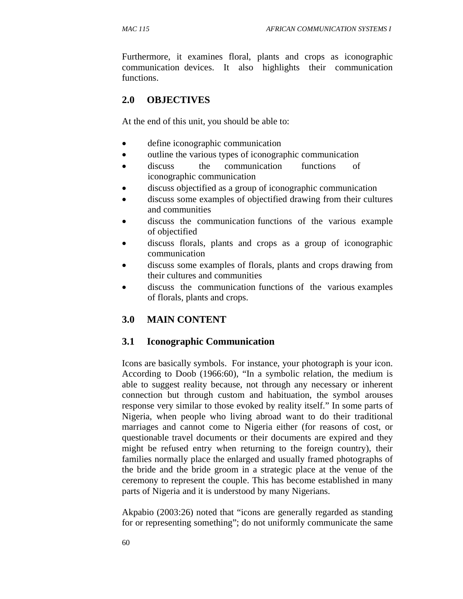Furthermore, it examines floral, plants and crops as iconographic communication devices. It also highlights their communication functions.

# **2.0 OBJECTIVES**

At the end of this unit, you should be able to:

- define iconographic communication
- outline the various types of iconographic communication
- discuss the communication functions of iconographic communication
- discuss objectified as a group of iconographic communication
- discuss some examples of objectified drawing from their cultures and communities
- discuss the communication functions of the various example of objectified
- discuss florals, plants and crops as a group of iconographic communication
- discuss some examples of florals, plants and crops drawing from their cultures and communities
- discuss the communication functions of the various examples of florals, plants and crops.

# **3.0 MAIN CONTENT**

## **3.1 Iconographic Communication**

Icons are basically symbols. For instance, your photograph is your icon. According to Doob (1966:60), "In a symbolic relation, the medium is able to suggest reality because, not through any necessary or inherent connection but through custom and habituation, the symbol arouses response very similar to those evoked by reality itself." In some parts of Nigeria, when people who living abroad want to do their traditional marriages and cannot come to Nigeria either (for reasons of cost, or questionable travel documents or their documents are expired and they might be refused entry when returning to the foreign country), their families normally place the enlarged and usually framed photographs of the bride and the bride groom in a strategic place at the venue of the ceremony to represent the couple. This has become established in many parts of Nigeria and it is understood by many Nigerians.

Akpabio (2003:26) noted that "icons are generally regarded as standing for or representing something"; do not uniformly communicate the same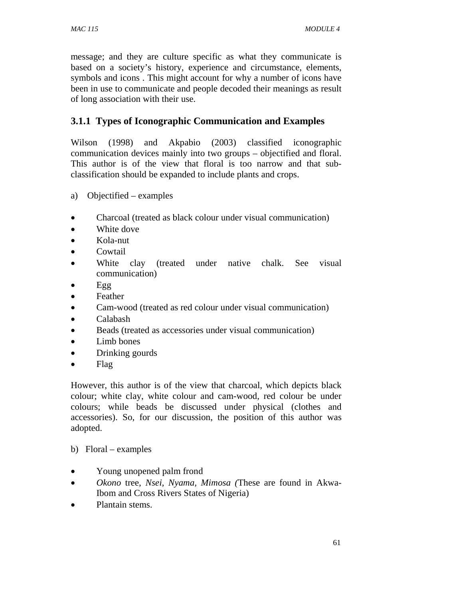message; and they are culture specific as what they communicate is based on a society's history, experience and circumstance, elements, symbols and icons . This might account for why a number of icons have been in use to communicate and people decoded their meanings as result of long association with their use.

# **3.1.1 Types of Iconographic Communication and Examples**

Wilson (1998) and Akpabio (2003) classified iconographic communication devices mainly into two groups – objectified and floral. This author is of the view that floral is too narrow and that subclassification should be expanded to include plants and crops.

- a) Objectified examples
- Charcoal (treated as black colour under visual communication)
- White dove
- Kola-nut
- Cowtail
- White clay (treated under native chalk. See visual communication)
- Egg
- Feather
- Cam-wood (treated as red colour under visual communication)
- Calabash
- Beads (treated as accessories under visual communication)
- Limb bones
- Drinking gourds
- Flag

However, this author is of the view that charcoal, which depicts black colour; white clay, white colour and cam-wood, red colour be under colours; while beads be discussed under physical (clothes and accessories). So, for our discussion, the position of this author was adopted.

- b) Floral examples
- Young unopened palm frond
- *Okono* tree, *Nsei, Nyama, Mimosa (*These are found in Akwa- Ibom and Cross Rivers States of Nigeria)
- Plantain stems.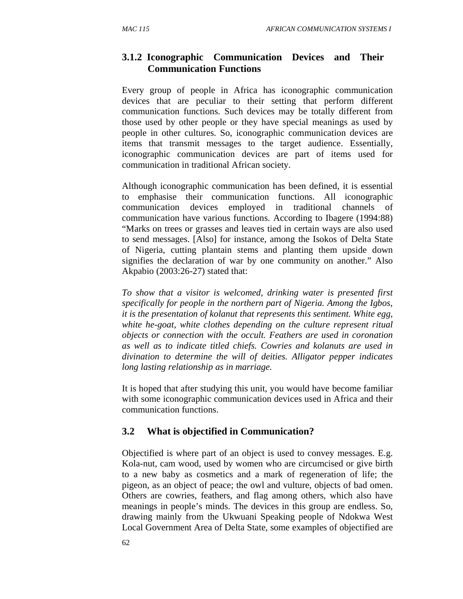## **3.1.2 Iconographic Communication Devices and Their Communication Functions**

Every group of people in Africa has iconographic communication devices that are peculiar to their setting that perform different communication functions. Such devices may be totally different from those used by other people or they have special meanings as used by people in other cultures. So, iconographic communication devices are items that transmit messages to the target audience. Essentially, iconographic communication devices are part of items used for communication in traditional African society.

Although iconographic communication has been defined, it is essential to emphasise their communication functions. All iconographic communication devices employed in traditional channels of communication have various functions. According to Ibagere (1994:88) "Marks on trees or grasses and leaves tied in certain ways are also used to send messages. [Also] for instance, among the Isokos of Delta State of Nigeria, cutting plantain stems and planting them upside down signifies the declaration of war by one community on another." Also Akpabio (2003:26-27) stated that:

*To show that a visitor is welcomed, drinking water is presented first specifically for people in the northern part of Nigeria. Among the Igbos, it is the presentation of kolanut that represents this sentiment. White egg, white he-goat, white clothes depending on the culture represent ritual objects or connection with the occult. Feathers are used in coronation as well as to indicate titled chiefs. Cowries and kolanuts are used in divination to determine the will of deities. Alligator pepper indicates long lasting relationship as in marriage.* 

It is hoped that after studying this unit, you would have become familiar with some iconographic communication devices used in Africa and their communication functions.

## **3.2 What is objectified in Communication?**

Objectified is where part of an object is used to convey messages. E.g. Kola-nut, cam wood, used by women who are circumcised or give birth to a new baby as cosmetics and a mark of regeneration of life; the pigeon, as an object of peace; the owl and vulture, objects of bad omen. Others are cowries, feathers, and flag among others, which also have meanings in people's minds. The devices in this group are endless. So, drawing mainly from the Ukwuani Speaking people of Ndokwa West Local Government Area of Delta State, some examples of objectified are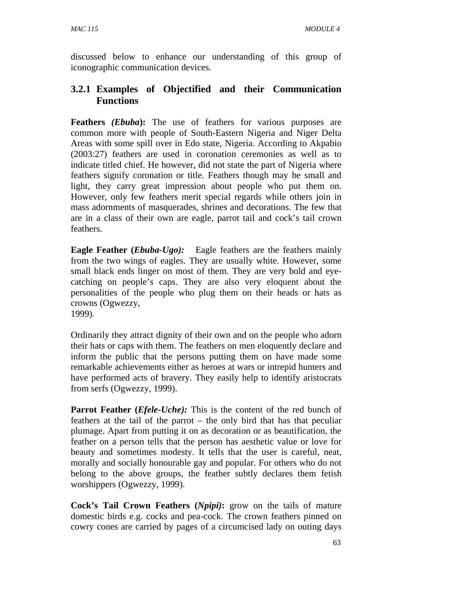discussed below to enhance our understanding of this group of iconographic communication devices.

## **3.2.1 Examples of Objectified and their Communication Functions**

**Feathers** *(Ebuba***):** The use of feathers for various purposes are common more with people of South-Eastern Nigeria and Niger Delta Areas with some spill over in Edo state, Nigeria. According to Akpabio (2003:27) feathers are used in coronation ceremonies as well as to indicate titled chief. He however, did not state the part of Nigeria where feathers signify coronation or title. Feathers though may be small and light, they carry great impression about people who put them on. However, only few feathers merit special regards while others join in mass adornments of masquerades, shrines and decorations. The few that are in a class of their own are eagle, parrot tail and cock's tail crown feathers.

**Eagle Feather (***Ebuba-Ugo*): Eagle feathers are the feathers mainly from the two wings of eagles. They are usually white. However, some small black ends linger on most of them. They are very bold and eyecatching on people's caps. They are also very eloquent about the personalities of the people who plug them on their heads or hats as crowns (Ogwezzy, 1999).

Ordinarily they attract dignity of their own and on the people who adorn their hats or caps with them. The feathers on men eloquently declare and inform the public that the persons putting them on have made some remarkable achievements either as heroes at wars or intrepid hunters and have performed acts of bravery. They easily help to identify aristocrats from serfs (Ogwezzy, 1999).

**Parrot Feather (***Efele-Uche*): This is the content of the red bunch of feathers at the tail of the parrot – the only bird that has that peculiar plumage. Apart from putting it on as decoration or as beautification, the feather on a person tells that the person has aesthetic value or love for beauty and sometimes modesty. It tells that the user is careful, neat, morally and socially honourable gay and popular. For others who do not belong to the above groups, the feather subtly declares them fetish worshippers (Ogwezzy, 1999).

**Cock's Tail Crown Feathers (***Npipi)***:** grow on the tails of mature domestic birds e.g. cocks and pea-cock. The crown feathers pinned on cowry cones are carried by pages of a circumcised lady on outing days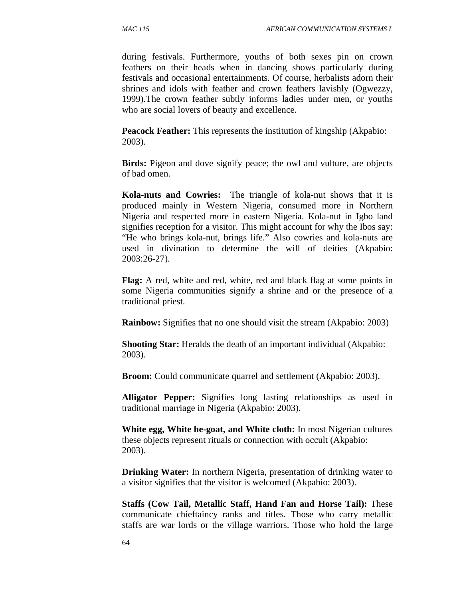during festivals. Furthermore, youths of both sexes pin on crown feathers on their heads when in dancing shows particularly during festivals and occasional entertainments. Of course, herbalists adorn their shrines and idols with feather and crown feathers lavishly (Ogwezzy, 1999).The crown feather subtly informs ladies under men, or youths who are social lovers of beauty and excellence.

**Peacock Feather:** This represents the institution of kingship (Akpabio: 2003).

**Birds:** Pigeon and dove signify peace; the owl and vulture, are objects of bad omen.

**Kola-nuts and Cowries:** The triangle of kola-nut shows that it is produced mainly in Western Nigeria, consumed more in Northern Nigeria and respected more in eastern Nigeria. Kola-nut in Igbo land signifies reception for a visitor. This might account for why the Ibos say: "He who brings kola-nut, brings life." Also cowries and kola-nuts are used in divination to determine the will of deities (Akpabio: 2003:26-27).

**Flag:** A red, white and red, white, red and black flag at some points in some Nigeria communities signify a shrine and or the presence of a traditional priest.

**Rainbow:** Signifies that no one should visit the stream (Akpabio: 2003)

**Shooting Star:** Heralds the death of an important individual (Akpabio: 2003).

**Broom:** Could communicate quarrel and settlement (Akpabio: 2003).

**Alligator Pepper:** Signifies long lasting relationships as used in traditional marriage in Nigeria (Akpabio: 2003).

**White egg, White he-goat, and White cloth:** In most Nigerian cultures these objects represent rituals or connection with occult (Akpabio: 2003).

**Drinking Water:** In northern Nigeria, presentation of drinking water to a visitor signifies that the visitor is welcomed (Akpabio: 2003).

**Staffs (Cow Tail, Metallic Staff, Hand Fan and Horse Tail):** These communicate chieftaincy ranks and titles. Those who carry metallic staffs are war lords or the village warriors. Those who hold the large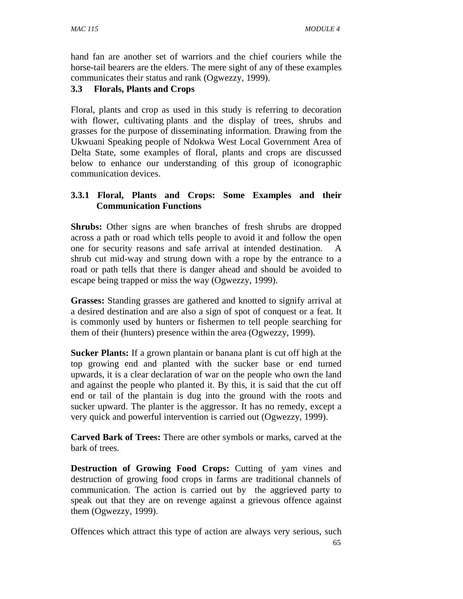hand fan are another set of warriors and the chief couriers while the horse-tail bearers are the elders. The mere sight of any of these examples communicates their status and rank (Ogwezzy, 1999).

## **3.3 Florals, Plants and Crops**

Floral, plants and crop as used in this study is referring to decoration with flower, cultivating plants and the display of trees, shrubs and grasses for the purpose of disseminating information. Drawing from the Ukwuani Speaking people of Ndokwa West Local Government Area of Delta State, some examples of floral, plants and crops are discussed below to enhance our understanding of this group of iconographic communication devices.

### **3.3.1 Floral, Plants and Crops: Some Examples and their Communication Functions**

**Shrubs:** Other signs are when branches of fresh shrubs are dropped across a path or road which tells people to avoid it and follow the open one for security reasons and safe arrival at intended destination. A shrub cut mid-way and strung down with a rope by the entrance to a road or path tells that there is danger ahead and should be avoided to escape being trapped or miss the way (Ogwezzy, 1999).

**Grasses:** Standing grasses are gathered and knotted to signify arrival at a desired destination and are also a sign of spot of conquest or a feat. It is commonly used by hunters or fishermen to tell people searching for them of their (hunters) presence within the area (Ogwezzy, 1999).

**Sucker Plants:** If a grown plantain or banana plant is cut off high at the top growing end and planted with the sucker base or end turned upwards, it is a clear declaration of war on the people who own the land and against the people who planted it. By this, it is said that the cut off end or tail of the plantain is dug into the ground with the roots and sucker upward. The planter is the aggressor. It has no remedy, except a very quick and powerful intervention is carried out (Ogwezzy, 1999).

**Carved Bark of Trees:** There are other symbols or marks, carved at the bark of trees.

**Destruction of Growing Food Crops:** Cutting of yam vines and destruction of growing food crops in farms are traditional channels of communication. The action is carried out by the aggrieved party to speak out that they are on revenge against a grievous offence against them (Ogwezzy, 1999).

65 Offences which attract this type of action are always very serious, such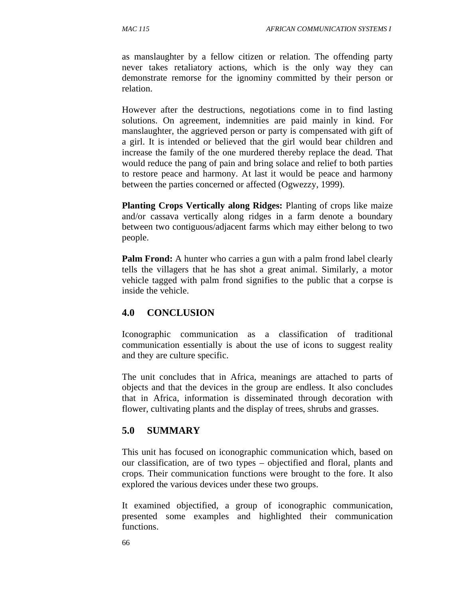as manslaughter by a fellow citizen or relation. The offending party never takes retaliatory actions, which is the only way they can demonstrate remorse for the ignominy committed by their person or relation.

However after the destructions, negotiations come in to find lasting solutions. On agreement, indemnities are paid mainly in kind. For manslaughter, the aggrieved person or party is compensated with gift of a girl. It is intended or believed that the girl would bear children and increase the family of the one murdered thereby replace the dead. That would reduce the pang of pain and bring solace and relief to both parties to restore peace and harmony. At last it would be peace and harmony between the parties concerned or affected (Ogwezzy, 1999).

**Planting Crops Vertically along Ridges:** Planting of crops like maize and/or cassava vertically along ridges in a farm denote a boundary between two contiguous/adjacent farms which may either belong to two people.

**Palm Frond:** A hunter who carries a gun with a palm frond label clearly tells the villagers that he has shot a great animal. Similarly, a motor vehicle tagged with palm frond signifies to the public that a corpse is inside the vehicle.

## **4.0 CONCLUSION**

Iconographic communication as a classification of traditional communication essentially is about the use of icons to suggest reality and they are culture specific.

The unit concludes that in Africa, meanings are attached to parts of objects and that the devices in the group are endless. It also concludes that in Africa, information is disseminated through decoration with flower, cultivating plants and the display of trees, shrubs and grasses.

## **5.0 SUMMARY**

This unit has focused on iconographic communication which, based on our classification, are of two types – objectified and floral, plants and crops. Their communication functions were brought to the fore. It also explored the various devices under these two groups.

It examined objectified, a group of iconographic communication, presented some examples and highlighted their communication functions.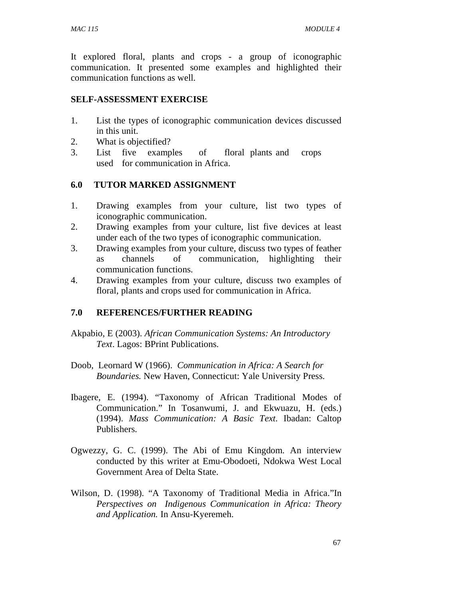It explored floral, plants and crops - a group of iconographic communication. It presented some examples and highlighted their communication functions as well.

### **SELF-ASSESSMENT EXERCISE**

- 1. List the types of iconographic communication devices discussed in this unit.
- 2. What is objectified?
- 3. List five examples of floral plants and crops used for communication in Africa.

## **6.0 TUTOR MARKED ASSIGNMENT**

- 1. Drawing examples from your culture, list two types of iconographic communication.
- 2. Drawing examples from your culture, list five devices at least under each of the two types of iconographic communication.
- 3. Drawing examples from your culture, discuss two types of feather as channels of communication, highlighting their communication functions.
- 4. Drawing examples from your culture, discuss two examples of floral, plants and crops used for communication in Africa.

## **7.0 REFERENCES/FURTHER READING**

- Akpabio, E (2003). *African Communication Systems: An Introductory Text*. Lagos: BPrint Publications.
- Doob, Leornard W (1966). *Communication in Africa: A Search for Boundaries.* New Haven, Connecticut: Yale University Press.
- Ibagere, E. (1994). "Taxonomy of African Traditional Modes of Communication." In Tosanwumi, J. and Ekwuazu, H. (eds.) (1994). *Mass Communication: A Basic Text*. Ibadan: Caltop Publishers.
- Ogwezzy, G. C. (1999). The Abi of Emu Kingdom. An interview conducted by this writer at Emu-Obodoeti, Ndokwa West Local Government Area of Delta State.
- Wilson, D. (1998). "A Taxonomy of Traditional Media in Africa."In *Perspectives on Indigenous Communication in Africa: Theory and Application.* In Ansu-Kyeremeh.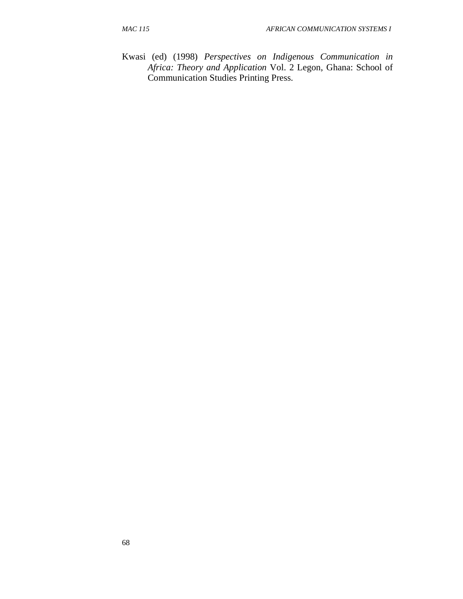Kwasi (ed) (1998) *Perspectives on Indigenous Communication in Africa: Theory and Application* Vol. 2 Legon, Ghana: School of Communication Studies Printing Press.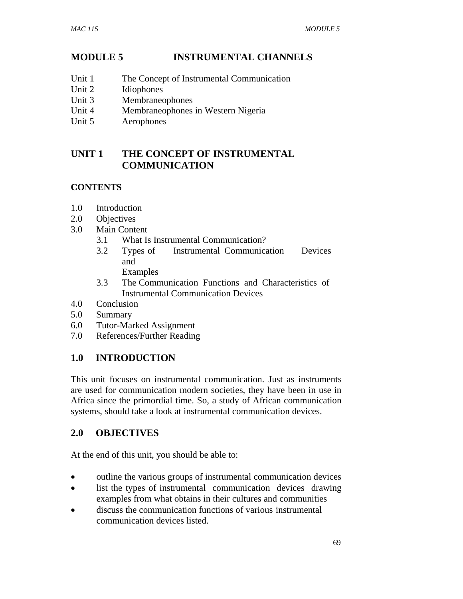# **MODULE 5 INSTRUMENTAL CHANNELS**

- Unit 1 The Concept of Instrumental Communication
- Unit 2 Idiophones
- Unit 3 Membraneophones
- Unit 4 Membraneophones in Western Nigeria
- Unit 5 Aerophones

## **UNIT 1 THE CONCEPT OF INSTRUMENTAL COMMUNICATION**

## **CONTENTS**

- 1.0 Introduction
- 2.0 Objectives
- 3.0 Main Content
	- 3.1 What Is Instrumental Communication?
	- 3.2 Types of Instrumental Communication Devices and Examples
	- 3.3 The Communication Functions and Characteristics of Instrumental Communication Devices
- 4.0 Conclusion
- 5.0 Summary
- 6.0 Tutor-Marked Assignment
- 7.0 References/Further Reading

# **1.0 INTRODUCTION**

This unit focuses on instrumental communication. Just as instruments are used for communication modern societies, they have been in use in Africa since the primordial time. So, a study of African communication systems, should take a look at instrumental communication devices.

## **2.0 OBJECTIVES**

At the end of this unit, you should be able to:

- outline the various groups of instrumental communication devices
- list the types of instrumental communication devices drawing examples from what obtains in their cultures and communities
- discuss the communication functions of various instrumental communication devices listed.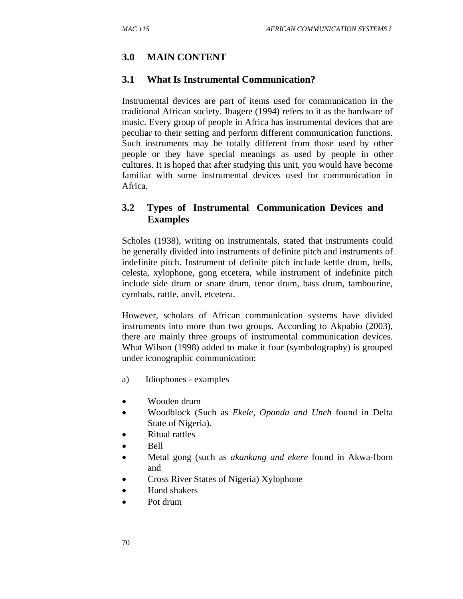## **3.0 MAIN CONTENT**

### **3.1 What Is Instrumental Communication?**

Instrumental devices are part of items used for communication in the traditional African society. Ibagere (1994) refers to it as the hardware of music. Every group of people in Africa has instrumental devices that are peculiar to their setting and perform different communication functions. Such instruments may be totally different from those used by other people or they have special meanings as used by people in other cultures. It is hoped that after studying this unit, you would have become familiar with some instrumental devices used for communication in Africa.

## **3.2 Types of Instrumental Communication Devices and Examples**

Scholes (1938), writing on instrumentals, stated that instruments could be generally divided into instruments of definite pitch and instruments of indefinite pitch. Instrument of definite pitch include kettle drum, bells, celesta, xylophone, gong etcetera, while instrument of indefinite pitch include side drum or snare drum, tenor drum, bass drum, tambourine, cymbals, rattle, anvil, etcetera.

However, scholars of African communication systems have divided instruments into more than two groups. According to Akpabio (2003), there are mainly three groups of instrumental communication devices. What Wilson (1998) added to make it four (symbolography) is grouped under iconographic communication:

- a) Idiophones examples
- Wooden drum
- Woodblock (Such as *Ekele, Oponda and Uneh* found in Delta State of Nigeria).
- Ritual rattles
- Bell
- Metal gong (such as *akankang and ekere* found in Akwa-Ibom and
- Cross River States of Nigeria) Xylophone
- Hand shakers
- Pot drum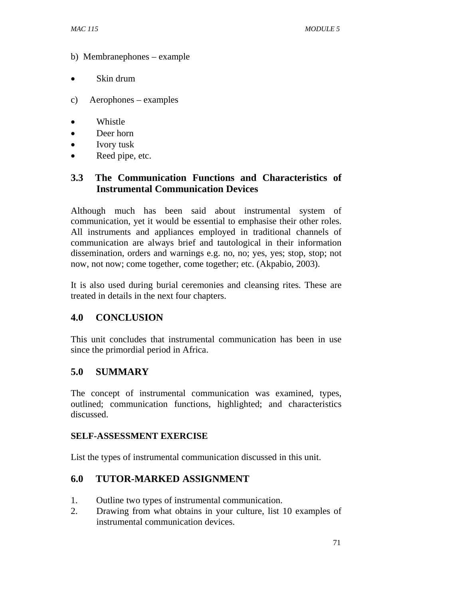- b) Membranephones example
- Skin drum
- c) Aerophones examples
- Whistle
- Deer horn
- Ivory tusk
- Reed pipe, etc.

## **3.3 The Communication Functions and Characteristics of Instrumental Communication Devices**

Although much has been said about instrumental system of communication, yet it would be essential to emphasise their other roles. All instruments and appliances employed in traditional channels of communication are always brief and tautological in their information dissemination, orders and warnings e.g. no, no; yes, yes; stop, stop; not now, not now; come together, come together; etc. (Akpabio, 2003).

It is also used during burial ceremonies and cleansing rites. These are treated in details in the next four chapters.

## **4.0 CONCLUSION**

This unit concludes that instrumental communication has been in use since the primordial period in Africa.

## **5.0 SUMMARY**

The concept of instrumental communication was examined, types, outlined; communication functions, highlighted; and characteristics discussed.

### **SELF-ASSESSMENT EXERCISE**

List the types of instrumental communication discussed in this unit.

## **6.0 TUTOR-MARKED ASSIGNMENT**

- 1. Outline two types of instrumental communication.
- 2. Drawing from what obtains in your culture, list 10 examples of instrumental communication devices.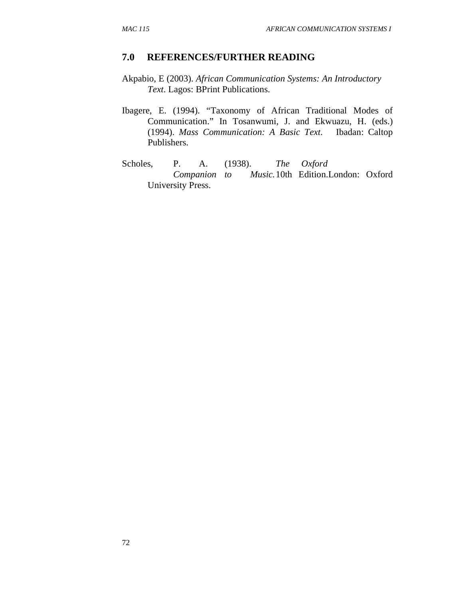#### **7.0 REFERENCES/FURTHER READING**

- Akpabio, E (2003). *African Communication Systems: An Introductory Text*. Lagos: BPrint Publications.
- Ibagere, E. (1994). "Taxonomy of African Traditional Modes of Communication." In Tosanwumi, J. and Ekwuazu, H. (eds.) (1994). *Mass Communication: A Basic Text*. Ibadan: Caltop Publishers.
- Scholes, P. A. (1938). *The Oxford Companion to Music.* 10th Edition.London: Oxford University Press.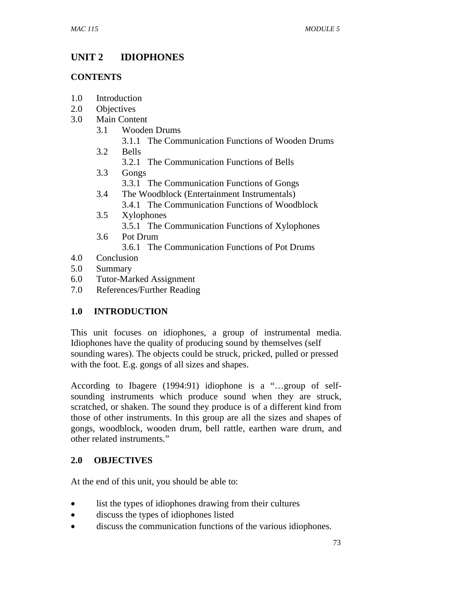# **UNIT 2 IDIOPHONES**

## **CONTENTS**

- 1.0 Introduction
- 2.0 Objectives
- 3.0 Main Content
	- 3.1 Wooden Drums
		- 3.1.1 The Communication Functions of Wooden Drums
	- 3.2 Bells
		- 3.2.1 The Communication Functions of Bells
	- 3.3 Gongs 3.3.1 The Communication Functions of Gongs
	- 3.4 The Woodblock (Entertainment Instrumentals) 3.4.1 The Communication Functions of Woodblock
	- 3.5 Xylophones
		- 3.5.1 The Communication Functions of Xylophones
	- 3.6 Pot Drum 3.6.1 The Communication Functions of Pot Drums
- 4.0 Conclusion
- 5.0 Summary
- 6.0 Tutor-Marked Assignment
- 7.0 References/Further Reading

# **1.0 INTRODUCTION**

This unit focuses on idiophones, a group of instrumental media. Idiophones have the quality of producing sound by themselves (self sounding wares). The objects could be struck, pricked, pulled or pressed with the foot. E.g. gongs of all sizes and shapes.

According to Ibagere (1994:91) idiophone is a "…group of selfsounding instruments which produce sound when they are struck, scratched, or shaken. The sound they produce is of a different kind from those of other instruments. In this group are all the sizes and shapes of gongs, woodblock, wooden drum, bell rattle, earthen ware drum, and other related instruments."

# **2.0 OBJECTIVES**

At the end of this unit, you should be able to:

- list the types of idiophones drawing from their cultures
- discuss the types of idiophones listed
- discuss the communication functions of the various idiophones.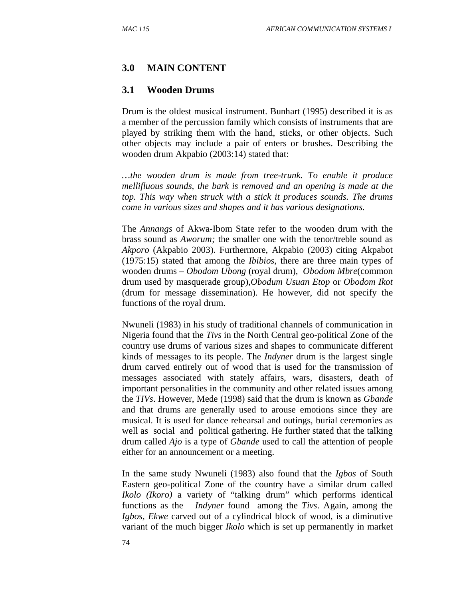## **3.0 MAIN CONTENT**

### **3.1 Wooden Drums**

Drum is the oldest musical instrument. Bunhart (1995) described it is as a member of the percussion family which consists of instruments that are played by striking them with the hand, sticks, or other objects. Such other objects may include a pair of enters or brushes. Describing the wooden drum Akpabio (2003:14) stated that:

*…the wooden drum is made from tree-trunk. To enable it produce mellifluous sounds, the bark is removed and an opening is made at the top. This way when struck with a stick it produces sounds. The drums come in various sizes and shapes and it has various designations.* 

The *Annangs* of Akwa-Ibom State refer to the wooden drum with the brass sound as *Aworum;* the smaller one with the tenor/treble sound as *Akporo* (Akpabio 2003). Furthermore, Akpabio (2003) citing Akpabot (1975:15) stated that among the *Ibibios*, there are three main types of wooden drums – *Obodom Ubong* (royal drum), *Obodom Mbre*(common drum used by masquerade group),*Obodum Usuan Etop* or *Obodom Ikot*  (drum for message dissemination). He however, did not specify the functions of the royal drum.

Nwuneli (1983) in his study of traditional channels of communication in Nigeria found that the *Tivs* in the North Central geo-political Zone of the country use drums of various sizes and shapes to communicate different kinds of messages to its people. The *Indyner* drum is the largest single drum carved entirely out of wood that is used for the transmission of messages associated with stately affairs, wars, disasters, death of important personalities in the community and other related issues among the *TIVs*. However, Mede (1998) said that the drum is known as *Gbande*  and that drums are generally used to arouse emotions since they are musical. It is used for dance rehearsal and outings, burial ceremonies as well as social and political gathering. He further stated that the talking drum called *Ajo* is a type of *Gbande* used to call the attention of people either for an announcement or a meeting.

In the same study Nwuneli (1983) also found that the *Igbos* of South Eastern geo-political Zone of the country have a similar drum called *Ikolo (Ikoro)* a variety of "talking drum" which performs identical functions as the *Indyner* found among the *Tivs*. Again, among the *Igbos, Ekwe* carved out of a cylindrical block of wood, is a diminutive variant of the much bigger *Ikolo* which is set up permanently in market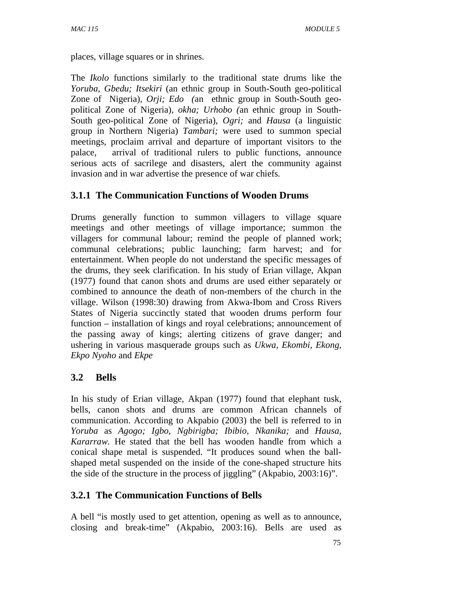places, village squares or in shrines.

The *Ikolo* functions similarly to the traditional state drums like the *Yoruba, Gbedu; Itsekiri* (an ethnic group in South-South geo-political Zone of Nigeria)*, Orji; Edo (*an ethnic group in South-South geopolitical Zone of Nigeria)*, okha; Urhobo (*an ethnic group in South-South geo-political Zone of Nigeria)*, Ogri;* and *Hausa* (a linguistic group in Northern Nigeria) *Tambari;* were used to summon special meetings, proclaim arrival and departure of important visitors to the palace, arrival of traditional rulers to public functions, announce serious acts of sacrilege and disasters, alert the community against invasion and in war advertise the presence of war chiefs*.*

## **3.1.1 The Communication Functions of Wooden Drums**

Drums generally function to summon villagers to village square meetings and other meetings of village importance; summon the villagers for communal labour; remind the people of planned work; communal celebrations; public launching; farm harvest; and for entertainment. When people do not understand the specific messages of the drums, they seek clarification. In his study of Erian village, Akpan (1977) found that canon shots and drums are used either separately or combined to announce the death of non-members of the church in the village. Wilson (1998:30) drawing from Akwa-Ibom and Cross Rivers States of Nigeria succinctly stated that wooden drums perform four function – installation of kings and royal celebrations; announcement of the passing away of kings; alerting citizens of grave danger; and ushering in various masquerade groups such as *Ukwa, Ekombi, Ekong, Ekpo Nyoho* and *Ekpe*

## **3.2 Bells**

In his study of Erian village, Akpan (1977) found that elephant tusk, bells, canon shots and drums are common African channels of communication. According to Akpabio (2003) the bell is referred to in *Yoruba* as *Agogo; Igbo, Ngbirigba; Ibibio, Nkanika;* and *Hausa, Kararraw.* He stated that the bell has wooden handle from which a conical shape metal is suspended. "It produces sound when the ballshaped metal suspended on the inside of the cone-shaped structure hits the side of the structure in the process of jiggling" (Akpabio, 2003:16)".

# **3.2.1 The Communication Functions of Bells**

A bell "is mostly used to get attention, opening as well as to announce, closing and break-time" (Akpabio, 2003:16). Bells are used as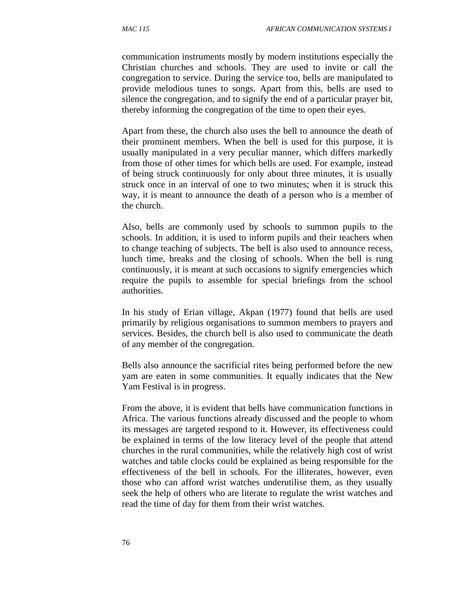communication instruments mostly by modern institutions especially the Christian churches and schools. They are used to invite or call the congregation to service. During the service too, bells are manipulated to provide melodious tunes to songs. Apart from this, bells are used to silence the congregation, and to signify the end of a particular prayer bit, thereby informing the congregation of the time to open their eyes.

Apart from these, the church also uses the bell to announce the death of their prominent members. When the bell is used for this purpose, it is usually manipulated in a very peculiar manner, which differs markedly from those of other times for which bells are used. For example, instead of being struck continuously for only about three minutes, it is usually struck once in an interval of one to two minutes; when it is struck this way, it is meant to announce the death of a person who is a member of the church.

Also, bells are commonly used by schools to summon pupils to the schools. In addition, it is used to inform pupils and their teachers when to change teaching of subjects. The bell is also used to announce recess, lunch time, breaks and the closing of schools. When the bell is rung continuously, it is meant at such occasions to signify emergencies which require the pupils to assemble for special briefings from the school authorities.

In his study of Erian village, Akpan (1977) found that bells are used primarily by religious organisations to summon members to prayers and services. Besides, the church bell is also used to communicate the death of any member of the congregation.

Bells also announce the sacrificial rites being performed before the new yam are eaten in some communities. It equally indicates that the New Yam Festival is in progress.

From the above, it is evident that bells have communication functions in Africa. The various functions already discussed and the people to whom its messages are targeted respond to it. However, its effectiveness could be explained in terms of the low literacy level of the people that attend churches in the rural communities, while the relatively high cost of wrist watches and table clocks could be explained as being responsible for the effectiveness of the bell in schools. For the illiterates, however, even those who can afford wrist watches underutilise them, as they usually seek the help of others who are literate to regulate the wrist watches and read the time of day for them from their wrist watches.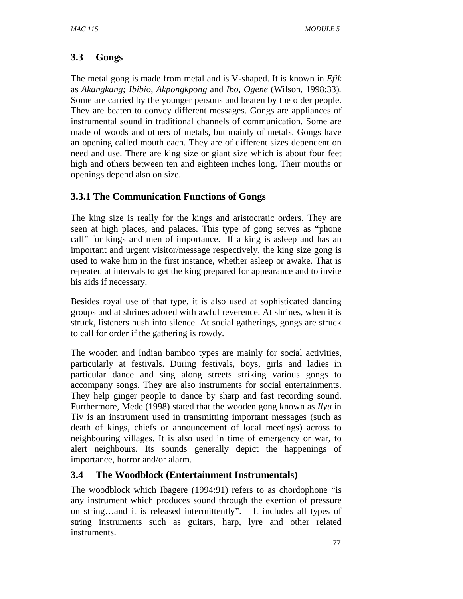# **3.3 Gongs**

The metal gong is made from metal and is V-shaped. It is known in *Efik*  as *Akangkang; Ibibio, Akpongkpong* and *Ibo, Ogene* (Wilson, 1998:33)*.*  Some are carried by the younger persons and beaten by the older people. They are beaten to convey different messages. Gongs are appliances of instrumental sound in traditional channels of communication. Some are made of woods and others of metals, but mainly of metals. Gongs have an opening called mouth each. They are of different sizes dependent on need and use. There are king size or giant size which is about four feet high and others between ten and eighteen inches long. Their mouths or openings depend also on size.

# **3.3.1 The Communication Functions of Gongs**

The king size is really for the kings and aristocratic orders. They are seen at high places, and palaces. This type of gong serves as "phone call" for kings and men of importance. If a king is asleep and has an important and urgent visitor/message respectively, the king size gong is used to wake him in the first instance, whether asleep or awake. That is repeated at intervals to get the king prepared for appearance and to invite his aids if necessary.

Besides royal use of that type, it is also used at sophisticated dancing groups and at shrines adored with awful reverence. At shrines, when it is struck, listeners hush into silence. At social gatherings, gongs are struck to call for order if the gathering is rowdy.

The wooden and Indian bamboo types are mainly for social activities, particularly at festivals. During festivals, boys, girls and ladies in particular dance and sing along streets striking various gongs to accompany songs. They are also instruments for social entertainments. They help ginger people to dance by sharp and fast recording sound. Furthermore, Mede (1998) stated that the wooden gong known as *Ilyu* in Tiv is an instrument used in transmitting important messages (such as death of kings, chiefs or announcement of local meetings) across to neighbouring villages. It is also used in time of emergency or war, to alert neighbours. Its sounds generally depict the happenings of importance, horror and/or alarm.

# **3.4 The Woodblock (Entertainment Instrumentals)**

The woodblock which Ibagere (1994:91) refers to as chordophone "is any instrument which produces sound through the exertion of pressure on string…and it is released intermittently". It includes all types of string instruments such as guitars, harp, lyre and other related instruments.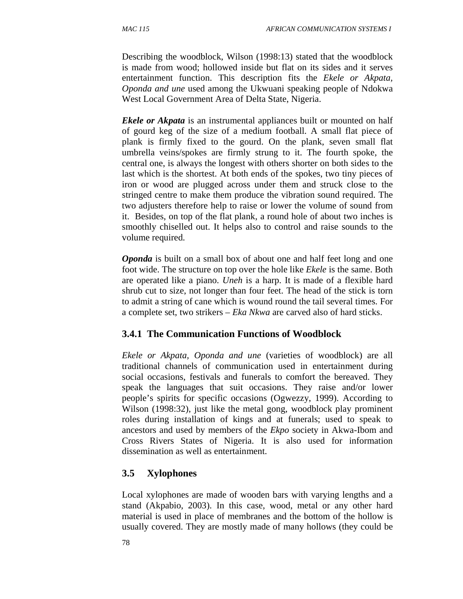Describing the woodblock, Wilson (1998:13) stated that the woodblock is made from wood; hollowed inside but flat on its sides and it serves entertainment function. This description fits the *Ekele or Akpata, Oponda and une* used among the Ukwuani speaking people of Ndokwa West Local Government Area of Delta State, Nigeria.

*Ekele or Akpata* is an instrumental appliances built or mounted on half of gourd keg of the size of a medium football. A small flat piece of plank is firmly fixed to the gourd. On the plank, seven small flat umbrella veins/spokes are firmly strung to it. The fourth spoke, the central one, is always the longest with others shorter on both sides to the last which is the shortest. At both ends of the spokes, two tiny pieces of iron or wood are plugged across under them and struck close to the stringed centre to make them produce the vibration sound required. The two adjusters therefore help to raise or lower the volume of sound from it. Besides, on top of the flat plank, a round hole of about two inches is smoothly chiselled out. It helps also to control and raise sounds to the volume required.

*Oponda* is built on a small box of about one and half feet long and one foot wide. The structure on top over the hole like *Ekele* is the same. Both are operated like a piano. *Uneh* is a harp. It is made of a flexible hard shrub cut to size, not longer than four feet. The head of the stick is torn to admit a string of cane which is wound round the tail several times. For a complete set, two strikers – *Eka Nkwa* are carved also of hard sticks.

### **3.4.1 The Communication Functions of Woodblock**

*Ekele or Akpata, Oponda and une* (varieties of woodblock) are all traditional channels of communication used in entertainment during social occasions, festivals and funerals to comfort the bereaved. They speak the languages that suit occasions. They raise and/or lower people's spirits for specific occasions (Ogwezzy, 1999). According to Wilson (1998:32), just like the metal gong, woodblock play prominent roles during installation of kings and at funerals; used to speak to ancestors and used by members of the *Ekpo* society in Akwa-Ibom and Cross Rivers States of Nigeria. It is also used for information dissemination as well as entertainment.

## **3.5 Xylophones**

Local xylophones are made of wooden bars with varying lengths and a stand (Akpabio, 2003). In this case, wood, metal or any other hard material is used in place of membranes and the bottom of the hollow is usually covered. They are mostly made of many hollows (they could be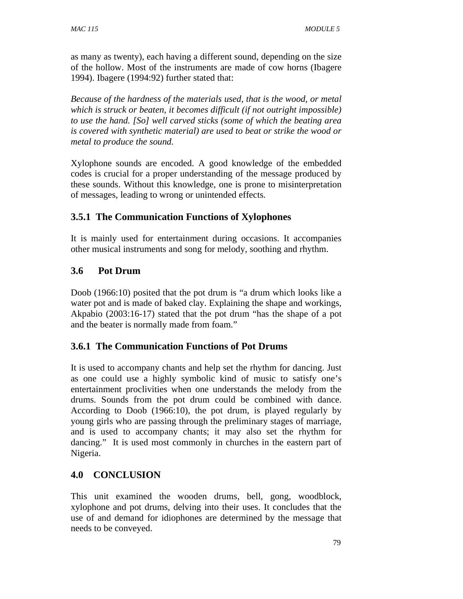as many as twenty), each having a different sound, depending on the size of the hollow. Most of the instruments are made of cow horns (Ibagere 1994). Ibagere (1994:92) further stated that:

*Because of the hardness of the materials used, that is the wood, or metal which is struck or beaten, it becomes difficult (if not outright impossible) to use the hand. [So] well carved sticks (some of which the beating area is covered with synthetic material) are used to beat or strike the wood or metal to produce the sound.* 

Xylophone sounds are encoded. A good knowledge of the embedded codes is crucial for a proper understanding of the message produced by these sounds. Without this knowledge, one is prone to misinterpretation of messages, leading to wrong or unintended effects.

# **3.5.1 The Communication Functions of Xylophones**

It is mainly used for entertainment during occasions. It accompanies other musical instruments and song for melody, soothing and rhythm.

## **3.6 Pot Drum**

Doob (1966:10) posited that the pot drum is "a drum which looks like a water pot and is made of baked clay. Explaining the shape and workings, Akpabio (2003:16-17) stated that the pot drum "has the shape of a pot and the beater is normally made from foam."

## **3.6.1 The Communication Functions of Pot Drums**

It is used to accompany chants and help set the rhythm for dancing. Just as one could use a highly symbolic kind of music to satisfy one's entertainment proclivities when one understands the melody from the drums. Sounds from the pot drum could be combined with dance. According to Doob (1966:10), the pot drum, is played regularly by young girls who are passing through the preliminary stages of marriage, and is used to accompany chants; it may also set the rhythm for dancing." It is used most commonly in churches in the eastern part of Nigeria.

## **4.0 CONCLUSION**

This unit examined the wooden drums, bell, gong, woodblock, xylophone and pot drums, delving into their uses. It concludes that the use of and demand for idiophones are determined by the message that needs to be conveyed.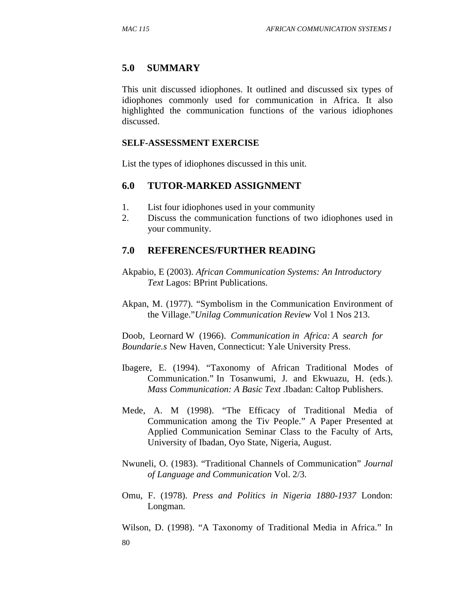### **5.0 SUMMARY**

This unit discussed idiophones. It outlined and discussed six types of idiophones commonly used for communication in Africa. It also highlighted the communication functions of the various idiophones discussed.

#### **SELF-ASSESSMENT EXERCISE**

List the types of idiophones discussed in this unit.

### **6.0 TUTOR-MARKED ASSIGNMENT**

- 1. List four idiophones used in your community
- 2. Discuss the communication functions of two idiophones used in your community.

### **7.0 REFERENCES/FURTHER READING**

- Akpabio, E (2003). *African Communication Systems: An Introductory Text* Lagos: BPrint Publications.
- Akpan, M. (1977). "Symbolism in the Communication Environment of the Village."*Unilag Communication Review* Vol 1 Nos 213.

Doob, Leornard W (1966). *Communication in Africa: A search for Boundarie.s* New Haven, Connecticut: Yale University Press.

- Ibagere, E. (1994). "Taxonomy of African Traditional Modes of Communication." In Tosanwumi, J. and Ekwuazu, H. (eds.). *Mass Communication: A Basic Text* .Ibadan: Caltop Publishers.
- Mede, A. M (1998). "The Efficacy of Traditional Media of Communication among the Tiv People." A Paper Presented at Applied Communication Seminar Class to the Faculty of Arts, University of Ibadan, Oyo State, Nigeria, August.
- Nwuneli, O. (1983). "Traditional Channels of Communication" *Journal of Language and Communication* Vol. 2/3.
- Omu, F. (1978). *Press and Politics in Nigeria 1880-1937* London: Longman.

80 Wilson, D. (1998). "A Taxonomy of Traditional Media in Africa." In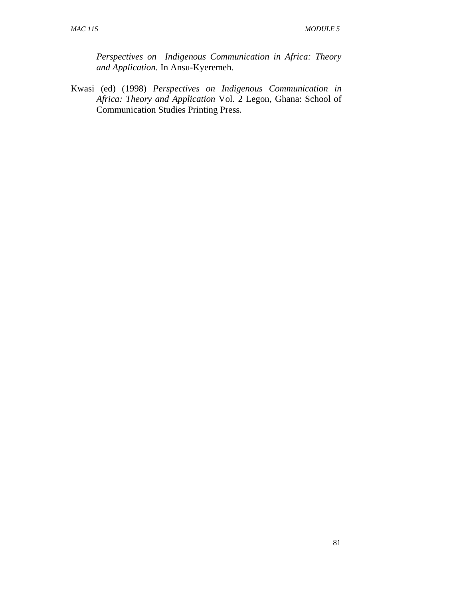*Perspectives on Indigenous Communication in Africa: Theory and Application.* In Ansu-Kyeremeh.

Kwasi (ed) (1998) *Perspectives on Indigenous Communication in Africa: Theory and Application* Vol. 2 Legon, Ghana: School of Communication Studies Printing Press.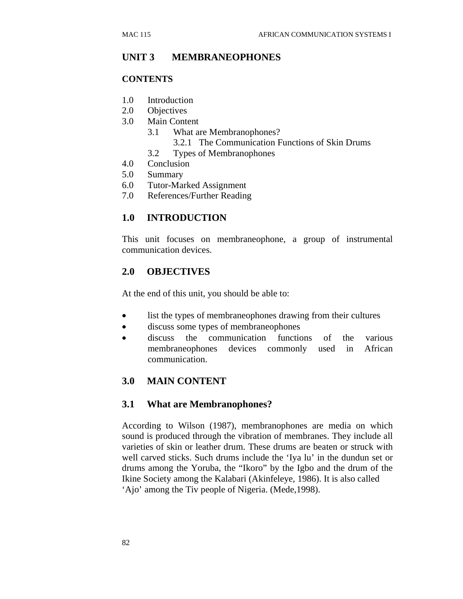## **UNIT 3 MEMBRANEOPHONES**

### **CONTENTS**

- 1.0 Introduction
- 2.0 Objectives
- 3.0 Main Content
	- 3.1 What are Membranophones?
		- 3.2.1 The Communication Functions of Skin Drums
	- 3.2 Types of Membranophones
- 4.0 Conclusion
- 5.0 Summary
- 6.0 Tutor-Marked Assignment
- 7.0 References/Further Reading

## **1.0 INTRODUCTION**

This unit focuses on membraneophone, a group of instrumental communication devices.

## **2.0 OBJECTIVES**

At the end of this unit, you should be able to:

- list the types of membraneophones drawing from their cultures
- discuss some types of membraneophones
- discuss the communication functions of the various membraneophones devices commonly used in African communication.

## **3.0 MAIN CONTENT**

### **3.1 What are Membranophones?**

According to Wilson (1987), membranophones are media on which sound is produced through the vibration of membranes. They include all varieties of skin or leather drum. These drums are beaten or struck with well carved sticks. Such drums include the 'Iya lu' in the dundun set or drums among the Yoruba, the "Ikoro" by the Igbo and the drum of the Ikine Society among the Kalabari (Akinfeleye, 1986). It is also called 'Ajo' among the Tiv people of Nigeria. (Mede,1998).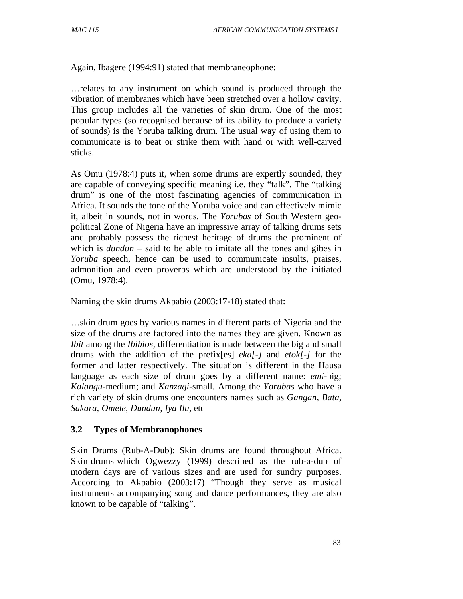Again, Ibagere (1994:91) stated that membraneophone:

…relates to any instrument on which sound is produced through the vibration of membranes which have been stretched over a hollow cavity. This group includes all the varieties of skin drum. One of the most popular types (so recognised because of its ability to produce a variety of sounds) is the Yoruba talking drum. The usual way of using them to communicate is to beat or strike them with hand or with well-carved sticks.

As Omu (1978:4) puts it, when some drums are expertly sounded, they are capable of conveying specific meaning i.e. they "talk". The "talking drum" is one of the most fascinating agencies of communication in Africa. It sounds the tone of the Yoruba voice and can effectively mimic it, albeit in sounds, not in words. The *Yorubas* of South Western geopolitical Zone of Nigeria have an impressive array of talking drums sets and probably possess the richest heritage of drums the prominent of which is *dundun* – said to be able to imitate all the tones and gibes in *Yoruba* speech, hence can be used to communicate insults, praises, admonition and even proverbs which are understood by the initiated (Omu, 1978:4).

Naming the skin drums Akpabio (2003:17-18) stated that:

…skin drum goes by various names in different parts of Nigeria and the size of the drums are factored into the names they are given. Known as *Ibit* among the *Ibibios,* differentiation is made between the big and small drums with the addition of the prefix[es] *eka[-]* and *etok[-]* for the former and latter respectively. The situation is different in the Hausa language as each size of drum goes by a different name: *emi*-big; *Kalangu*-medium; and *Kanzagi*-small. Among the *Yorubas* who have a rich variety of skin drums one encounters names such as *Gangan, Bata, Sakara, Omele, Dundun, Iya Ilu,* etc

### **3.2 Types of Membranophones**

Skin Drums (Rub-A-Dub): Skin drums are found throughout Africa. Skin drums which Ogwezzy (1999) described as the rub-a-dub of modern days are of various sizes and are used for sundry purposes. According to Akpabio (2003:17) "Though they serve as musical instruments accompanying song and dance performances, they are also known to be capable of "talking".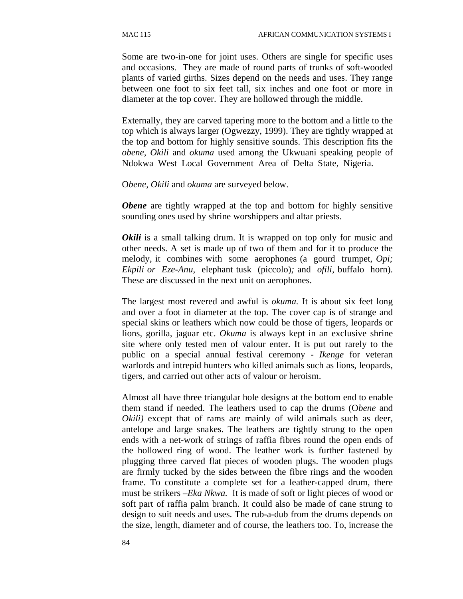Some are two-in-one for joint uses. Others are single for specific uses and occasions. They are made of round parts of trunks of soft-wooded plants of varied girths. Sizes depend on the needs and uses. They range between one foot to six feet tall, six inches and one foot or more in diameter at the top cover. They are hollowed through the middle.

Externally, they are carved tapering more to the bottom and a little to the top which is always larger (Ogwezzy, 1999). They are tightly wrapped at the top and bottom for highly sensitive sounds. This description fits the *obene, Okili* and *okuma* used among the Ukwuani speaking people of Ndokwa West Local Government Area of Delta State, Nigeria.

O*bene, Okili* and *okuma* are surveyed below.

*Obene* are tightly wrapped at the top and bottom for highly sensitive sounding ones used by shrine worshippers and altar priests.

*Okili* is a small talking drum. It is wrapped on top only for music and other needs. A set is made up of two of them and for it to produce the melody, it combines with some aerophones (a gourd trumpet, *Opi; Ekpili or Eze-Anu,* elephant tusk (piccolo)*;* and *ofili,* buffalo horn). These are discussed in the next unit on aerophones.

The largest most revered and awful is *okuma.* It is about six feet long and over a foot in diameter at the top. The cover cap is of strange and special skins or leathers which now could be those of tigers, leopards or lions, gorilla, jaguar etc. *Okuma* is always kept in an exclusive shrine site where only tested men of valour enter. It is put out rarely to the public on a special annual festival ceremony - *Ikenge* for veteran warlords and intrepid hunters who killed animals such as lions, leopards, tigers, and carried out other acts of valour or heroism.

Almost all have three triangular hole designs at the bottom end to enable them stand if needed. The leathers used to cap the drums (O*bene* and *Okili*) except that of rams are mainly of wild animals such as deer, antelope and large snakes. The leathers are tightly strung to the open ends with a net-work of strings of raffia fibres round the open ends of the hollowed ring of wood. The leather work is further fastened by plugging three carved flat pieces of wooden plugs. The wooden plugs are firmly tucked by the sides between the fibre rings and the wooden frame. To constitute a complete set for a leather-capped drum, there must be strikers –*Eka Nkwa.* It is made of soft or light pieces of wood or soft part of raffia palm branch. It could also be made of cane strung to design to suit needs and uses. The rub-a-dub from the drums depends on the size, length, diameter and of course, the leathers too. To, increase the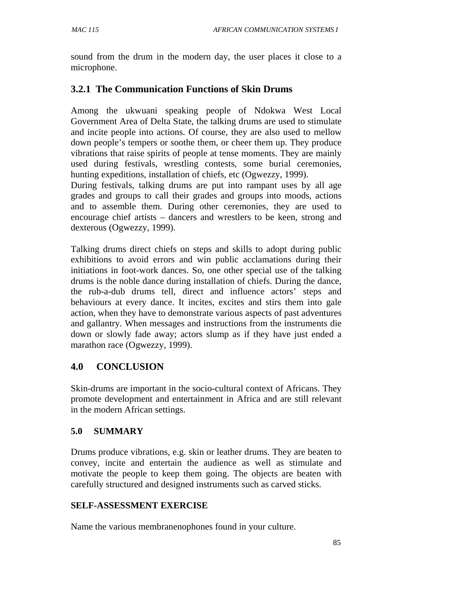sound from the drum in the modern day, the user places it close to a microphone.

## **3.2.1 The Communication Functions of Skin Drums**

Among the ukwuani speaking people of Ndokwa West Local Government Area of Delta State, the talking drums are used to stimulate and incite people into actions. Of course, they are also used to mellow down people's tempers or soothe them, or cheer them up. They produce vibrations that raise spirits of people at tense moments. They are mainly used during festivals, wrestling contests, some burial ceremonies, hunting expeditions, installation of chiefs, etc (Ogwezzy, 1999).

During festivals, talking drums are put into rampant uses by all age grades and groups to call their grades and groups into moods, actions and to assemble them. During other ceremonies, they are used to encourage chief artists – dancers and wrestlers to be keen, strong and dexterous (Ogwezzy, 1999).

Talking drums direct chiefs on steps and skills to adopt during public exhibitions to avoid errors and win public acclamations during their initiations in foot-work dances. So, one other special use of the talking drums is the noble dance during installation of chiefs. During the dance, the rub-a-dub drums tell, direct and influence actors' steps and behaviours at every dance. It incites, excites and stirs them into gale action, when they have to demonstrate various aspects of past adventures and gallantry. When messages and instructions from the instruments die down or slowly fade away; actors slump as if they have just ended a marathon race (Ogwezzy, 1999).

# **4.0 CONCLUSION**

Skin-drums are important in the socio-cultural context of Africans. They promote development and entertainment in Africa and are still relevant in the modern African settings.

## **5.0 SUMMARY**

Drums produce vibrations, e.g. skin or leather drums. They are beaten to convey, incite and entertain the audience as well as stimulate and motivate the people to keep them going. The objects are beaten with carefully structured and designed instruments such as carved sticks.

### **SELF-ASSESSMENT EXERCISE**

Name the various membranenophones found in your culture.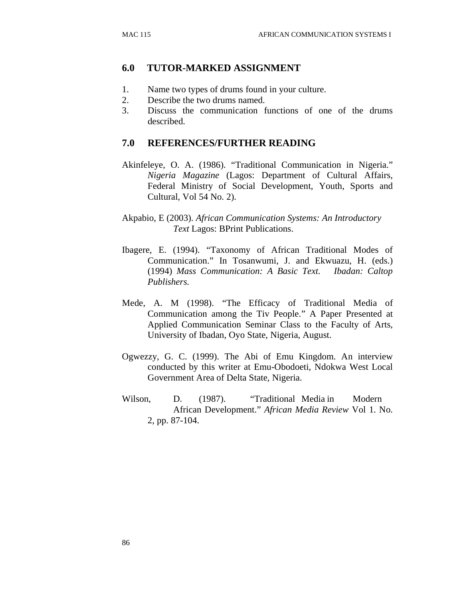### **6.0 TUTOR-MARKED ASSIGNMENT**

- 1. Name two types of drums found in your culture.
- 2. Describe the two drums named.
- 3. Discuss the communication functions of one of the drums described.

### **7.0 REFERENCES/FURTHER READING**

- Akinfeleye, O. A. (1986). "Traditional Communication in Nigeria." *Nigeria Magazine* (Lagos: Department of Cultural Affairs, Federal Ministry of Social Development, Youth, Sports and Cultural, Vol 54 No. 2).
- Akpabio, E (2003). *African Communication Systems: An Introductory Text* Lagos: BPrint Publications.
- Ibagere, E. (1994). "Taxonomy of African Traditional Modes of Communication." In Tosanwumi, J. and Ekwuazu, H. (eds.) (1994) *Mass Communication: A Basic Text. Ibadan: Caltop Publishers.*
- Mede, A. M (1998). "The Efficacy of Traditional Media of Communication among the Tiv People." A Paper Presented at Applied Communication Seminar Class to the Faculty of Arts, University of Ibadan, Oyo State, Nigeria, August.
- Ogwezzy, G. C. (1999). The Abi of Emu Kingdom. An interview conducted by this writer at Emu-Obodoeti, Ndokwa West Local Government Area of Delta State, Nigeria.
- Wilson, D. (1987). "Traditional Media in Modern African Development." *African Media Review* Vol 1. No. 2, pp. 87-104.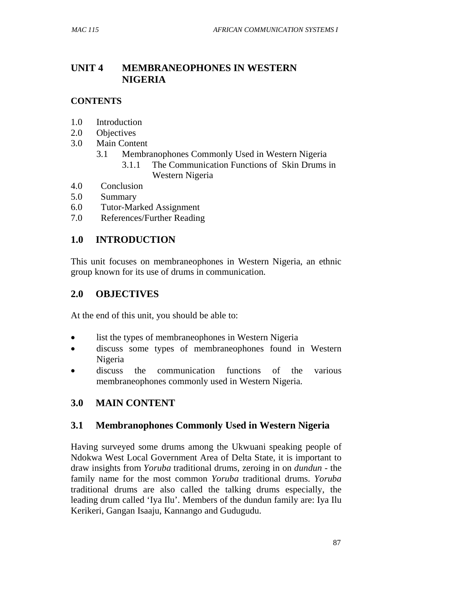# **UNIT 4 MEMBRANEOPHONES IN WESTERN NIGERIA**

## **CONTENTS**

- 1.0 Introduction
- 2.0 Objectives
- 3.0 Main Content
	- 3.1 Membranophones Commonly Used in Western Nigeria
		- 3.1.1 The Communication Functions of Skin Drums in Western Nigeria
- 4.0 Conclusion
- 5.0 Summary
- 6.0 Tutor-Marked Assignment
- 7.0 References/Further Reading

## **1.0 INTRODUCTION**

This unit focuses on membraneophones in Western Nigeria, an ethnic group known for its use of drums in communication.

## **2.0 OBJECTIVES**

At the end of this unit, you should be able to:

- list the types of membraneophones in Western Nigeria
- discuss some types of membraneophones found in Western Nigeria
- discuss the communication functions of the various membraneophones commonly used in Western Nigeria.

# **3.0 MAIN CONTENT**

## **3.1 Membranophones Commonly Used in Western Nigeria**

Having surveyed some drums among the Ukwuani speaking people of Ndokwa West Local Government Area of Delta State, it is important to draw insights from *Yoruba* traditional drums, zeroing in on *dundun -* the family name for the most common *Yoruba* traditional drums. *Yoruba*  traditional drums are also called the talking drums especially, the leading drum called 'Iya Ilu'. Members of the dundun family are: Iya Ilu Kerikeri, Gangan Isaaju, Kannango and Gudugudu.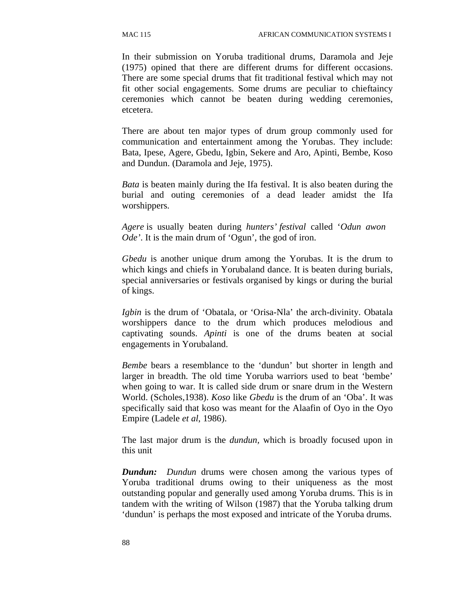In their submission on Yoruba traditional drums, Daramola and Jeje (1975) opined that there are different drums for different occasions. There are some special drums that fit traditional festival which may not fit other social engagements. Some drums are peculiar to chieftaincy ceremonies which cannot be beaten during wedding ceremonies, etcetera.

There are about ten major types of drum group commonly used for communication and entertainment among the Yorubas. They include: Bata, Ipese, Agere, Gbedu, Igbin, Sekere and Aro, Apinti, Bembe, Koso and Dundun. (Daramola and Jeje, 1975).

*Bata* is beaten mainly during the Ifa festival. It is also beaten during the burial and outing ceremonies of a dead leader amidst the Ifa worshippers.

*Agere* is usually beaten during *hunters' festival* called '*Odun awon Ode'*. It is the main drum of 'Ogun', the god of iron.

*Gbedu* is another unique drum among the Yorubas. It is the drum to which kings and chiefs in Yorubaland dance. It is beaten during burials, special anniversaries or festivals organised by kings or during the burial of kings.

*Igbin* is the drum of 'Obatala, or 'Orisa-Nla' the arch-divinity. Obatala worshippers dance to the drum which produces melodious and captivating sounds. *Apinti* is one of the drums beaten at social engagements in Yorubaland.

*Bembe* bears a resemblance to the 'dundun' but shorter in length and larger in breadth. The old time Yoruba warriors used to beat 'bembe' when going to war. It is called side drum or snare drum in the Western World. (Scholes,1938). *Koso* like *Gbedu* is the drum of an 'Oba'. It was specifically said that koso was meant for the Alaafin of Oyo in the Oyo Empire (Ladele *et al*, 1986).

The last major drum is the *dundun,* which is broadly focused upon in this unit

*Dundun: Dundun* drums were chosen among the various types of Yoruba traditional drums owing to their uniqueness as the most outstanding popular and generally used among Yoruba drums. This is in tandem with the writing of Wilson (1987) that the Yoruba talking drum 'dundun' is perhaps the most exposed and intricate of the Yoruba drums.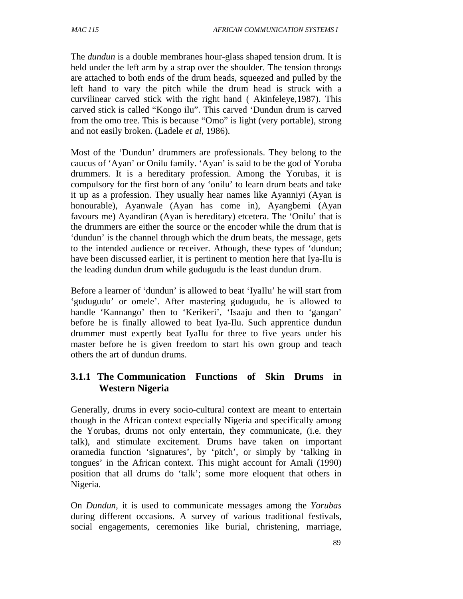The *dundun* is a double membranes hour-glass shaped tension drum. It is held under the left arm by a strap over the shoulder. The tension throngs are attached to both ends of the drum heads, squeezed and pulled by the left hand to vary the pitch while the drum head is struck with a curvilinear carved stick with the right hand ( Akinfeleye,1987). This carved stick is called "Kongo ilu". This carved 'Dundun drum is carved from the omo tree. This is because "Omo" is light (very portable), strong and not easily broken. (Ladele *et al,* 1986).

Most of the 'Dundun' drummers are professionals. They belong to the caucus of 'Ayan' or Onilu family. 'Ayan' is said to be the god of Yoruba drummers. It is a hereditary profession. Among the Yorubas, it is compulsory for the first born of any 'onilu' to learn drum beats and take it up as a profession. They usually hear names like Ayanniyi (Ayan is honourable), Ayanwale (Ayan has come in), Ayangbemi (Ayan favours me) Ayandiran (Ayan is hereditary) etcetera. The 'Onilu' that is the drummers are either the source or the encoder while the drum that is 'dundun' is the channel through which the drum beats, the message, gets to the intended audience or receiver. Athough, these types of 'dundun; have been discussed earlier, it is pertinent to mention here that Iya-Ilu is the leading dundun drum while gudugudu is the least dundun drum.

Before a learner of 'dundun' is allowed to beat 'IyaIlu' he will start from 'gudugudu' or omele'. After mastering gudugudu, he is allowed to handle 'Kannango' then to 'Kerikeri', 'Isaaju and then to 'gangan' before he is finally allowed to beat Iya-Ilu. Such apprentice dundun drummer must expertly beat IyaIlu for three to five years under his master before he is given freedom to start his own group and teach others the art of dundun drums.

## **3.1.1 The Communication Functions of Skin Drums in Western Nigeria**

Generally, drums in every socio-cultural context are meant to entertain though in the African context especially Nigeria and specifically among the Yorubas, drums not only entertain, they communicate, (i.e. they talk), and stimulate excitement. Drums have taken on important oramedia function 'signatures', by 'pitch', or simply by 'talking in tongues' in the African context. This might account for Amali (1990) position that all drums do 'talk'; some more eloquent that others in Nigeria.

On *Dundun,* it is used to communicate messages among the *Yorubas*  during different occasions*.* A survey of various traditional festivals, social engagements, ceremonies like burial, christening, marriage,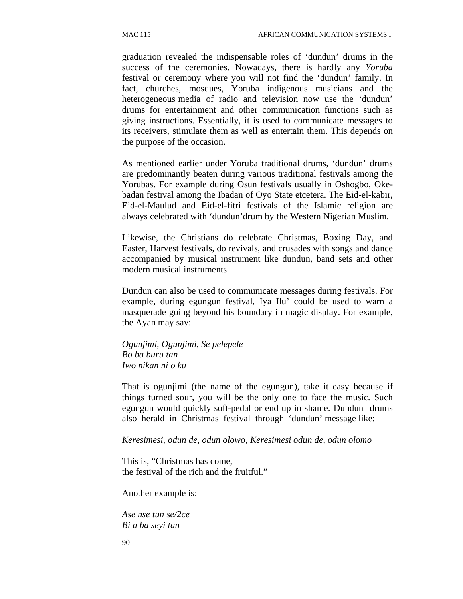graduation revealed the indispensable roles of 'dundun' drums in the success of the ceremonies. Nowadays, there is hardly any *Yoruba*  festival or ceremony where you will not find the 'dundun' family. In fact, churches, mosques, Yoruba indigenous musicians and the heterogeneous media of radio and television now use the 'dundun' drums for entertainment and other communication functions such as giving instructions. Essentially, it is used to communicate messages to its receivers, stimulate them as well as entertain them. This depends on the purpose of the occasion.

As mentioned earlier under Yoruba traditional drums, 'dundun' drums are predominantly beaten during various traditional festivals among the Yorubas. For example during Osun festivals usually in Oshogbo, Okebadan festival among the Ibadan of Oyo State etcetera. The Eid-el-kabir, Eid-el-Maulud and Eid-el-fitri festivals of the Islamic religion are always celebrated with 'dundun'drum by the Western Nigerian Muslim.

Likewise, the Christians do celebrate Christmas, Boxing Day, and Easter, Harvest festivals, do revivals, and crusades with songs and dance accompanied by musical instrument like dundun, band sets and other modern musical instruments.

Dundun can also be used to communicate messages during festivals. For example, during egungun festival, Iya Ilu' could be used to warn a masquerade going beyond his boundary in magic display. For example, the Ayan may say:

*Ogunjimi, Ogunjimi, Se pelepele Bo ba buru tan Iwo nikan ni o ku* 

That is ogunjimi (the name of the egungun), take it easy because if things turned sour, you will be the only one to face the music. Such egungun would quickly soft-pedal or end up in shame. Dundun drums also herald in Christmas festival through 'dundun' message like:

*Keresimesi, odun de, odun olowo, Keresimesi odun de, odun olomo*

This is, "Christmas has come, the festival of the rich and the fruitful."

Another example is:

*Ase nse tun se/2ce Bi a ba seyi tan*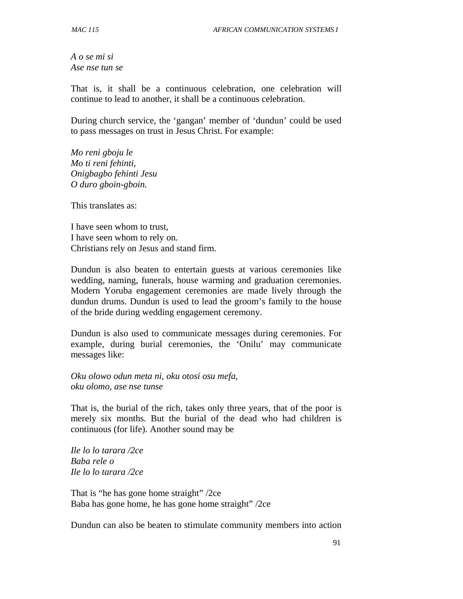*A o se mi si Ase nse tun se* 

That is, it shall be a continuous celebration, one celebration will continue to lead to another, it shall be a continuous celebration.

During church service, the 'gangan' member of 'dundun' could be used to pass messages on trust in Jesus Christ. For example:

*Mo reni gboju le Mo ti reni fehinti, Onigbagbo fehinti Jesu O duro gboin-gboin.* 

This translates as:

I have seen whom to trust, I have seen whom to rely on. Christians rely on Jesus and stand firm.

Dundun is also beaten to entertain guests at various ceremonies like wedding, naming, funerals, house warming and graduation ceremonies. Modern Yoruba engagement ceremonies are made lively through the dundun drums. Dundun is used to lead the groom's family to the house of the bride during wedding engagement ceremony.

Dundun is also used to communicate messages during ceremonies. For example, during burial ceremonies, the 'Onilu' may communicate messages like:

*Oku olowo odun meta ni, oku otosi osu mefa, oku olomo, ase nse tunse* 

That is, the burial of the rich, takes only three years, that of the poor is merely six months. But the burial of the dead who had children is continuous (for life). Another sound may be

*Ile lo lo tarara /2ce Baba rele o Ile lo lo tarara /2ce* 

That is "he has gone home straight" /2ce Baba has gone home, he has gone home straight" /2ce

Dundun can also be beaten to stimulate community members into action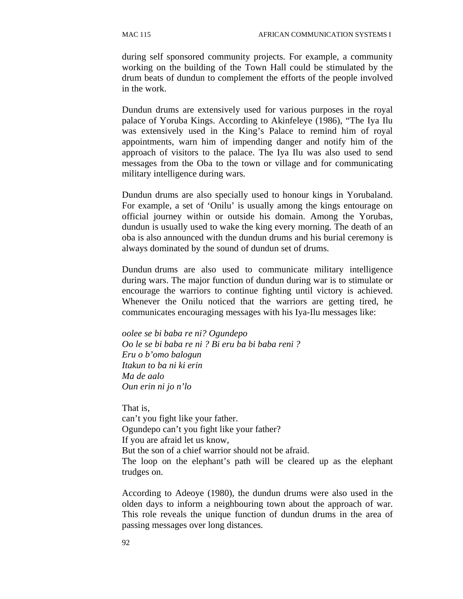during self sponsored community projects. For example, a community working on the building of the Town Hall could be stimulated by the drum beats of dundun to complement the efforts of the people involved in the work.

Dundun drums are extensively used for various purposes in the royal palace of Yoruba Kings. According to Akinfeleye (1986), "The Iya Ilu was extensively used in the King's Palace to remind him of royal appointments, warn him of impending danger and notify him of the approach of visitors to the palace. The Iya Ilu was also used to send messages from the Oba to the town or village and for communicating military intelligence during wars.

Dundun drums are also specially used to honour kings in Yorubaland. For example, a set of 'Onilu' is usually among the kings entourage on official journey within or outside his domain. Among the Yorubas, dundun is usually used to wake the king every morning. The death of an oba is also announced with the dundun drums and his burial ceremony is always dominated by the sound of dundun set of drums.

Dundun drums are also used to communicate military intelligence during wars. The major function of dundun during war is to stimulate or encourage the warriors to continue fighting until victory is achieved. Whenever the Onilu noticed that the warriors are getting tired, he communicates encouraging messages with his Iya-Ilu messages like:

*oolee se bi baba re ni? Ogundepo Oo le se bi baba re ni ? Bi eru ba bi baba reni ? Eru o b'omo balogun Itakun to ba ni ki erin Ma de aalo Oun erin ni jo n'lo* 

That is, can't you fight like your father. Ogundepo can't you fight like your father? If you are afraid let us know, But the son of a chief warrior should not be afraid. The loop on the elephant's path will be cleared up as the elephant trudges on.

According to Adeoye (1980), the dundun drums were also used in the olden days to inform a neighbouring town about the approach of war. This role reveals the unique function of dundun drums in the area of passing messages over long distances.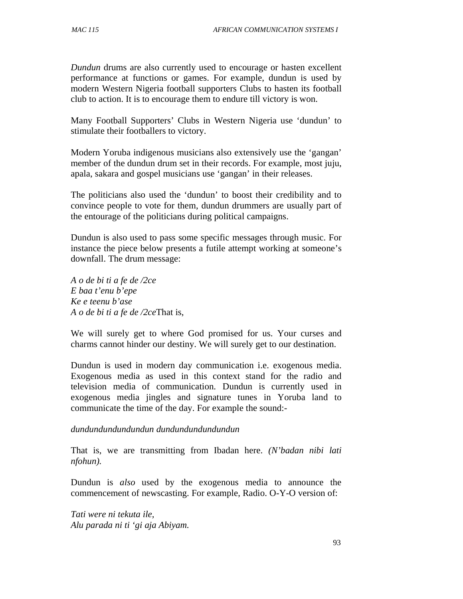*Dundun* drums are also currently used to encourage or hasten excellent performance at functions or games. For example, dundun is used by modern Western Nigeria football supporters Clubs to hasten its football club to action. It is to encourage them to endure till victory is won.

Many Football Supporters' Clubs in Western Nigeria use 'dundun' to stimulate their footballers to victory.

Modern Yoruba indigenous musicians also extensively use the 'gangan' member of the dundun drum set in their records. For example, most juju, apala, sakara and gospel musicians use 'gangan' in their releases.

The politicians also used the 'dundun' to boost their credibility and to convince people to vote for them, dundun drummers are usually part of the entourage of the politicians during political campaigns.

Dundun is also used to pass some specific messages through music. For instance the piece below presents a futile attempt working at someone's downfall. The drum message:

*A o de bi ti a fe de /2ce E baa t'enu b'epe Ke e teenu b'ase A o de bi ti a fe de /2ce*That is,

We will surely get to where God promised for us. Your curses and charms cannot hinder our destiny. We will surely get to our destination.

Dundun is used in modern day communication i.e. exogenous media. Exogenous media as used in this context stand for the radio and television media of communication. Dundun is currently used in exogenous media jingles and signature tunes in Yoruba land to communicate the time of the day. For example the sound:-

### *dundundundundundun dundundundundundun*

That is, we are transmitting from Ibadan here. *(N'badan nibi lati nfohun).*

Dundun is *also* used by the exogenous media to announce the commencement of newscasting. For example, Radio. O-Y-O version of:

*Tati were ni tekuta ile, Alu parada ni ti 'gi aja Abiyam.*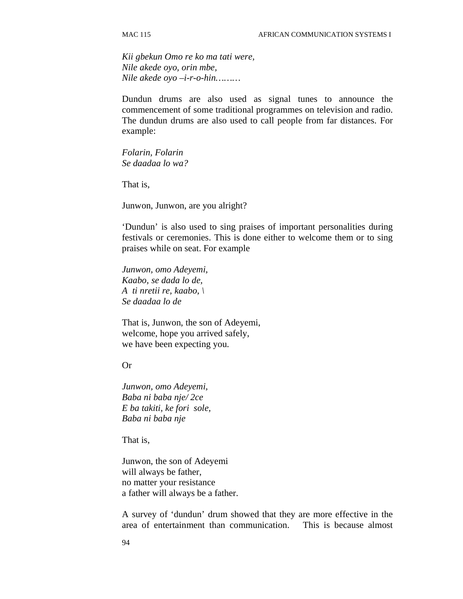*Kii gbekun Omo re ko ma tati were, Nile akede oyo, orin mbe, Nile akede oyo –i-r-o-hin………* 

Dundun drums are also used as signal tunes to announce the commencement of some traditional programmes on television and radio. The dundun drums are also used to call people from far distances. For example:

*Folarin, Folarin Se daadaa lo wa?* 

That is,

Junwon, Junwon, are you alright?

'Dundun' is also used to sing praises of important personalities during festivals or ceremonies. This is done either to welcome them or to sing praises while on seat. For example

*Junwon, omo Adeyemi, Kaabo, se dada lo de, A ti nretii re, kaabo, \ Se daadaa lo de* 

That is, Junwon, the son of Adeyemi, welcome, hope you arrived safely, we have been expecting you.

Or

*Junwon, omo Adeyemi, Baba ni baba nje/ 2ce E ba takiti, ke fori sole, Baba ni baba nje* 

That is,

Junwon, the son of Adeyemi will always be father, no matter your resistance a father will always be a father.

A survey of 'dundun' drum showed that they are more effective in the area of entertainment than communication. This is because almost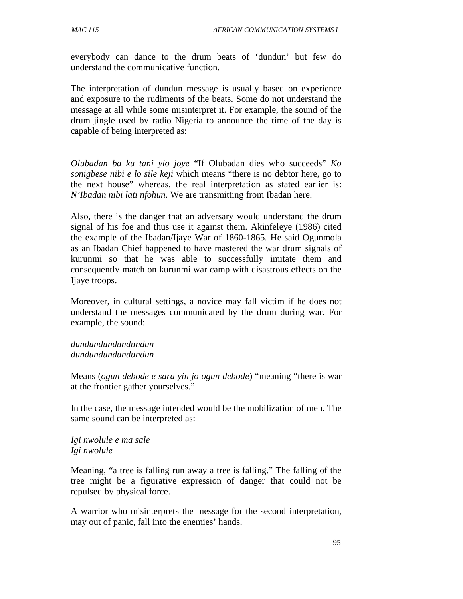everybody can dance to the drum beats of 'dundun' but few do understand the communicative function.

The interpretation of dundun message is usually based on experience and exposure to the rudiments of the beats. Some do not understand the message at all while some misinterpret it. For example, the sound of the drum jingle used by radio Nigeria to announce the time of the day is capable of being interpreted as:

*Olubadan ba ku tani yio joye* "If Olubadan dies who succeeds" *Ko sonigbese nibi e lo sile keji* which means "there is no debtor here, go to the next house" whereas, the real interpretation as stated earlier is: *N'Ibadan nibi lati nfohun.* We are transmitting from Ibadan here.

Also, there is the danger that an adversary would understand the drum signal of his foe and thus use it against them. Akinfeleye (1986) cited the example of the Ibadan/Ijaye War of 1860-1865. He said Ogunmola as an Ibadan Chief happened to have mastered the war drum signals of kurunmi so that he was able to successfully imitate them and consequently match on kurunmi war camp with disastrous effects on the Ijaye troops.

Moreover, in cultural settings, a novice may fall victim if he does not understand the messages communicated by the drum during war. For example, the sound:

*dundundundundundun dundundundundundun* 

Means (*ogun debode e sara yin jo ogun debode*) "meaning "there is war at the frontier gather yourselves."

In the case, the message intended would be the mobilization of men. The same sound can be interpreted as:

*Igi nwolule e ma sale Igi nwolule* 

Meaning, "a tree is falling run away a tree is falling." The falling of the tree might be a figurative expression of danger that could not be repulsed by physical force.

A warrior who misinterprets the message for the second interpretation, may out of panic, fall into the enemies' hands.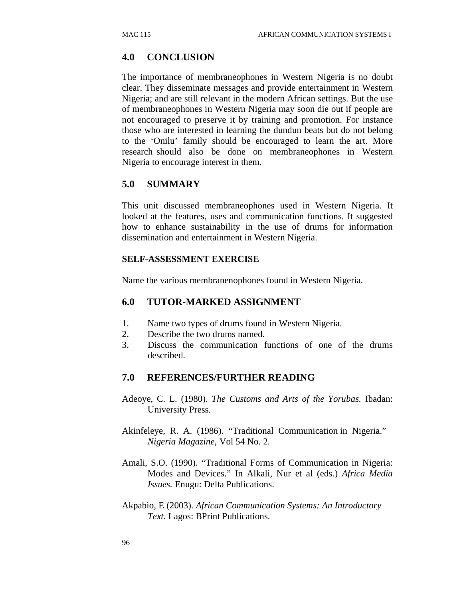#### **4.0 CONCLUSION**

The importance of membraneophones in Western Nigeria is no doubt clear. They disseminate messages and provide entertainment in Western Nigeria; and are still relevant in the modern African settings. But the use of membraneophones in Western Nigeria may soon die out if people are not encouraged to preserve it by training and promotion. For instance those who are interested in learning the dundun beats but do not belong to the 'Onilu' family should be encouraged to learn the art. More research should also be done on membraneophones in Western Nigeria to encourage interest in them.

#### **5.0 SUMMARY**

This unit discussed membraneophones used in Western Nigeria. It looked at the features, uses and communication functions. It suggested how to enhance sustainability in the use of drums for information dissemination and entertainment in Western Nigeria.

#### **SELF-ASSESSMENT EXERCISE**

Name the various membranenophones found in Western Nigeria.

#### **6.0 TUTOR-MARKED ASSIGNMENT**

- 1. Name two types of drums found in Western Nigeria.
- 2. Describe the two drums named.
- 3. Discuss the communication functions of one of the drums described.

#### **7.0 REFERENCES/FURTHER READING**

- Adeoye, C. L. (1980). *The Customs and Arts of the Yorubas.* Ibadan: University Press.
- Akinfeleye, R. A. (1986). "Traditional Communication in Nigeria."  *Nigeria Magazine*, Vol 54 No. 2.
- Amali, S.O. (1990). "Traditional Forms of Communication in Nigeria: Modes and Devices." In Alkali, Nur et al (eds.) *Africa Media Issues.* Enugu: Delta Publications.
- Akpabio, E (2003). *African Communication Systems: An Introductory Text*. Lagos: BPrint Publications.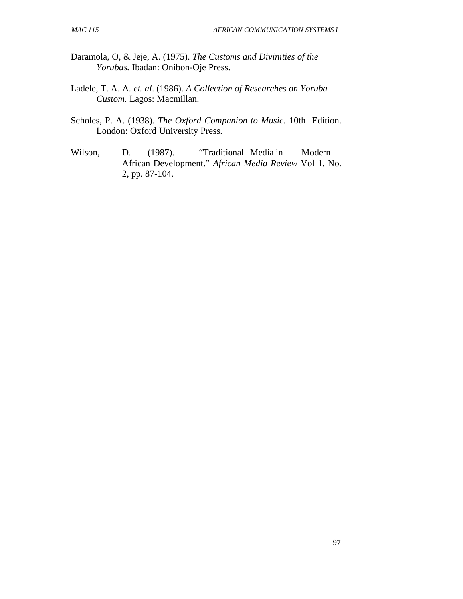- Daramola, O, & Jeje, A. (1975). *The Customs and Divinities of the Yorubas.* Ibadan: Onibon-Oje Press.
- Ladele, T. A. A. *et. al*. (1986). *A Collection of Researches on Yoruba Custom.* Lagos: Macmillan.
- Scholes, P. A. (1938). *The Oxford Companion to Music.* 10th Edition. London: Oxford University Press.
- Wilson, D. (1987). "Traditional Media in Modern African Development." *African Media Review* Vol 1. No. 2, pp. 87-104.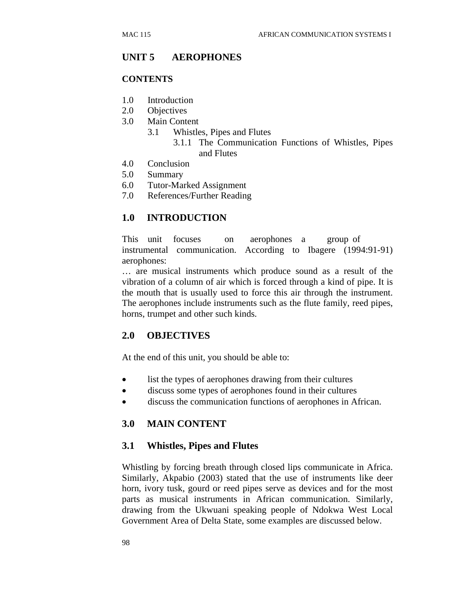#### **UNIT 5 AEROPHONES**

#### **CONTENTS**

- 1.0 Introduction
- 2.0 Objectives
- 3.0 Main Content
	- 3.1 Whistles, Pipes and Flutes 3.1.1 The Communication Functions of Whistles, Pipes and Flutes
- 4.0 Conclusion
- 5.0 Summary
- 6.0 Tutor-Marked Assignment
- 7.0 References/Further Reading

#### **1.0 INTRODUCTION**

This unit focuses on aerophones a group of instrumental communication. According to Ibagere (1994:91-91) aerophones:

… are musical instruments which produce sound as a result of the vibration of a column of air which is forced through a kind of pipe. It is the mouth that is usually used to force this air through the instrument. The aerophones include instruments such as the flute family, reed pipes, horns, trumpet and other such kinds.

#### **2.0 OBJECTIVES**

At the end of this unit, you should be able to:

- list the types of aerophones drawing from their cultures
- discuss some types of aerophones found in their cultures
- discuss the communication functions of aerophones in African.

#### **3.0 MAIN CONTENT**

#### **3.1 Whistles, Pipes and Flutes**

Whistling by forcing breath through closed lips communicate in Africa. Similarly, Akpabio (2003) stated that the use of instruments like deer horn, ivory tusk, gourd or reed pipes serve as devices and for the most parts as musical instruments in African communication. Similarly, drawing from the Ukwuani speaking people of Ndokwa West Local Government Area of Delta State, some examples are discussed below.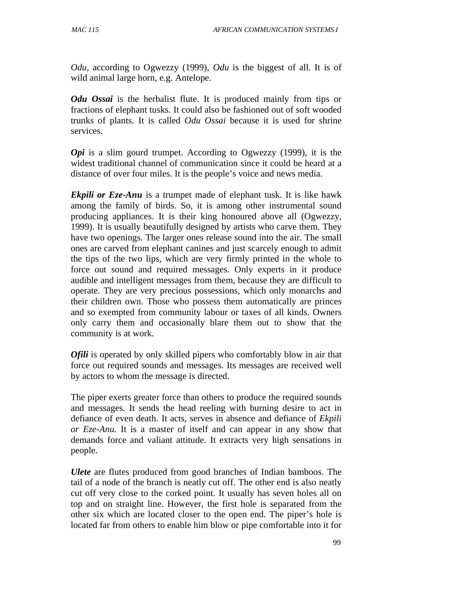*Odu,* according to Ogwezzy (1999), *Odu* is the biggest of all. It is of wild animal large horn, e.g. Antelope.

*Odu Ossai* is the herbalist flute. It is produced mainly from tips or fractions of elephant tusks. It could also be fashioned out of soft wooded trunks of plants. It is called *Odu Ossai* because it is used for shrine services.

*Opi* is a slim gourd trumpet. According to Ogwezzy (1999), it is the widest traditional channel of communication since it could be heard at a distance of over four miles. It is the people's voice and news media.

*Ekpili or Eze-Anu* is a trumpet made of elephant tusk. It is like hawk among the family of birds. So, it is among other instrumental sound producing appliances. It is their king honoured above all (Ogwezzy, 1999). It is usually beautifully designed by artists who carve them. They have two openings. The larger ones release sound into the air. The small ones are carved from elephant canines and just scarcely enough to admit the tips of the two lips, which are very firmly printed in the whole to force out sound and required messages. Only experts in it produce audible and intelligent messages from them, because they are difficult to operate. They are very precious possessions, which only monarchs and their children own. Those who possess them automatically are princes and so exempted from community labour or taxes of all kinds. Owners only carry them and occasionally blare them out to show that the community is at work.

*Ofili* is operated by only skilled pipers who comfortably blow in air that force out required sounds and messages. Its messages are received well by actors to whom the message is directed.

The piper exerts greater force than others to produce the required sounds and messages. It sends the head reeling with burning desire to act in defiance of even death. It acts, serves in absence and defiance of *Ekpili or Eze-Anu.* It is a master of itself and can appear in any show that demands force and valiant attitude. It extracts very high sensations in people.

*Ulete* are flutes produced from good branches of Indian bamboos. The tail of a node of the branch is neatly cut off. The other end is also neatly cut off very close to the corked point. It usually has seven holes all on top and on straight line. However, the first hole is separated from the other six which are located closer to the open end. The piper's hole is located far from others to enable him blow or pipe comfortable into it for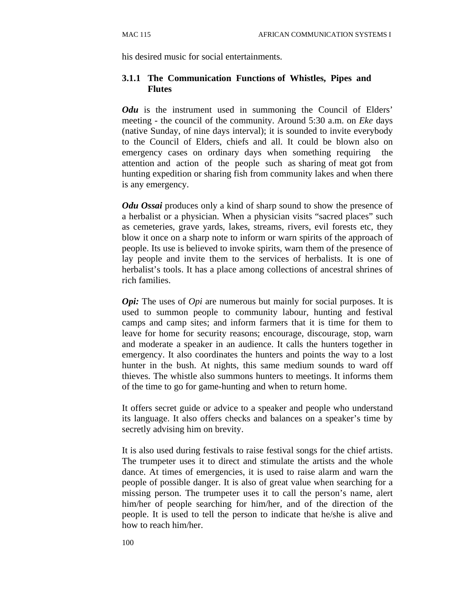his desired music for social entertainments.

#### **3.1.1 The Communication Functions of Whistles, Pipes and Flutes**

*Odu* is the instrument used in summoning the Council of Elders' meeting - the council of the community. Around 5:30 a.m. on *Eke* days (native Sunday, of nine days interval); it is sounded to invite everybody to the Council of Elders, chiefs and all. It could be blown also on emergency cases on ordinary days when something requiring the attention and action of the people such as sharing of meat got from hunting expedition or sharing fish from community lakes and when there is any emergency.

*Odu Ossai* produces only a kind of sharp sound to show the presence of a herbalist or a physician. When a physician visits "sacred places" such as cemeteries, grave yards, lakes, streams, rivers, evil forests etc, they blow it once on a sharp note to inform or warn spirits of the approach of people. Its use is believed to invoke spirits, warn them of the presence of lay people and invite them to the services of herbalists. It is one of herbalist's tools. It has a place among collections of ancestral shrines of rich families.

*Opi:* The uses of *Opi* are numerous but mainly for social purposes. It is used to summon people to community labour, hunting and festival camps and camp sites; and inform farmers that it is time for them to leave for home for security reasons; encourage, discourage, stop, warn and moderate a speaker in an audience. It calls the hunters together in emergency. It also coordinates the hunters and points the way to a lost hunter in the bush. At nights, this same medium sounds to ward off thieves. The whistle also summons hunters to meetings. It informs them of the time to go for game-hunting and when to return home.

It offers secret guide or advice to a speaker and people who understand its language. It also offers checks and balances on a speaker's time by secretly advising him on brevity.

It is also used during festivals to raise festival songs for the chief artists. The trumpeter uses it to direct and stimulate the artists and the whole dance. At times of emergencies, it is used to raise alarm and warn the people of possible danger. It is also of great value when searching for a missing person. The trumpeter uses it to call the person's name, alert him/her of people searching for him/her, and of the direction of the people. It is used to tell the person to indicate that he/she is alive and how to reach him/her.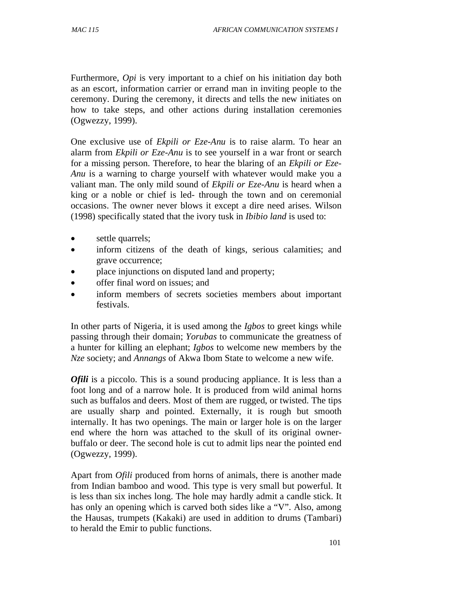Furthermore, *Opi* is very important to a chief on his initiation day both as an escort, information carrier or errand man in inviting people to the ceremony. During the ceremony, it directs and tells the new initiates on how to take steps, and other actions during installation ceremonies (Ogwezzy, 1999).

One exclusive use of *Ekpili or Eze-Anu* is to raise alarm. To hear an alarm from *Ekpili or Eze-Anu* is to see yourself in a war front or search for a missing person. Therefore, to hear the blaring of an *Ekpili or Eze-Anu* is a warning to charge yourself with whatever would make you a valiant man. The only mild sound of *Ekpili or Eze-Anu* is heard when a king or a noble or chief is led- through the town and on ceremonial occasions. The owner never blows it except a dire need arises. Wilson (1998) specifically stated that the ivory tusk in *Ibibio land* is used to:

- settle quarrels;
- inform citizens of the death of kings, serious calamities; and grave occurrence;
- place injunctions on disputed land and property;
- offer final word on issues; and
- inform members of secrets societies members about important festivals.

In other parts of Nigeria, it is used among the *Igbos* to greet kings while passing through their domain; *Yorubas* to communicate the greatness of a hunter for killing an elephant; *Igbos* to welcome new members by the *Nze* society; and *Annangs* of Akwa Ibom State to welcome a new wife.

*Ofili* is a piccolo. This is a sound producing appliance. It is less than a foot long and of a narrow hole. It is produced from wild animal horns such as buffalos and deers. Most of them are rugged, or twisted. The tips are usually sharp and pointed. Externally, it is rough but smooth internally. It has two openings. The main or larger hole is on the larger end where the horn was attached to the skull of its original ownerbuffalo or deer. The second hole is cut to admit lips near the pointed end (Ogwezzy, 1999).

Apart from *Ofili* produced from horns of animals, there is another made from Indian bamboo and wood. This type is very small but powerful. It is less than six inches long. The hole may hardly admit a candle stick. It has only an opening which is carved both sides like a "V". Also, among the Hausas, trumpets (Kakaki) are used in addition to drums (Tambari) to herald the Emir to public functions.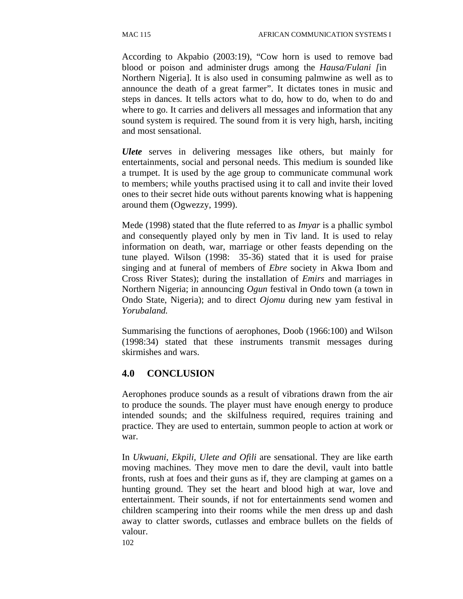According to Akpabio (2003:19), "Cow horn is used to remove bad blood or poison and administer drugs among the *Hausa/Fulani [*in Northern Nigeria]. It is also used in consuming palmwine as well as to announce the death of a great farmer". It dictates tones in music and steps in dances. It tells actors what to do, how to do, when to do and where to go. It carries and delivers all messages and information that any sound system is required. The sound from it is very high, harsh, inciting and most sensational.

*Ulete* serves in delivering messages like others, but mainly for entertainments, social and personal needs. This medium is sounded like a trumpet. It is used by the age group to communicate communal work to members; while youths practised using it to call and invite their loved ones to their secret hide outs without parents knowing what is happening around them (Ogwezzy, 1999).

Mede (1998) stated that the flute referred to as *Imyar* is a phallic symbol and consequently played only by men in Tiv land. It is used to relay information on death, war, marriage or other feasts depending on the tune played. Wilson (1998: 35-36) stated that it is used for praise singing and at funeral of members of *Ebre* society in Akwa Ibom and Cross River States); during the installation of *Emirs* and marriages in Northern Nigeria; in announcing *Ogun* festival in Ondo town (a town in Ondo State, Nigeria); and to direct *Ojomu* during new yam festival in *Yorubaland.*

Summarising the functions of aerophones, Doob (1966:100) and Wilson (1998:34) stated that these instruments transmit messages during skirmishes and wars.

## **4.0 CONCLUSION**

Aerophones produce sounds as a result of vibrations drawn from the air to produce the sounds. The player must have enough energy to produce intended sounds; and the skilfulness required, requires training and practice. They are used to entertain, summon people to action at work or war.

In *Ukwuani*, *Ekpili, Ulete and Ofili* are sensational. They are like earth moving machines. They move men to dare the devil, vault into battle fronts, rush at foes and their guns as if, they are clamping at games on a hunting ground. They set the heart and blood high at war, love and entertainment. Their sounds, if not for entertainments send women and children scampering into their rooms while the men dress up and dash away to clatter swords, cutlasses and embrace bullets on the fields of valour.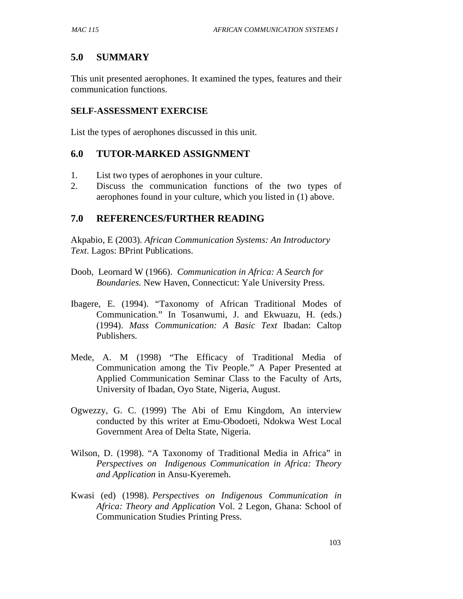# **5.0 SUMMARY**

This unit presented aerophones. It examined the types, features and their communication functions.

#### **SELF-ASSESSMENT EXERCISE**

List the types of aerophones discussed in this unit.

### **6.0 TUTOR-MARKED ASSIGNMENT**

- 1. List two types of aerophones in your culture.
- 2. Discuss the communication functions of the two types of aerophones found in your culture, which you listed in (1) above.

### **7.0 REFERENCES/FURTHER READING**

Akpabio, E (2003). *African Communication Systems: An Introductory Text*. Lagos: BPrint Publications.

- Doob, Leornard W (1966). *Communication in Africa: A Search for Boundaries.* New Haven, Connecticut: Yale University Press.
- Ibagere, E. (1994). "Taxonomy of African Traditional Modes of Communication." In Tosanwumi, J. and Ekwuazu, H. (eds.) (1994). *Mass Communication: A Basic Text* Ibadan: Caltop Publishers.
- Mede, A. M (1998) "The Efficacy of Traditional Media of Communication among the Tiv People." A Paper Presented at Applied Communication Seminar Class to the Faculty of Arts, University of Ibadan, Oyo State, Nigeria, August.
- Ogwezzy, G. C. (1999) The Abi of Emu Kingdom, An interview conducted by this writer at Emu-Obodoeti, Ndokwa West Local Government Area of Delta State, Nigeria.
- Wilson, D. (1998). "A Taxonomy of Traditional Media in Africa" in *Perspectives on Indigenous Communication in Africa: Theory and Application* in Ansu-Kyeremeh.
- Kwasi (ed) (1998). *Perspectives on Indigenous Communication in Africa: Theory and Application* Vol. 2 Legon, Ghana: School of Communication Studies Printing Press.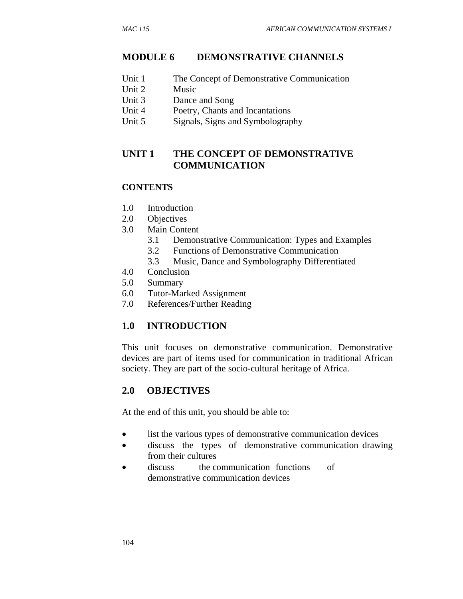## **MODULE 6 DEMONSTRATIVE CHANNELS**

- Unit 1 The Concept of Demonstrative Communication
- Unit 2 Music
- Unit 3 Dance and Song
- Unit 4 Poetry, Chants and Incantations
- Unit 5 Signals, Signs and Symbolography

# **UNIT 1 THE CONCEPT OF DEMONSTRATIVE COMMUNICATION**

### **CONTENTS**

- 1.0 Introduction
- 2.0 Objectives
- 3.0 Main Content
	- 3.1 Demonstrative Communication: Types and Examples
	- 3.2 Functions of Demonstrative Communication
	- 3.3 Music, Dance and Symbolography Differentiated
- 4.0 Conclusion
- 5.0 Summary
- 6.0 Tutor-Marked Assignment
- 7.0 References/Further Reading

# **1.0 INTRODUCTION**

This unit focuses on demonstrative communication. Demonstrative devices are part of items used for communication in traditional African society. They are part of the socio-cultural heritage of Africa.

# **2.0 OBJECTIVES**

At the end of this unit, you should be able to:

- list the various types of demonstrative communication devices
- discuss the types of demonstrative communication drawing from their cultures
- discuss the communication functions of demonstrative communication devices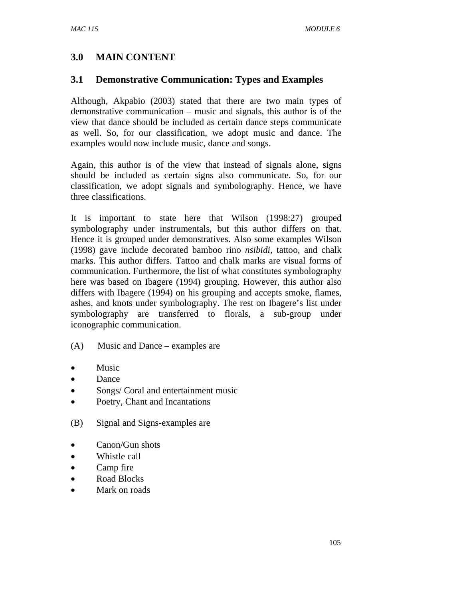# **3.0 MAIN CONTENT**

# **3.1 Demonstrative Communication: Types and Examples**

Although, Akpabio (2003) stated that there are two main types of demonstrative communication – music and signals, this author is of the view that dance should be included as certain dance steps communicate as well. So, for our classification, we adopt music and dance. The examples would now include music, dance and songs.

Again, this author is of the view that instead of signals alone, signs should be included as certain signs also communicate. So, for our classification, we adopt signals and symbolography. Hence, we have three classifications.

It is important to state here that Wilson (1998:27) grouped symbolography under instrumentals, but this author differs on that. Hence it is grouped under demonstratives. Also some examples Wilson (1998) gave include decorated bamboo rino *nsibidi,* tattoo, and chalk marks. This author differs. Tattoo and chalk marks are visual forms of communication. Furthermore, the list of what constitutes symbolography here was based on Ibagere (1994) grouping. However, this author also differs with Ibagere (1994) on his grouping and accepts smoke, flames, ashes, and knots under symbolography. The rest on Ibagere's list under symbolography are transferred to florals, a sub-group under iconographic communication.

### (A) Music and Dance – examples are

- **Music**
- Dance
- Songs/ Coral and entertainment music
- Poetry, Chant and Incantations
- (B) Signal and Signs-examples are
- Canon/Gun shots
- Whistle call
- Camp fire
- Road Blocks
- Mark on roads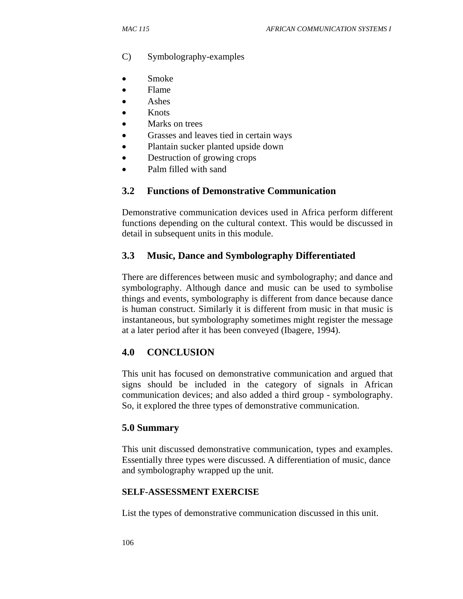- C) Symbolography-examples
- Smoke
- Flame
- Ashes
- **Knots**
- Marks on trees
- Grasses and leaves tied in certain ways
- Plantain sucker planted upside down
- Destruction of growing crops
- Palm filled with sand

### **3.2 Functions of Demonstrative Communication**

Demonstrative communication devices used in Africa perform different functions depending on the cultural context. This would be discussed in detail in subsequent units in this module.

### **3.3 Music, Dance and Symbolography Differentiated**

There are differences between music and symbolography; and dance and symbolography. Although dance and music can be used to symbolise things and events, symbolography is different from dance because dance is human construct. Similarly it is different from music in that music is instantaneous, but symbolography sometimes might register the message at a later period after it has been conveyed (Ibagere, 1994).

### **4.0 CONCLUSION**

This unit has focused on demonstrative communication and argued that signs should be included in the category of signals in African communication devices; and also added a third group - symbolography. So, it explored the three types of demonstrative communication.

#### **5.0 Summary**

This unit discussed demonstrative communication, types and examples. Essentially three types were discussed. A differentiation of music, dance and symbolography wrapped up the unit.

### **SELF-ASSESSMENT EXERCISE**

List the types of demonstrative communication discussed in this unit.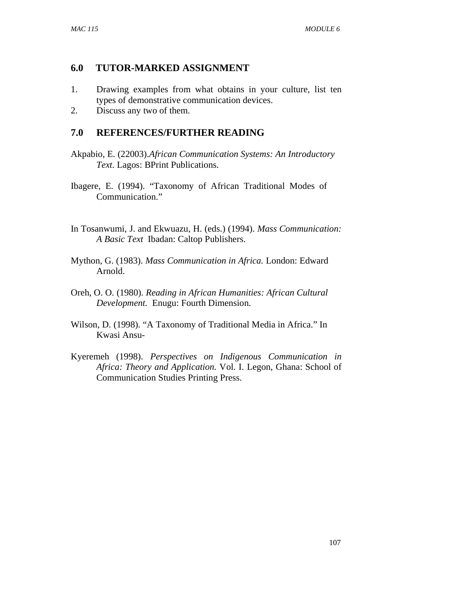# **6.0 TUTOR-MARKED ASSIGNMENT**

- 1. Drawing examples from what obtains in your culture, list ten types of demonstrative communication devices.
- 2. Discuss any two of them.

# **7.0 REFERENCES/FURTHER READING**

- Akpabio, E. (22003).*African Communication Systems: An Introductory Text.* Lagos: BPrint Publications.
- Ibagere, E. (1994). "Taxonomy of African Traditional Modes of Communication."
- In Tosanwumi, J. and Ekwuazu, H. (eds.) (1994). *Mass Communication: A Basic Text* Ibadan: Caltop Publishers.
- Mython, G. (1983). *Mass Communication in Africa.* London: Edward Arnold.
- Oreh, O. O. (1980). *Reading in African Humanities: African Cultural Development.* Enugu: Fourth Dimension.
- Wilson, D. (1998). "A Taxonomy of Traditional Media in Africa." In Kwasi Ansu-
- Kyeremeh (1998). *Perspectives on Indigenous Communication in Africa: Theory and Application.* Vol. I. Legon, Ghana: School of Communication Studies Printing Press.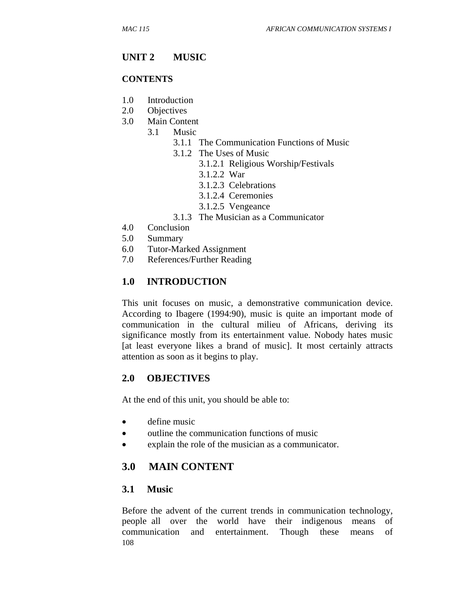# **UNIT 2 MUSIC**

#### **CONTENTS**

- 1.0 Introduction
- 2.0 Objectives
- 3.0 Main Content
	- 3.1 Music
		- 3.1.1 The Communication Functions of Music
		- 3.1.2 The Uses of Music
			- 3.1.2.1 Religious Worship/Festivals
			- 3.1.2.2 War
			- 3.1.2.3 Celebrations
			- 3.1.2.4 Ceremonies
			- 3.1.2.5 Vengeance
		- 3.1.3 The Musician as a Communicator
- 4.0 Conclusion
- 5.0 Summary
- 6.0 Tutor-Marked Assignment
- 7.0 References/Further Reading

### **1.0 INTRODUCTION**

This unit focuses on music, a demonstrative communication device. According to Ibagere (1994:90), music is quite an important mode of communication in the cultural milieu of Africans, deriving its significance mostly from its entertainment value. Nobody hates music [at least everyone likes a brand of music]. It most certainly attracts attention as soon as it begins to play.

### **2.0 OBJECTIVES**

At the end of this unit, you should be able to:

- define music
- outline the communication functions of music
- explain the role of the musician as a communicator.

# **3.0 MAIN CONTENT**

#### **3.1 Music**

108 Before the advent of the current trends in communication technology, people all over the world have their indigenous means of communication and entertainment. Though these means of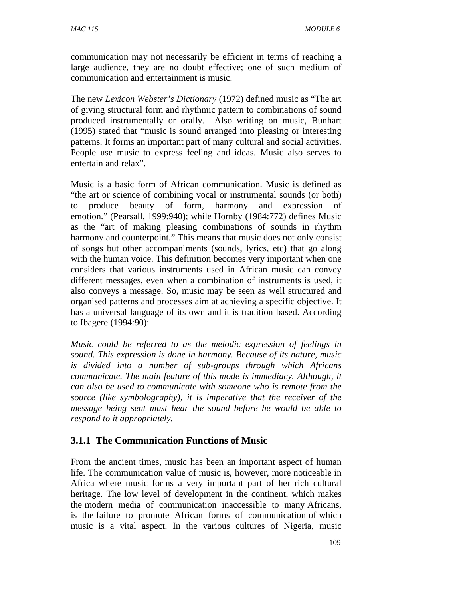communication may not necessarily be efficient in terms of reaching a large audience, they are no doubt effective; one of such medium of communication and entertainment is music.

The new *Lexicon Webster's Dictionary* (1972) defined music as "The art of giving structural form and rhythmic pattern to combinations of sound produced instrumentally or orally. Also writing on music, Bunhart (1995) stated that "music is sound arranged into pleasing or interesting patterns. It forms an important part of many cultural and social activities. People use music to express feeling and ideas. Music also serves to entertain and relax".

Music is a basic form of African communication. Music is defined as "the art or science of combining vocal or instrumental sounds (or both) to produce beauty of form, harmony and expression of emotion." (Pearsall, 1999:940); while Hornby (1984:772) defines Music as the "art of making pleasing combinations of sounds in rhythm harmony and counterpoint." This means that music does not only consist of songs but other accompaniments (sounds, lyrics, etc) that go along with the human voice. This definition becomes very important when one considers that various instruments used in African music can convey different messages, even when a combination of instruments is used, it also conveys a message. So, music may be seen as well structured and organised patterns and processes aim at achieving a specific objective. It has a universal language of its own and it is tradition based. According to Ibagere (1994:90):

*Music could be referred to as the melodic expression of feelings in sound. This expression is done in harmony. Because of its nature, music is divided into a number of sub-groups through which Africans communicate. The main feature of this mode is immediacy. Although, it can also be used to communicate with someone who is remote from the source (like symbolography), it is imperative that the receiver of the message being sent must hear the sound before he would be able to respond to it appropriately.* 

## **3.1.1 The Communication Functions of Music**

From the ancient times, music has been an important aspect of human life. The communication value of music is, however, more noticeable in Africa where music forms a very important part of her rich cultural heritage. The low level of development in the continent, which makes the modern media of communication inaccessible to many Africans, is the failure to promote African forms of communication of which music is a vital aspect. In the various cultures of Nigeria, music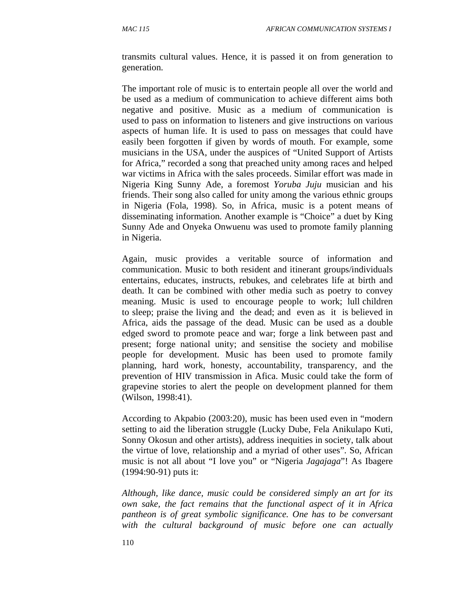transmits cultural values. Hence, it is passed it on from generation to generation.

The important role of music is to entertain people all over the world and be used as a medium of communication to achieve different aims both negative and positive. Music as a medium of communication is used to pass on information to listeners and give instructions on various aspects of human life. It is used to pass on messages that could have easily been forgotten if given by words of mouth. For example, some musicians in the USA, under the auspices of "United Support of Artists for Africa," recorded a song that preached unity among races and helped war victims in Africa with the sales proceeds. Similar effort was made in Nigeria King Sunny Ade, a foremost *Yoruba Juju* musician and his friends. Their song also called for unity among the various ethnic groups in Nigeria (Fola, 1998). So, in Africa, music is a potent means of disseminating information. Another example is "Choice" a duet by King Sunny Ade and Onyeka Onwuenu was used to promote family planning in Nigeria.

Again, music provides a veritable source of information and communication. Music to both resident and itinerant groups/individuals entertains, educates, instructs, rebukes, and celebrates life at birth and death. It can be combined with other media such as poetry to convey meaning. Music is used to encourage people to work; lull children to sleep; praise the living and the dead; and even as it is believed in Africa, aids the passage of the dead. Music can be used as a double edged sword to promote peace and war; forge a link between past and present; forge national unity; and sensitise the society and mobilise people for development. Music has been used to promote family planning, hard work, honesty, accountability, transparency, and the prevention of HIV transmission in Afica. Music could take the form of grapevine stories to alert the people on development planned for them (Wilson, 1998:41).

According to Akpabio (2003:20), music has been used even in "modern setting to aid the liberation struggle (Lucky Dube, Fela Anikulapo Kuti, Sonny Okosun and other artists), address inequities in society, talk about the virtue of love, relationship and a myriad of other uses". So, African music is not all about "I love you" or "Nigeria *Jagajaga*"! As Ibagere (1994:90-91) puts it:

*Although, like dance, music could be considered simply an art for its own sake, the fact remains that the functional aspect of it in Africa pantheon is of great symbolic significance. One has to be conversant with the cultural background of music before one can actually*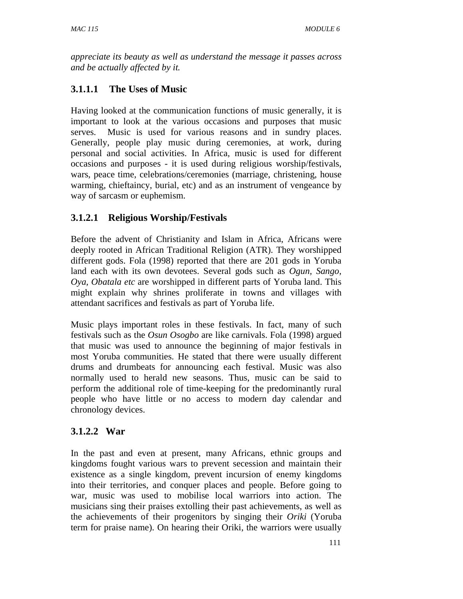*appreciate its beauty as well as understand the message it passes across and be actually affected by it.* 

# **3.1.1.1 The Uses of Music**

Having looked at the communication functions of music generally, it is important to look at the various occasions and purposes that music serves. Music is used for various reasons and in sundry places. Generally, people play music during ceremonies, at work, during personal and social activities. In Africa, music is used for different occasions and purposes - it is used during religious worship/festivals, wars, peace time, celebrations/ceremonies (marriage, christening, house warming, chieftaincy, burial, etc) and as an instrument of vengeance by way of sarcasm or euphemism.

# **3.1.2.1 Religious Worship/Festivals**

Before the advent of Christianity and Islam in Africa, Africans were deeply rooted in African Traditional Religion (ATR). They worshipped different gods. Fola (1998) reported that there are 201 gods in Yoruba land each with its own devotees. Several gods such as *Ogun, Sango, Oya, Obatala etc* are worshipped in different parts of Yoruba land. This might explain why shrines proliferate in towns and villages with attendant sacrifices and festivals as part of Yoruba life.

Music plays important roles in these festivals. In fact, many of such festivals such as the *Osun Osogbo* are like carnivals. Fola (1998) argued that music was used to announce the beginning of major festivals in most Yoruba communities. He stated that there were usually different drums and drumbeats for announcing each festival. Music was also normally used to herald new seasons. Thus, music can be said to perform the additional role of time-keeping for the predominantly rural people who have little or no access to modern day calendar and chronology devices.

# **3.1.2.2 War**

In the past and even at present, many Africans, ethnic groups and kingdoms fought various wars to prevent secession and maintain their existence as a single kingdom, prevent incursion of enemy kingdoms into their territories, and conquer places and people. Before going to war, music was used to mobilise local warriors into action. The musicians sing their praises extolling their past achievements, as well as the achievements of their progenitors by singing their *Oriki* (Yoruba term for praise name). On hearing their Oriki, the warriors were usually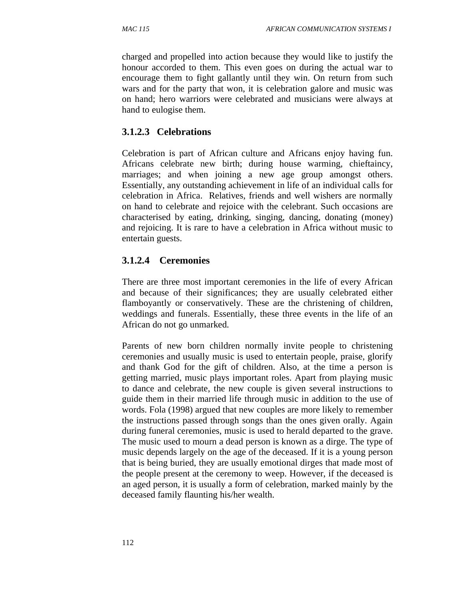charged and propelled into action because they would like to justify the honour accorded to them. This even goes on during the actual war to encourage them to fight gallantly until they win. On return from such wars and for the party that won, it is celebration galore and music was on hand; hero warriors were celebrated and musicians were always at hand to eulogise them.

### **3.1.2.3 Celebrations**

Celebration is part of African culture and Africans enjoy having fun. Africans celebrate new birth; during house warming, chieftaincy, marriages; and when joining a new age group amongst others. Essentially, any outstanding achievement in life of an individual calls for celebration in Africa. Relatives, friends and well wishers are normally on hand to celebrate and rejoice with the celebrant. Such occasions are characterised by eating, drinking, singing, dancing, donating (money) and rejoicing. It is rare to have a celebration in Africa without music to entertain guests.

## **3.1.2.4 Ceremonies**

There are three most important ceremonies in the life of every African and because of their significances; they are usually celebrated either flamboyantly or conservatively. These are the christening of children, weddings and funerals. Essentially, these three events in the life of an African do not go unmarked.

Parents of new born children normally invite people to christening ceremonies and usually music is used to entertain people, praise, glorify and thank God for the gift of children. Also, at the time a person is getting married, music plays important roles. Apart from playing music to dance and celebrate, the new couple is given several instructions to guide them in their married life through music in addition to the use of words. Fola (1998) argued that new couples are more likely to remember the instructions passed through songs than the ones given orally. Again during funeral ceremonies, music is used to herald departed to the grave. The music used to mourn a dead person is known as a dirge. The type of music depends largely on the age of the deceased. If it is a young person that is being buried, they are usually emotional dirges that made most of the people present at the ceremony to weep. However, if the deceased is an aged person, it is usually a form of celebration, marked mainly by the deceased family flaunting his/her wealth.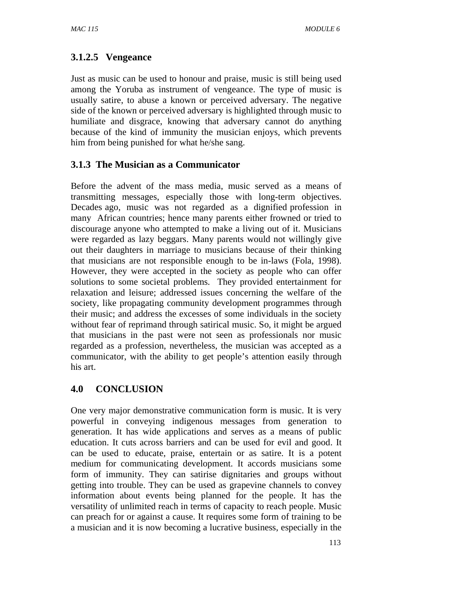# **3.1.2.5 Vengeance**

Just as music can be used to honour and praise, music is still being used among the Yoruba as instrument of vengeance. The type of music is usually satire, to abuse a known or perceived adversary. The negative side of the known or perceived adversary is highlighted through music to humiliate and disgrace, knowing that adversary cannot do anything because of the kind of immunity the musician enjoys, which prevents him from being punished for what he/she sang.

# **3.1.3 The Musician as a Communicator**

Before the advent of the mass media, music served as a means of transmitting messages, especially those with long-term objectives. Decades ago, music was not regarded as a dignified profession in many African countries; hence many parents either frowned or tried to discourage anyone who attempted to make a living out of it. Musicians were regarded as lazy beggars. Many parents would not willingly give out their daughters in marriage to musicians because of their thinking that musicians are not responsible enough to be in-laws (Fola, 1998). However, they were accepted in the society as people who can offer solutions to some societal problems. They provided entertainment for relaxation and leisure; addressed issues concerning the welfare of the society, like propagating community development programmes through their music; and address the excesses of some individuals in the society without fear of reprimand through satirical music. So, it might be argued that musicians in the past were not seen as professionals nor music regarded as a profession, nevertheless, the musician was accepted as a communicator, with the ability to get people's attention easily through his art.

## **4.0 CONCLUSION**

One very major demonstrative communication form is music. It is very powerful in conveying indigenous messages from generation to generation. It has wide applications and serves as a means of public education. It cuts across barriers and can be used for evil and good. It can be used to educate, praise, entertain or as satire. It is a potent medium for communicating development. It accords musicians some form of immunity. They can satirise dignitaries and groups without getting into trouble. They can be used as grapevine channels to convey information about events being planned for the people. It has the versatility of unlimited reach in terms of capacity to reach people. Music can preach for or against a cause. It requires some form of training to be a musician and it is now becoming a lucrative business, especially in the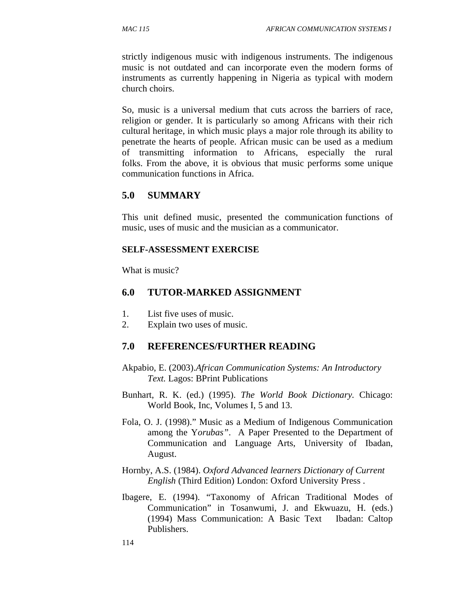strictly indigenous music with indigenous instruments. The indigenous music is not outdated and can incorporate even the modern forms of instruments as currently happening in Nigeria as typical with modern church choirs.

So, music is a universal medium that cuts across the barriers of race, religion or gender. It is particularly so among Africans with their rich cultural heritage, in which music plays a major role through its ability to penetrate the hearts of people. African music can be used as a medium of transmitting information to Africans, especially the rural folks. From the above, it is obvious that music performs some unique communication functions in Africa.

# **5.0 SUMMARY**

This unit defined music, presented the communication functions of music, uses of music and the musician as a communicator.

### **SELF-ASSESSMENT EXERCISE**

What is music?

## **6.0 TUTOR-MARKED ASSIGNMENT**

- 1. List five uses of music.
- 2. Explain two uses of music.

## **7.0 REFERENCES/FURTHER READING**

- Akpabio, E. (2003).*African Communication Systems: An Introductory Text.* Lagos: BPrint Publications
- Bunhart, R. K. (ed.) (1995). *The World Book Dictionary.* Chicago: World Book, Inc, Volumes I, 5 and 13.
- Fola, O. J. (1998)." Music as a Medium of Indigenous Communication among the Y*orubas"*. A Paper Presented to the Department of Communication and Language Arts, University of Ibadan, August.
- Hornby, A.S. (1984). *Oxford Advanced learners Dictionary of Current English* (Third Edition) London: Oxford University Press .
- Ibagere, E. (1994). "Taxonomy of African Traditional Modes of Communication" in Tosanwumi, J. and Ekwuazu, H. (eds.) (1994) Mass Communication: A Basic Text Ibadan: Caltop Publishers.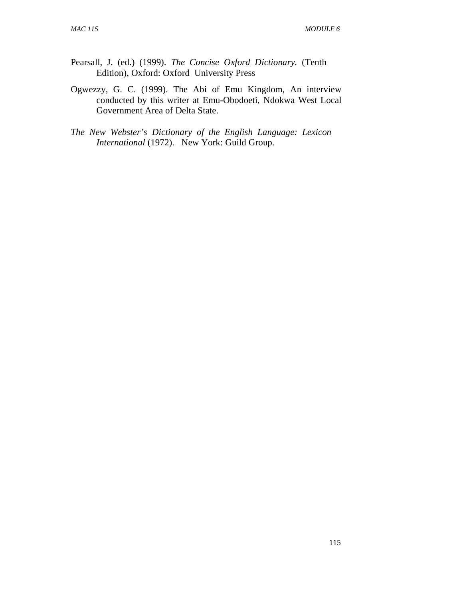- Pearsall, J. (ed.) (1999). *The Concise Oxford Dictionary.* (Tenth Edition), Oxford: Oxford University Press
- Ogwezzy, G. C. (1999). The Abi of Emu Kingdom, An interview conducted by this writer at Emu-Obodoeti, Ndokwa West Local Government Area of Delta State.
- *The New Webster's Dictionary of the English Language: Lexicon International* (1972). New York: Guild Group.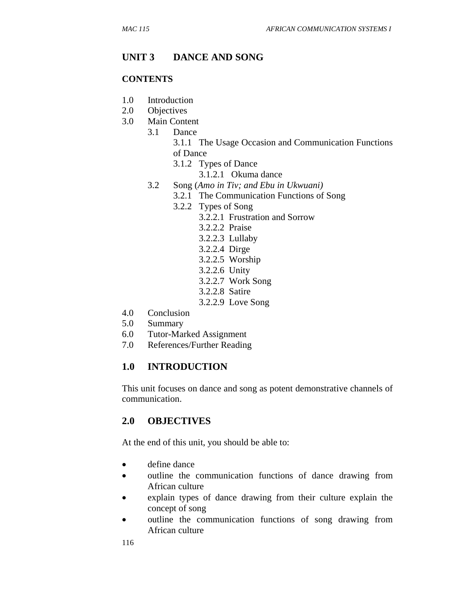## **UNIT 3 DANCE AND SONG**

#### **CONTENTS**

- 1.0 Introduction
- 2.0 Objectives
- 3.0 Main Content
	- 3.1 Dance
		- 3.1.1 The Usage Occasion and Communication Functions of Dance
			- 3.1.2 Types of Dance
				- 3.1.2.1 Okuma dance
		- 3.2 Song (*Amo in Tiv; and Ebu in Ukwuani)*
			- 3.2.1 The Communication Functions of Song
				- 3.2.2 Types of Song
					- 3.2.2.1 Frustration and Sorrow
						- 3.2.2.2 Praise
						- 3.2.2.3 Lullaby
						- 3.2.2.4 Dirge
						- 3.2.2.5 Worship
						- 3.2.2.6 Unity
						- 3.2.2.7 Work Song
						- 3.2.2.8 Satire
						- 3.2.2.9 Love Song
- 4.0 Conclusion
- 5.0 Summary
- 6.0 Tutor-Marked Assignment
- 7.0 References/Further Reading

### **1.0 INTRODUCTION**

This unit focuses on dance and song as potent demonstrative channels of communication.

### **2.0 OBJECTIVES**

At the end of this unit, you should be able to:

- define dance
- outline the communication functions of dance drawing from African culture
- explain types of dance drawing from their culture explain the concept of song
- outline the communication functions of song drawing from African culture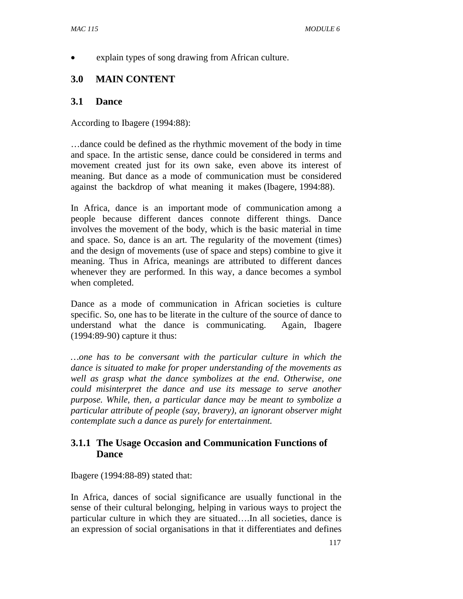• explain types of song drawing from African culture.

# **3.0 MAIN CONTENT**

### **3.1 Dance**

According to Ibagere (1994:88):

…dance could be defined as the rhythmic movement of the body in time and space. In the artistic sense, dance could be considered in terms and movement created just for its own sake, even above its interest of meaning. But dance as a mode of communication must be considered against the backdrop of what meaning it makes (Ibagere, 1994:88).

In Africa, dance is an important mode of communication among a people because different dances connote different things. Dance involves the movement of the body, which is the basic material in time and space. So, dance is an art. The regularity of the movement (times) and the design of movements (use of space and steps) combine to give it meaning. Thus in Africa, meanings are attributed to different dances whenever they are performed. In this way, a dance becomes a symbol when completed.

Dance as a mode of communication in African societies is culture specific. So, one has to be literate in the culture of the source of dance to understand what the dance is communicating. Again, Ibagere (1994:89-90) capture it thus:

*…one has to be conversant with the particular culture in which the dance is situated to make for proper understanding of the movements as well as grasp what the dance symbolizes at the end. Otherwise, one could misinterpret the dance and use its message to serve another purpose. While, then, a particular dance may be meant to symbolize a particular attribute of people (say, bravery), an ignorant observer might contemplate such a dance as purely for entertainment.* 

## **3.1.1 The Usage Occasion and Communication Functions of Dance**

Ibagere (1994:88-89) stated that:

In Africa, dances of social significance are usually functional in the sense of their cultural belonging, helping in various ways to project the particular culture in which they are situated….In all societies, dance is an expression of social organisations in that it differentiates and defines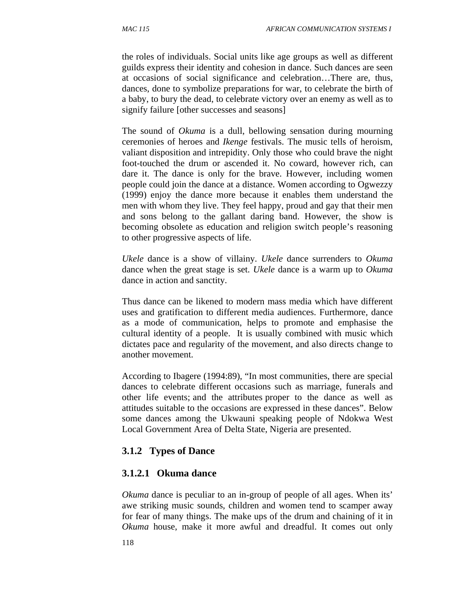the roles of individuals. Social units like age groups as well as different guilds express their identity and cohesion in dance. Such dances are seen at occasions of social significance and celebration…There are, thus, dances, done to symbolize preparations for war, to celebrate the birth of a baby, to bury the dead, to celebrate victory over an enemy as well as to signify failure [other successes and seasons]

The sound of *Okuma* is a dull, bellowing sensation during mourning ceremonies of heroes and *Ikenge* festivals. The music tells of heroism, valiant disposition and intrepidity. Only those who could brave the night foot-touched the drum or ascended it. No coward, however rich, can dare it. The dance is only for the brave. However, including women people could join the dance at a distance. Women according to Ogwezzy (1999) enjoy the dance more because it enables them understand the men with whom they live. They feel happy, proud and gay that their men and sons belong to the gallant daring band. However, the show is becoming obsolete as education and religion switch people's reasoning to other progressive aspects of life.

*Ukele* dance is a show of villainy. *Ukele* dance surrenders to *Okuma*  dance when the great stage is set. *Ukele* dance is a warm up to *Okuma*  dance in action and sanctity.

Thus dance can be likened to modern mass media which have different uses and gratification to different media audiences. Furthermore, dance as a mode of communication, helps to promote and emphasise the cultural identity of a people. It is usually combined with music which dictates pace and regularity of the movement, and also directs change to another movement.

According to Ibagere (1994:89), "In most communities, there are special dances to celebrate different occasions such as marriage, funerals and other life events; and the attributes proper to the dance as well as attitudes suitable to the occasions are expressed in these dances". Below some dances among the Ukwauni speaking people of Ndokwa West Local Government Area of Delta State, Nigeria are presented.

## **3.1.2 Types of Dance**

## **3.1.2.1 Okuma dance**

*Okuma* dance is peculiar to an in-group of people of all ages. When its' awe striking music sounds, children and women tend to scamper away for fear of many things. The make ups of the drum and chaining of it in *Okuma* house, make it more awful and dreadful. It comes out only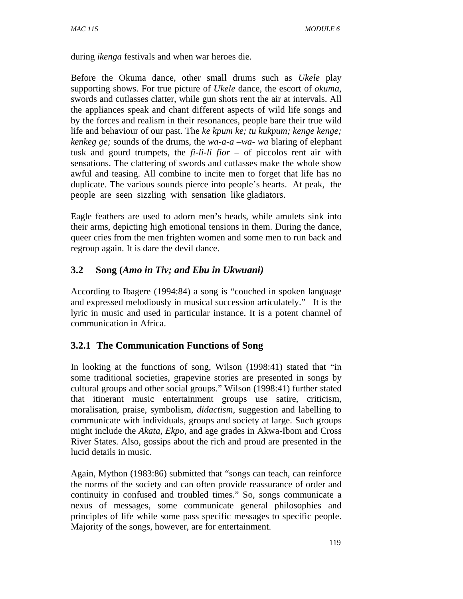during *ikenga* festivals and when war heroes die.

Before the Okuma dance, other small drums such as *Ukele* play supporting shows. For true picture of *Ukele* dance, the escort of *okuma*, swords and cutlasses clatter, while gun shots rent the air at intervals. All the appliances speak and chant different aspects of wild life songs and by the forces and realism in their resonances, people bare their true wild life and behaviour of our past. The *ke kpum ke; tu kukpum; kenge kenge; kenkeg ge;* sounds of the drums, the *wa-a-a –wa- wa* blaring of elephant tusk and gourd trumpets, the *fi-li-li fior* – of piccolos rent air with sensations. The clattering of swords and cutlasses make the whole show awful and teasing. All combine to incite men to forget that life has no duplicate. The various sounds pierce into people's hearts. At peak, the people are seen sizzling with sensation like gladiators.

Eagle feathers are used to adorn men's heads, while amulets sink into their arms, depicting high emotional tensions in them. During the dance, queer cries from the men frighten women and some men to run back and regroup again. It is dare the devil dance.

## **3.2 Song (***Amo in Tiv; and Ebu in Ukwuani)*

According to Ibagere (1994:84) a song is "couched in spoken language and expressed melodiously in musical succession articulately." It is the lyric in music and used in particular instance. It is a potent channel of communication in Africa.

## **3.2.1 The Communication Functions of Song**

In looking at the functions of song, Wilson (1998:41) stated that "in some traditional societies, grapevine stories are presented in songs by cultural groups and other social groups." Wilson (1998:41) further stated that itinerant music entertainment groups use satire, criticism, moralisation, praise, symbolism, *didactism*, suggestion and labelling to communicate with individuals, groups and society at large. Such groups might include the *Akata, Ekpo,* and age grades in Akwa-Ibom and Cross River States. Also, gossips about the rich and proud are presented in the lucid details in music.

Again, Mython (1983:86) submitted that "songs can teach, can reinforce the norms of the society and can often provide reassurance of order and continuity in confused and troubled times." So, songs communicate a nexus of messages, some communicate general philosophies and principles of life while some pass specific messages to specific people. Majority of the songs, however, are for entertainment.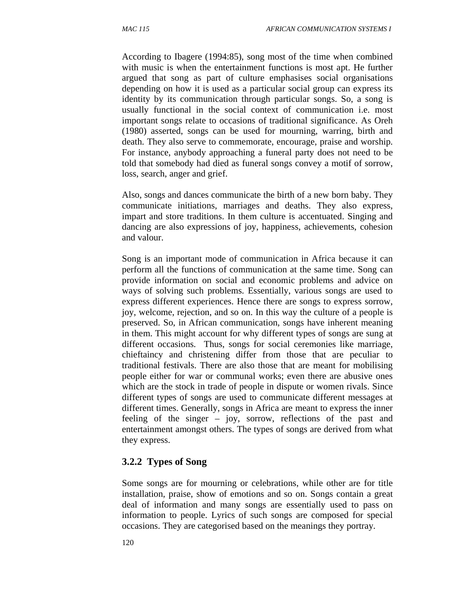According to Ibagere (1994:85), song most of the time when combined with music is when the entertainment functions is most apt. He further argued that song as part of culture emphasises social organisations depending on how it is used as a particular social group can express its identity by its communication through particular songs. So, a song is usually functional in the social context of communication i.e. most important songs relate to occasions of traditional significance. As Oreh (1980) asserted, songs can be used for mourning, warring, birth and death. They also serve to commemorate, encourage, praise and worship. For instance, anybody approaching a funeral party does not need to be told that somebody had died as funeral songs convey a motif of sorrow, loss, search, anger and grief.

Also, songs and dances communicate the birth of a new born baby. They communicate initiations, marriages and deaths. They also express, impart and store traditions. In them culture is accentuated. Singing and dancing are also expressions of joy, happiness, achievements, cohesion and valour.

Song is an important mode of communication in Africa because it can perform all the functions of communication at the same time. Song can provide information on social and economic problems and advice on ways of solving such problems. Essentially, various songs are used to express different experiences. Hence there are songs to express sorrow, joy, welcome, rejection, and so on. In this way the culture of a people is preserved. So, in African communication, songs have inherent meaning in them. This might account for why different types of songs are sung at different occasions. Thus, songs for social ceremonies like marriage, chieftaincy and christening differ from those that are peculiar to traditional festivals. There are also those that are meant for mobilising people either for war or communal works; even there are abusive ones which are the stock in trade of people in dispute or women rivals. Since different types of songs are used to communicate different messages at different times. Generally, songs in Africa are meant to express the inner feeling of the singer – joy, sorrow, reflections of the past and entertainment amongst others. The types of songs are derived from what they express.

### **3.2.2 Types of Song**

Some songs are for mourning or celebrations, while other are for title installation, praise, show of emotions and so on. Songs contain a great deal of information and many songs are essentially used to pass on information to people. Lyrics of such songs are composed for special occasions. They are categorised based on the meanings they portray.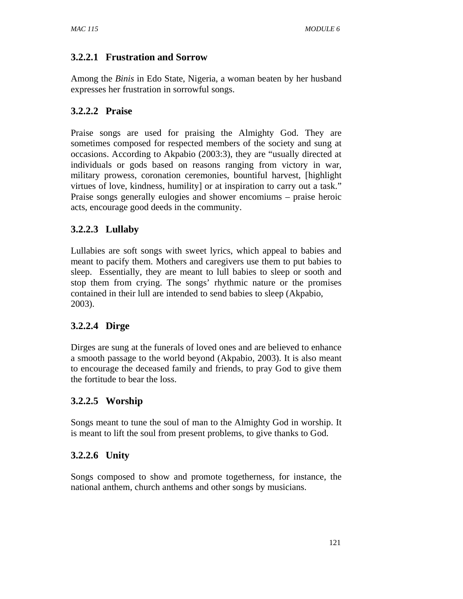# **3.2.2.1 Frustration and Sorrow**

Among the *Binis* in Edo State, Nigeria, a woman beaten by her husband expresses her frustration in sorrowful songs.

# **3.2.2.2 Praise**

Praise songs are used for praising the Almighty God. They are sometimes composed for respected members of the society and sung at occasions. According to Akpabio (2003:3), they are "usually directed at individuals or gods based on reasons ranging from victory in war, military prowess, coronation ceremonies, bountiful harvest, [highlight virtues of love, kindness, humility] or at inspiration to carry out a task." Praise songs generally eulogies and shower encomiums – praise heroic acts, encourage good deeds in the community.

# **3.2.2.3 Lullaby**

Lullabies are soft songs with sweet lyrics, which appeal to babies and meant to pacify them. Mothers and caregivers use them to put babies to sleep. Essentially, they are meant to lull babies to sleep or sooth and stop them from crying. The songs' rhythmic nature or the promises contained in their lull are intended to send babies to sleep (Akpabio, 2003).

# **3.2.2.4 Dirge**

Dirges are sung at the funerals of loved ones and are believed to enhance a smooth passage to the world beyond (Akpabio, 2003). It is also meant to encourage the deceased family and friends, to pray God to give them the fortitude to bear the loss.

# **3.2.2.5 Worship**

Songs meant to tune the soul of man to the Almighty God in worship. It is meant to lift the soul from present problems, to give thanks to God.

# **3.2.2.6 Unity**

Songs composed to show and promote togetherness, for instance, the national anthem, church anthems and other songs by musicians.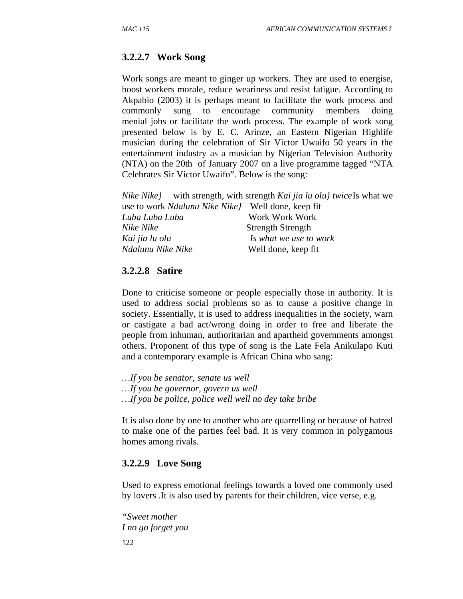## **3.2.2.7 Work Song**

Work songs are meant to ginger up workers. They are used to energise, boost workers morale, reduce weariness and resist fatigue. According to Akpabio (2003) it is perhaps meant to facilitate the work process and commonly sung to encourage community members doing menial jobs or facilitate the work process. The example of work song presented below is by E. C. Arinze, an Eastern Nigerian Highlife musician during the celebration of Sir Victor Uwaifo 50 years in the entertainment industry as a musician by Nigerian Television Authority (NTA) on the 20th of January 2007 on a live programme tagged "NTA Celebrates Sir Victor Uwaifo". Below is the song:

|                                                            | <i>Nike Nike</i> } with strength, with strength <i>Kai jia lu olu} twice</i> Is what we |
|------------------------------------------------------------|-----------------------------------------------------------------------------------------|
| use to work <i>Ndalunu Nike Nike</i> } Well done, keep fit |                                                                                         |
| Luba Luba Luba                                             | Work Work Work                                                                          |
| Nike Nike                                                  | <b>Strength Strength</b>                                                                |
| Kai jia lu olu                                             | Is what we use to work                                                                  |
| Ndalunu Nike Nike                                          | Well done, keep fit                                                                     |
|                                                            |                                                                                         |

#### **3.2.2.8 Satire**

Done to criticise someone or people especially those in authority. It is used to address social problems so as to cause a positive change in society. Essentially, it is used to address inequalities in the society, warn or castigate a bad act/wrong doing in order to free and liberate the people from inhuman, authoritarian and apartheid governments amongst others. Proponent of this type of song is the Late Fela Anikulapo Kuti and a contemporary example is African China who sang:

- *…If you be senator, senate us well*
- *…If you be governor, govern us well*
- *…If you be police, police well well no dey take bribe*

It is also done by one to another who are quarrelling or because of hatred to make one of the parties feel bad. It is very common in polygamous homes among rivals.

### **3.2.2.9 Love Song**

Used to express emotional feelings towards a loved one commonly used by lovers .It is also used by parents for their children, vice verse, e.g.

122 *"Sweet mother I no go forget you*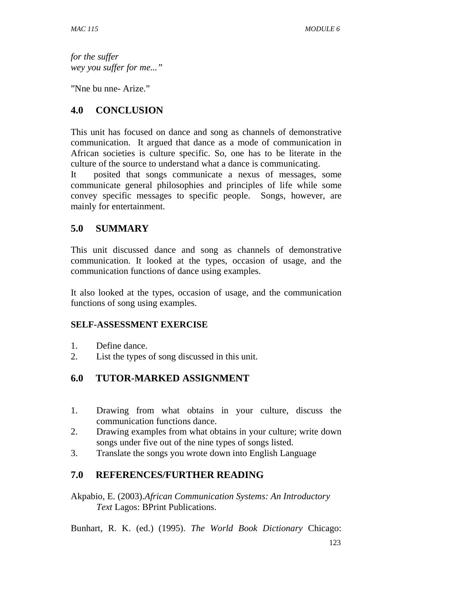*for the suffer wey you suffer for me..."* 

"Nne bu nne- Arize."

## **4.0 CONCLUSION**

This unit has focused on dance and song as channels of demonstrative communication. It argued that dance as a mode of communication in African societies is culture specific. So, one has to be literate in the culture of the source to understand what a dance is communicating.

It posited that songs communicate a nexus of messages, some communicate general philosophies and principles of life while some convey specific messages to specific people. Songs, however, are mainly for entertainment.

# **5.0 SUMMARY**

This unit discussed dance and song as channels of demonstrative communication. It looked at the types, occasion of usage, and the communication functions of dance using examples.

It also looked at the types, occasion of usage, and the communication functions of song using examples.

## **SELF-ASSESSMENT EXERCISE**

- 1. Define dance.
- 2. List the types of song discussed in this unit.

# **6.0 TUTOR-MARKED ASSIGNMENT**

- 1. Drawing from what obtains in your culture, discuss the communication functions dance.
- 2. Drawing examples from what obtains in your culture; write down songs under five out of the nine types of songs listed.
- 3. Translate the songs you wrote down into English Language

# **7.0 REFERENCES/FURTHER READING**

Akpabio, E. (2003).*African Communication Systems: An Introductory Text* Lagos: BPrint Publications.

Bunhart, R. K. (ed.) (1995). *The World Book Dictionary* Chicago: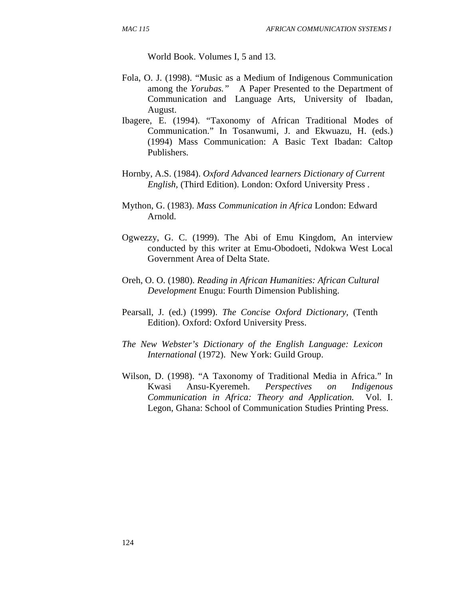World Book. Volumes I, 5 and 13.

- Fola, O. J. (1998). "Music as a Medium of Indigenous Communication among the *Yorubas."* A Paper Presented to the Department of Communication and Language Arts, University of Ibadan, August.
- Ibagere, E. (1994). "Taxonomy of African Traditional Modes of Communication." In Tosanwumi, J. and Ekwuazu, H. (eds.) (1994) Mass Communication: A Basic Text Ibadan: Caltop Publishers.
- Hornby, A.S. (1984). *Oxford Advanced learners Dictionary of Current English,* (Third Edition). London: Oxford University Press .
- Mython, G. (1983). *Mass Communication in Africa* London: Edward Arnold.
- Ogwezzy, G. C. (1999). The Abi of Emu Kingdom, An interview conducted by this writer at Emu-Obodoeti, Ndokwa West Local Government Area of Delta State.
- Oreh, O. O. (1980). *Reading in African Humanities: African Cultural Development* Enugu: Fourth Dimension Publishing.
- Pearsall, J. (ed.) (1999). *The Concise Oxford Dictionary,* (Tenth Edition). Oxford: Oxford University Press.
- *The New Webster's Dictionary of the English Language: Lexicon International* (1972). New York: Guild Group.
- Wilson, D. (1998). "A Taxonomy of Traditional Media in Africa." In Kwasi Ansu-Kyeremeh. *Perspectives on Indigenous Communication in Africa: Theory and Application.* Vol. I. Legon, Ghana: School of Communication Studies Printing Press.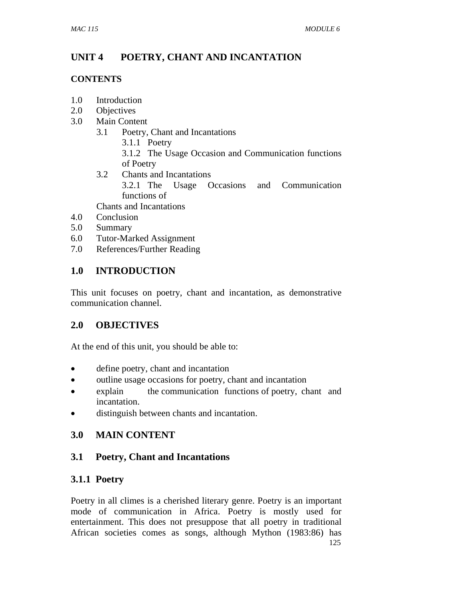# **UNIT 4 POETRY, CHANT AND INCANTATION**

## **CONTENTS**

- 1.0 Introduction
- 2.0 Objectives
- 3.0 Main Content
	- 3.1 Poetry, Chant and Incantations
		- 3.1.1 Poetry 3.1.2 The Usage Occasion and Communication functions of Poetry
	- 3.2 Chants and Incantations 3.2.1 The Usage Occasions and Communication functions of Chants and Incantations
- 4.0 Conclusion
- 5.0 Summary
- 6.0 Tutor-Marked Assignment
- 7.0 References/Further Reading

# **1.0 INTRODUCTION**

This unit focuses on poetry, chant and incantation, as demonstrative communication channel.

# **2.0 OBJECTIVES**

At the end of this unit, you should be able to:

- define poetry, chant and incantation
- outline usage occasions for poetry, chant and incantation
- explain the communication functions of poetry, chant and incantation.
- distinguish between chants and incantation.

# **3.0 MAIN CONTENT**

# **3.1 Poetry, Chant and Incantations**

# **3.1.1 Poetry**

125 Poetry in all climes is a cherished literary genre. Poetry is an important mode of communication in Africa. Poetry is mostly used for entertainment. This does not presuppose that all poetry in traditional African societies comes as songs, although Mython (1983:86) has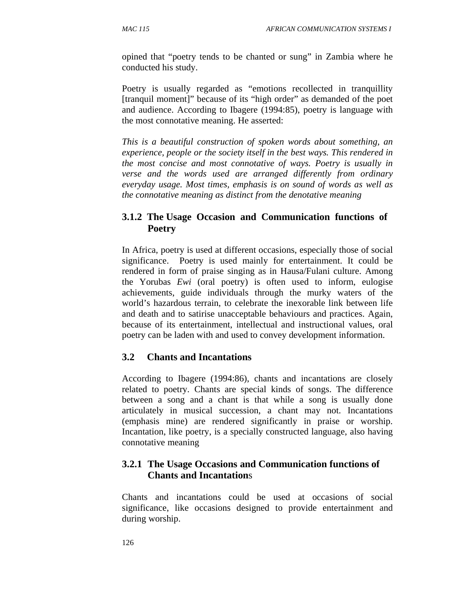opined that "poetry tends to be chanted or sung" in Zambia where he conducted his study.

Poetry is usually regarded as "emotions recollected in tranquillity [tranquil moment]" because of its "high order" as demanded of the poet and audience. According to Ibagere (1994:85), poetry is language with the most connotative meaning. He asserted:

*This is a beautiful construction of spoken words about something, an experience, people or the society itself in the best ways. This rendered in the most concise and most connotative of ways. Poetry is usually in verse and the words used are arranged differently from ordinary everyday usage. Most times, emphasis is on sound of words as well as the connotative meaning as distinct from the denotative meaning* 

# **3.1.2 The Usage Occasion and Communication functions of Poetry**

In Africa, poetry is used at different occasions, especially those of social significance. Poetry is used mainly for entertainment. It could be rendered in form of praise singing as in Hausa/Fulani culture. Among the Yorubas *Ewi* (oral poetry) is often used to inform, eulogise achievements, guide individuals through the murky waters of the world's hazardous terrain, to celebrate the inexorable link between life and death and to satirise unacceptable behaviours and practices. Again, because of its entertainment, intellectual and instructional values, oral poetry can be laden with and used to convey development information.

# **3.2 Chants and Incantations**

According to Ibagere (1994:86), chants and incantations are closely related to poetry. Chants are special kinds of songs. The difference between a song and a chant is that while a song is usually done articulately in musical succession, a chant may not. Incantations (emphasis mine) are rendered significantly in praise or worship. Incantation, like poetry, is a specially constructed language, also having connotative meaning

## **3.2.1 The Usage Occasions and Communication functions of Chants and Incantation**s

Chants and incantations could be used at occasions of social significance, like occasions designed to provide entertainment and during worship.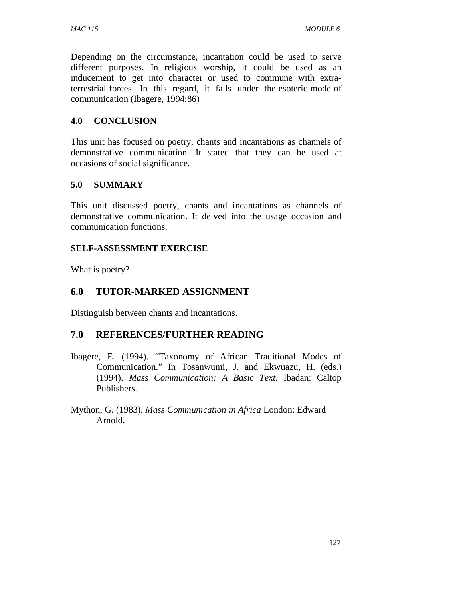Depending on the circumstance, incantation could be used to serve different purposes. In religious worship, it could be used as an inducement to get into character or used to commune with extraterrestrial forces. In this regard, it falls under the esoteric mode of communication (Ibagere, 1994:86)

### **4.0 CONCLUSION**

This unit has focused on poetry, chants and incantations as channels of demonstrative communication. It stated that they can be used at occasions of social significance.

### **5.0 SUMMARY**

This unit discussed poetry, chants and incantations as channels of demonstrative communication. It delved into the usage occasion and communication functions.

### **SELF-ASSESSMENT EXERCISE**

What is poetry?

# **6.0 TUTOR-MARKED ASSIGNMENT**

Distinguish between chants and incantations.

## **7.0 REFERENCES/FURTHER READING**

- Ibagere, E. (1994). "Taxonomy of African Traditional Modes of Communication." In Tosanwumi, J. and Ekwuazu, H. (eds.) (1994). *Mass Communication: A Basic Text*. Ibadan: Caltop Publishers.
- Mython, G. (1983). *Mass Communication in Africa* London: Edward Arnold.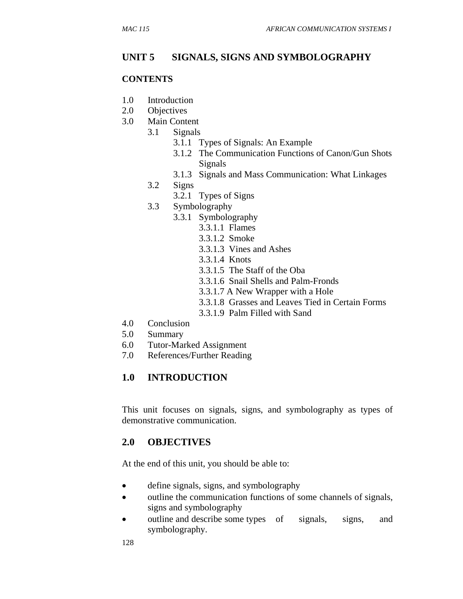### **UNIT 5 SIGNALS, SIGNS AND SYMBOLOGRAPHY**

#### **CONTENTS**

- 1.0 Introduction
- 2.0 Objectives
- 3.0 Main Content
	- 3.1 Signals
		- 3.1.1 Types of Signals: An Example
		- 3.1.2 The Communication Functions of Canon/Gun Shots Signals
		- 3.1.3 Signals and Mass Communication: What Linkages
		- 3.2 Signs
			- 3.2.1 Types of Signs
		- 3.3 Symbolography
			- 3.3.1 Symbolography
				- 3.3.1.1 Flames
				- 3.3.1.2 Smoke
				- 3.3.1.3 Vines and Ashes
				- 3.3.1.4 Knots
				- 3.3.1.5 The Staff of the Oba
				- 3.3.1.6 Snail Shells and Palm-Fronds
				- 3.3.1.7 A New Wrapper with a Hole
				- 3.3.1.8 Grasses and Leaves Tied in Certain Forms
				- 3.3.1.9 Palm Filled with Sand
- 4.0 Conclusion
- 5.0 Summary
- 6.0 Tutor-Marked Assignment
- 7.0 References/Further Reading

#### **1.0 INTRODUCTION**

This unit focuses on signals, signs, and symbolography as types of demonstrative communication.

### **2.0 OBJECTIVES**

At the end of this unit, you should be able to:

- define signals, signs, and symbolography
- outline the communication functions of some channels of signals, signs and symbolography
- outline and describe some types of signals, signs, and symbolography.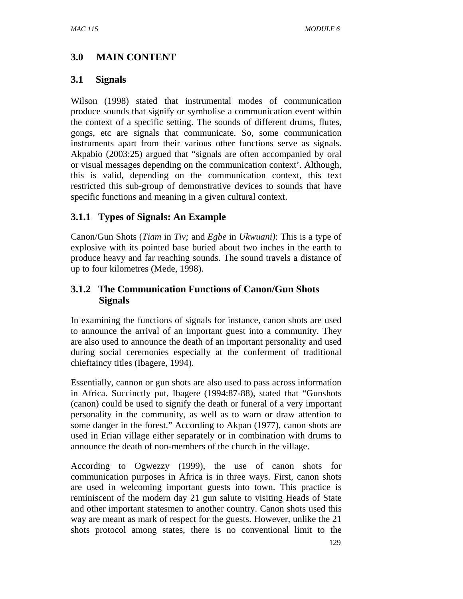# **3.0 MAIN CONTENT**

### **3.1 Signals**

Wilson (1998) stated that instrumental modes of communication produce sounds that signify or symbolise a communication event within the context of a specific setting. The sounds of different drums, flutes, gongs, etc are signals that communicate. So, some communication instruments apart from their various other functions serve as signals. Akpabio (2003:25) argued that "signals are often accompanied by oral or visual messages depending on the communication context'. Although, this is valid, depending on the communication context, this text restricted this sub-group of demonstrative devices to sounds that have specific functions and meaning in a given cultural context.

## **3.1.1 Types of Signals: An Example**

Canon/Gun Shots (*Tiam* in *Tiv;* and *Egbe* in *Ukwuani)*: This is a type of explosive with its pointed base buried about two inches in the earth to produce heavy and far reaching sounds. The sound travels a distance of up to four kilometres (Mede, 1998).

# **3.1.2 The Communication Functions of Canon/Gun Shots Signals**

In examining the functions of signals for instance, canon shots are used to announce the arrival of an important guest into a community. They are also used to announce the death of an important personality and used during social ceremonies especially at the conferment of traditional chieftaincy titles (Ibagere, 1994).

Essentially, cannon or gun shots are also used to pass across information in Africa. Succinctly put, Ibagere (1994:87-88), stated that "Gunshots (canon) could be used to signify the death or funeral of a very important personality in the community, as well as to warn or draw attention to some danger in the forest." According to Akpan (1977), canon shots are used in Erian village either separately or in combination with drums to announce the death of non-members of the church in the village.

According to Ogwezzy (1999), the use of canon shots for communication purposes in Africa is in three ways. First, canon shots are used in welcoming important guests into town. This practice is reminiscent of the modern day 21 gun salute to visiting Heads of State and other important statesmen to another country. Canon shots used this way are meant as mark of respect for the guests. However, unlike the 21 shots protocol among states, there is no conventional limit to the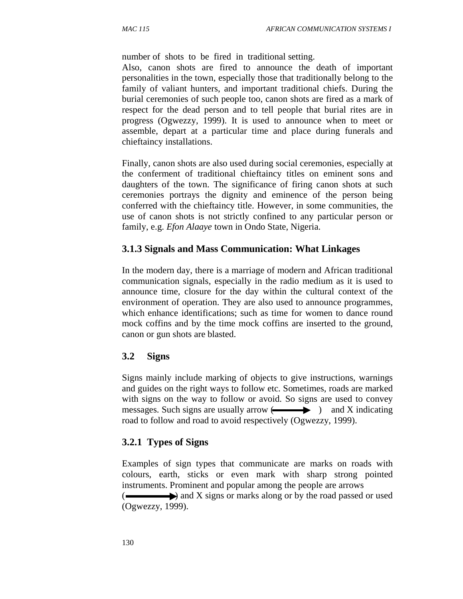number of shots to be fired in traditional setting.

Also, canon shots are fired to announce the death of important personalities in the town, especially those that traditionally belong to the family of valiant hunters, and important traditional chiefs. During the burial ceremonies of such people too, canon shots are fired as a mark of respect for the dead person and to tell people that burial rites are in progress (Ogwezzy, 1999). It is used to announce when to meet or assemble, depart at a particular time and place during funerals and chieftaincy installations.

Finally, canon shots are also used during social ceremonies, especially at the conferment of traditional chieftaincy titles on eminent sons and daughters of the town. The significance of firing canon shots at such ceremonies portrays the dignity and eminence of the person being conferred with the chieftaincy title. However, in some communities, the use of canon shots is not strictly confined to any particular person or family, e.g. *Efon Alaaye* town in Ondo State, Nigeria.

### **3.1.3 Signals and Mass Communication: What Linkages**

In the modern day, there is a marriage of modern and African traditional communication signals, especially in the radio medium as it is used to announce time, closure for the day within the cultural context of the environment of operation. They are also used to announce programmes, which enhance identifications; such as time for women to dance round mock coffins and by the time mock coffins are inserted to the ground, canon or gun shots are blasted.

### **3.2 Signs**

Signs mainly include marking of objects to give instructions, warnings and guides on the right ways to follow etc. Sometimes, roads are marked with signs on the way to follow or avoid. So signs are used to convey messages. Such signs are usually arrow  $\leftarrow$  and X indicating road to follow and road to avoid respectively (Ogwezzy, 1999).

### **3.2.1 Types of Signs**

Examples of sign types that communicate are marks on roads with colours, earth, sticks or even mark with sharp strong pointed instruments. Prominent and popular among the people are arrows

 $\left( \right)$  and X signs or marks along or by the road passed or used (Ogwezzy, 1999).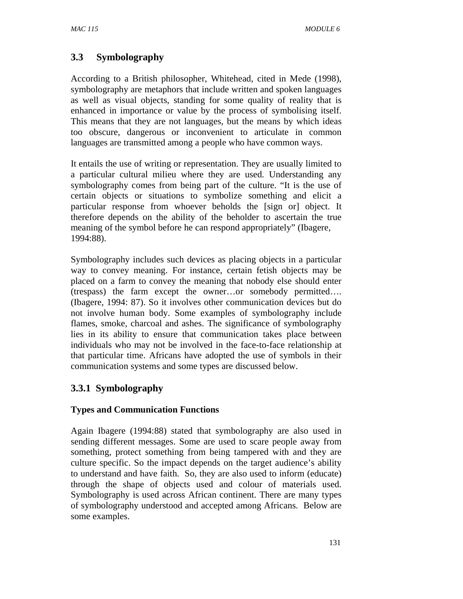# **3.3 Symbolography**

According to a British philosopher, Whitehead, cited in Mede (1998), symbolography are metaphors that include written and spoken languages as well as visual objects, standing for some quality of reality that is enhanced in importance or value by the process of symbolising itself. This means that they are not languages, but the means by which ideas too obscure, dangerous or inconvenient to articulate in common languages are transmitted among a people who have common ways.

It entails the use of writing or representation. They are usually limited to a particular cultural milieu where they are used. Understanding any symbolography comes from being part of the culture. "It is the use of certain objects or situations to symbolize something and elicit a particular response from whoever beholds the [sign or] object. It therefore depends on the ability of the beholder to ascertain the true meaning of the symbol before he can respond appropriately" (Ibagere, 1994:88).

Symbolography includes such devices as placing objects in a particular way to convey meaning. For instance, certain fetish objects may be placed on a farm to convey the meaning that nobody else should enter (trespass) the farm except the owner…or somebody permitted…. (Ibagere, 1994: 87). So it involves other communication devices but do not involve human body. Some examples of symbolography include flames, smoke, charcoal and ashes. The significance of symbolography lies in its ability to ensure that communication takes place between individuals who may not be involved in the face-to-face relationship at that particular time. Africans have adopted the use of symbols in their communication systems and some types are discussed below.

## **3.3.1 Symbolography**

#### **Types and Communication Functions**

Again Ibagere (1994:88) stated that symbolography are also used in sending different messages. Some are used to scare people away from something, protect something from being tampered with and they are culture specific. So the impact depends on the target audience's ability to understand and have faith. So, they are also used to inform (educate) through the shape of objects used and colour of materials used. Symbolography is used across African continent. There are many types of symbolography understood and accepted among Africans. Below are some examples.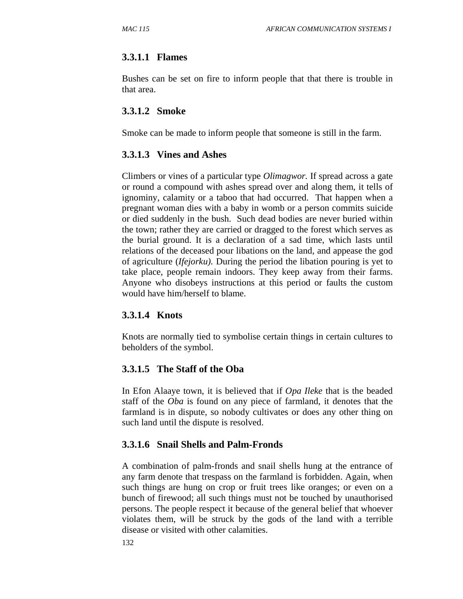### **3.3.1.1 Flames**

Bushes can be set on fire to inform people that that there is trouble in that area.

### **3.3.1.2 Smoke**

Smoke can be made to inform people that someone is still in the farm.

#### **3.3.1.3 Vines and Ashes**

Climbers or vines of a particular type *Olimagwor.* If spread across a gate or round a compound with ashes spread over and along them, it tells of ignominy, calamity or a taboo that had occurred. That happen when a pregnant woman dies with a baby in womb or a person commits suicide or died suddenly in the bush. Such dead bodies are never buried within the town; rather they are carried or dragged to the forest which serves as the burial ground. It is a declaration of a sad time, which lasts until relations of the deceased pour libations on the land, and appease the god of agriculture (*Ifejorku).* During the period the libation pouring is yet to take place, people remain indoors. They keep away from their farms. Anyone who disobeys instructions at this period or faults the custom would have him/herself to blame.

### **3.3.1.4 Knots**

Knots are normally tied to symbolise certain things in certain cultures to beholders of the symbol.

### **3.3.1.5 The Staff of the Oba**

In Efon Alaaye town, it is believed that if *Opa Ileke* that is the beaded staff of the *Oba* is found on any piece of farmland, it denotes that the farmland is in dispute, so nobody cultivates or does any other thing on such land until the dispute is resolved.

### **3.3.1.6 Snail Shells and Palm-Fronds**

A combination of palm-fronds and snail shells hung at the entrance of any farm denote that trespass on the farmland is forbidden. Again, when such things are hung on crop or fruit trees like oranges; or even on a bunch of firewood; all such things must not be touched by unauthorised persons. The people respect it because of the general belief that whoever violates them, will be struck by the gods of the land with a terrible disease or visited with other calamities.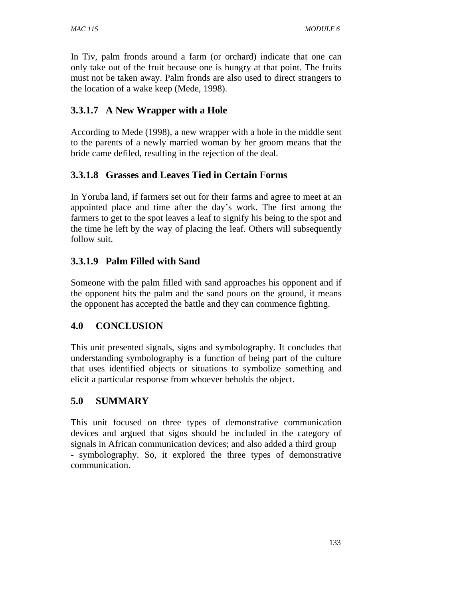In Tiv, palm fronds around a farm (or orchard) indicate that one can only take out of the fruit because one is hungry at that point. The fruits must not be taken away. Palm fronds are also used to direct strangers to the location of a wake keep (Mede, 1998).

## **3.3.1.7 A New Wrapper with a Hole**

According to Mede (1998), a new wrapper with a hole in the middle sent to the parents of a newly married woman by her groom means that the bride came defiled, resulting in the rejection of the deal.

## **3.3.1.8 Grasses and Leaves Tied in Certain Forms**

In Yoruba land, if farmers set out for their farms and agree to meet at an appointed place and time after the day's work. The first among the farmers to get to the spot leaves a leaf to signify his being to the spot and the time he left by the way of placing the leaf. Others will subsequently follow suit.

# **3.3.1.9 Palm Filled with Sand**

Someone with the palm filled with sand approaches his opponent and if the opponent hits the palm and the sand pours on the ground, it means the opponent has accepted the battle and they can commence fighting.

## **4.0 CONCLUSION**

This unit presented signals, signs and symbolography. It concludes that understanding symbolography is a function of being part of the culture that uses identified objects or situations to symbolize something and elicit a particular response from whoever beholds the object.

## **5.0 SUMMARY**

This unit focused on three types of demonstrative communication devices and argued that signs should be included in the category of signals in African communication devices; and also added a third group - symbolography. So, it explored the three types of demonstrative communication.